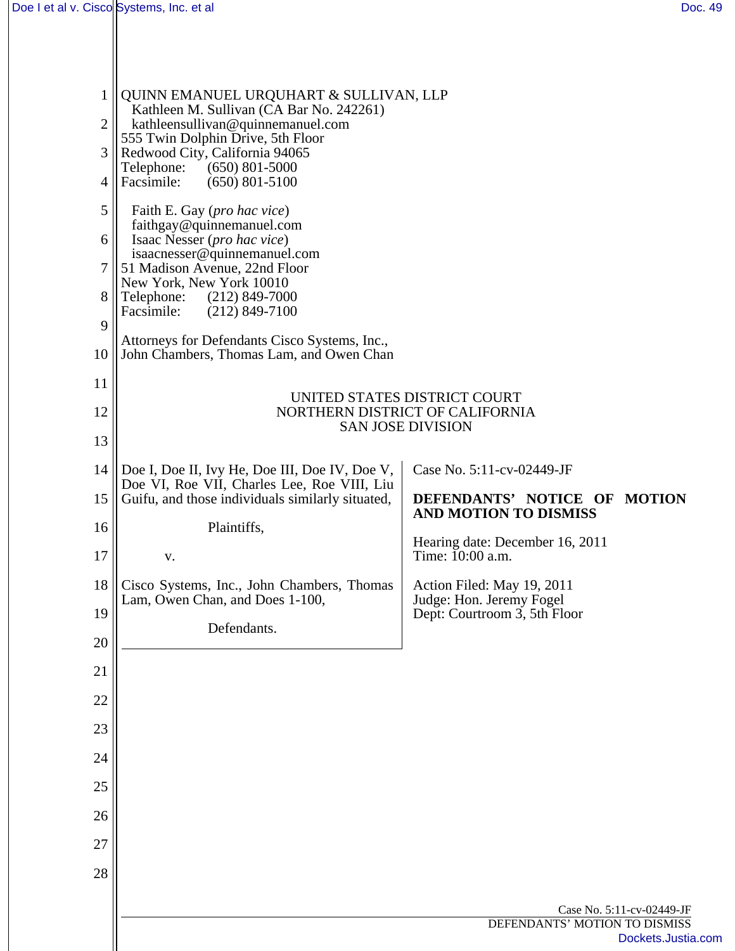| 1              | QUINN EMANUEL URQUHART & SULLIVAN, LLP                                                        |                                                             |
|----------------|-----------------------------------------------------------------------------------------------|-------------------------------------------------------------|
| $\overline{2}$ | Kathleen M. Sullivan (CA Bar No. 242261)<br>kathleensullivan@quinnemanuel.com                 |                                                             |
| 3              | 555 Twin Dolphin Drive, 5th Floor<br>Redwood City, California 94065                           |                                                             |
| 4              | Telephone:<br>$(650)$ 801-5000<br>Facsimile:<br>$(650)$ 801-5100                              |                                                             |
| 5              | Faith E. Gay (pro hac vice)                                                                   |                                                             |
| 6              | faithgay@quinnemanuel.com<br>Isaac Nesser (pro hac vice)                                      |                                                             |
| 7              | isaacnesser@quinnemanuel.com<br>51 Madison Avenue, 22nd Floor                                 |                                                             |
| 8              | New York, New York 10010<br>Telephone:<br>$(212)$ 849-7000                                    |                                                             |
| 9              | Facsimile:<br>$(212)$ 849-7100                                                                |                                                             |
| 10             | Attorneys for Defendants Cisco Systems, Inc.,<br>John Chambers, Thomas Lam, and Owen Chan     |                                                             |
| 11             |                                                                                               | UNITED STATES DISTRICT COURT                                |
| 12             |                                                                                               | NORTHERN DISTRICT OF CALIFORNIA<br><b>SAN JOSE DIVISION</b> |
| 13             |                                                                                               |                                                             |
| 14             | Doe I, Doe II, Ivy He, Doe III, Doe IV, Doe V,<br>Doe VI, Roe VII, Charles Lee, Roe VIII, Liu | Case No. 5:11-cv-02449-JF                                   |
| 15             | Guifu, and those individuals similarly situated,                                              | DEFENDANTS' NOTICE OF MOTION<br>AND MOTION TO DISMISS       |
| 16             | Plaintiffs,                                                                                   | Hearing date: December 16, 2011                             |
| 17             | V.                                                                                            | Time: 10:00 a.m.                                            |
| 18             | Cisco Systems, Inc., John Chambers, Thomas<br>Lam, Owen Chan, and Does 1-100,                 | Action Filed: May 19, 2011<br>Judge: Hon. Jeremy Fogel      |
| 19             | Defendants.                                                                                   | Dept: Courtroom 3, 5th Floor                                |
| 20             |                                                                                               |                                                             |
| 21             |                                                                                               |                                                             |
| 22             |                                                                                               |                                                             |
| 23             |                                                                                               |                                                             |
| 24             |                                                                                               |                                                             |
| 25             |                                                                                               |                                                             |
| 26             |                                                                                               |                                                             |
| 27             |                                                                                               |                                                             |
| 28             |                                                                                               |                                                             |
|                |                                                                                               | Case No. 5:11-cv-02449-JF                                   |
|                |                                                                                               | DEFENDANTS' MOTION TO DISMISS<br>Dockets.Justia.com         |
|                |                                                                                               |                                                             |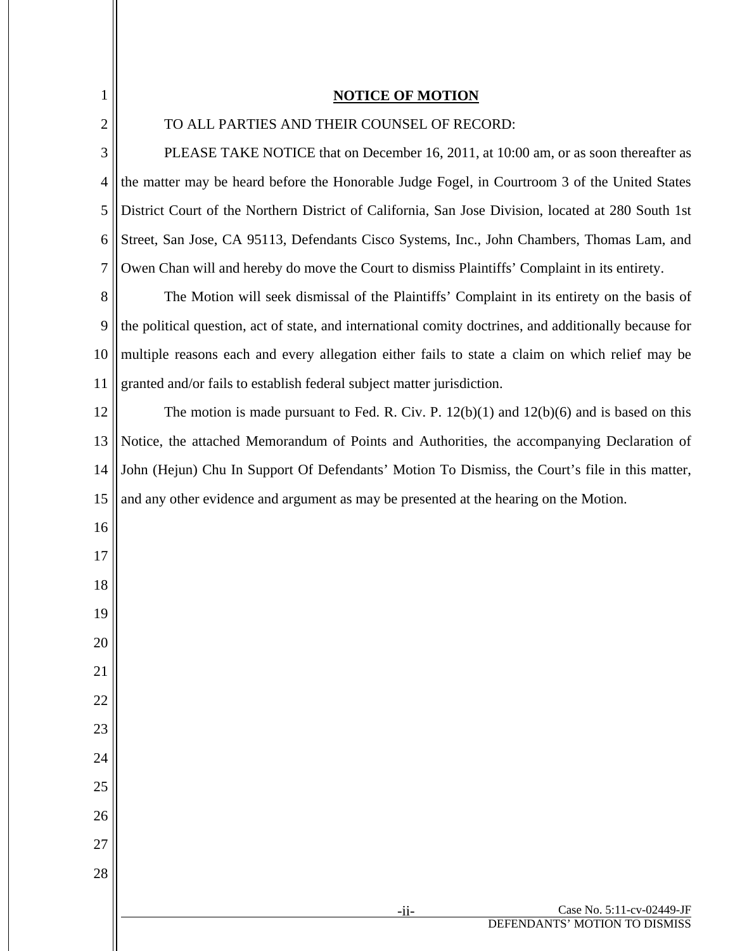| $\mathbf{1}$ | <b>NOTICE OF MOTION</b>                                                                                |
|--------------|--------------------------------------------------------------------------------------------------------|
| 2            | TO ALL PARTIES AND THEIR COUNSEL OF RECORD:                                                            |
| 3            | PLEASE TAKE NOTICE that on December 16, 2011, at 10:00 am, or as soon thereafter as                    |
| 4            | the matter may be heard before the Honorable Judge Fogel, in Courtroom 3 of the United States          |
| 5            | District Court of the Northern District of California, San Jose Division, located at 280 South 1st     |
| 6            | Street, San Jose, CA 95113, Defendants Cisco Systems, Inc., John Chambers, Thomas Lam, and             |
| 7            | Owen Chan will and hereby do move the Court to dismiss Plaintiffs' Complaint in its entirety.          |
| 8            | The Motion will seek dismissal of the Plaintiffs' Complaint in its entirety on the basis of            |
| 9            | the political question, act of state, and international comity doctrines, and additionally because for |
| 10           | multiple reasons each and every allegation either fails to state a claim on which relief may be        |
| 11           | granted and/or fails to establish federal subject matter jurisdiction.                                 |
| 12           | The motion is made pursuant to Fed. R. Civ. P. $12(b)(1)$ and $12(b)(6)$ and is based on this          |
| 13           | Notice, the attached Memorandum of Points and Authorities, the accompanying Declaration of             |
| 14           | John (Hejun) Chu In Support Of Defendants' Motion To Dismiss, the Court's file in this matter,         |
| 15           | and any other evidence and argument as may be presented at the hearing on the Motion.                  |
| 16           |                                                                                                        |
| 17           |                                                                                                        |
| 18           |                                                                                                        |
| 19           |                                                                                                        |
| 20           |                                                                                                        |
| 21           |                                                                                                        |
| 22           |                                                                                                        |
| 23           |                                                                                                        |
| 24           |                                                                                                        |
| 25           |                                                                                                        |
| 26           |                                                                                                        |
| 27           |                                                                                                        |
| 28           |                                                                                                        |
|              | Case No. 5:11-cv-02449-JF<br>$-ii-$                                                                    |
|              | DEFENDANTS' MOTION TO DISMISS                                                                          |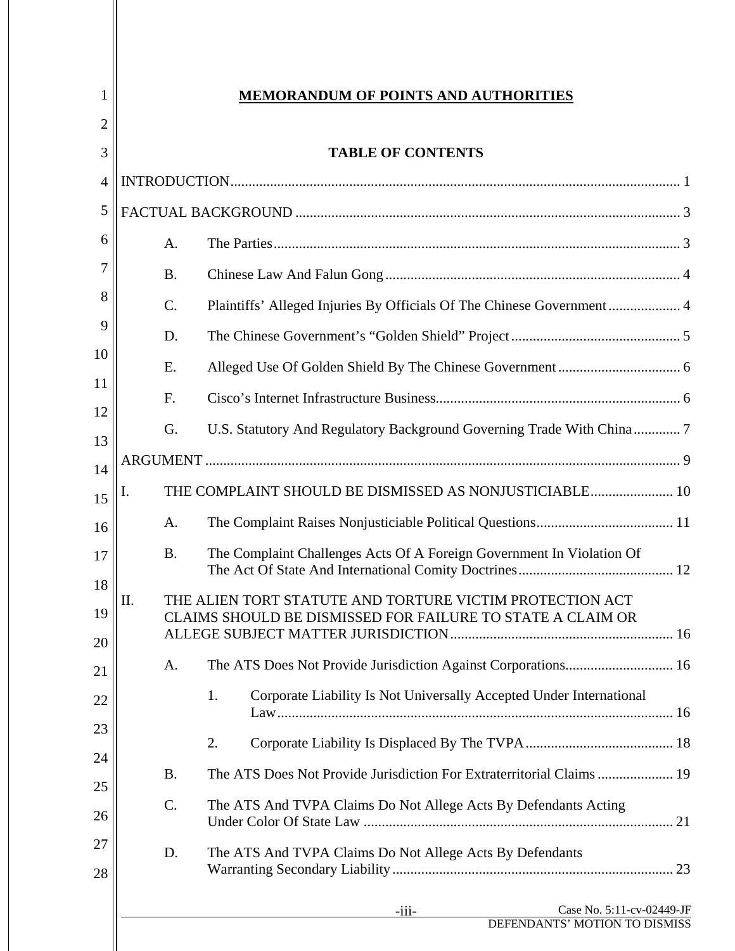| 2                    |                                                                                                                        |
|----------------------|------------------------------------------------------------------------------------------------------------------------|
| 3<br>4               | <b>TABLE OF CONTENTS</b>                                                                                               |
| 5                    |                                                                                                                        |
| 6                    | A.                                                                                                                     |
| 7                    | <b>B.</b>                                                                                                              |
| 8                    | C.<br>Plaintiffs' Alleged Injuries By Officials Of The Chinese Government 4                                            |
| 9                    | D.                                                                                                                     |
|                      | Ε.                                                                                                                     |
|                      | F.                                                                                                                     |
|                      | G.                                                                                                                     |
| 13                   |                                                                                                                        |
| 14<br>Ï.<br>15       | THE COMPLAINT SHOULD BE DISMISSED AS NONJUSTICIABLE 10                                                                 |
| 16                   | A.                                                                                                                     |
|                      | The Complaint Challenges Acts Of A Foreign Government In Violation Of<br><b>B.</b>                                     |
|                      |                                                                                                                        |
| 18<br>Н<br>11.<br>19 | THE ALIEN TORT STATUTE AND TORTURE VICTIM PROTECTION ACT<br>CLAIMS SHOULD BE DISMISSED FOR FAILURE TO STATE A CLAIM OR |
|                      |                                                                                                                        |
|                      | A.                                                                                                                     |
|                      | Corporate Liability Is Not Universally Accepted Under International<br>1.                                              |
| 23                   | 2.                                                                                                                     |
|                      | The ATS Does Not Provide Jurisdiction For Extraterritorial Claims 19<br><b>B.</b>                                      |
| 25                   | C.<br>The ATS And TVPA Claims Do Not Allege Acts By Defendants Acting                                                  |
| 26                   |                                                                                                                        |
| 27<br>28             | The ATS And TVPA Claims Do Not Allege Acts By Defendants<br>D.                                                         |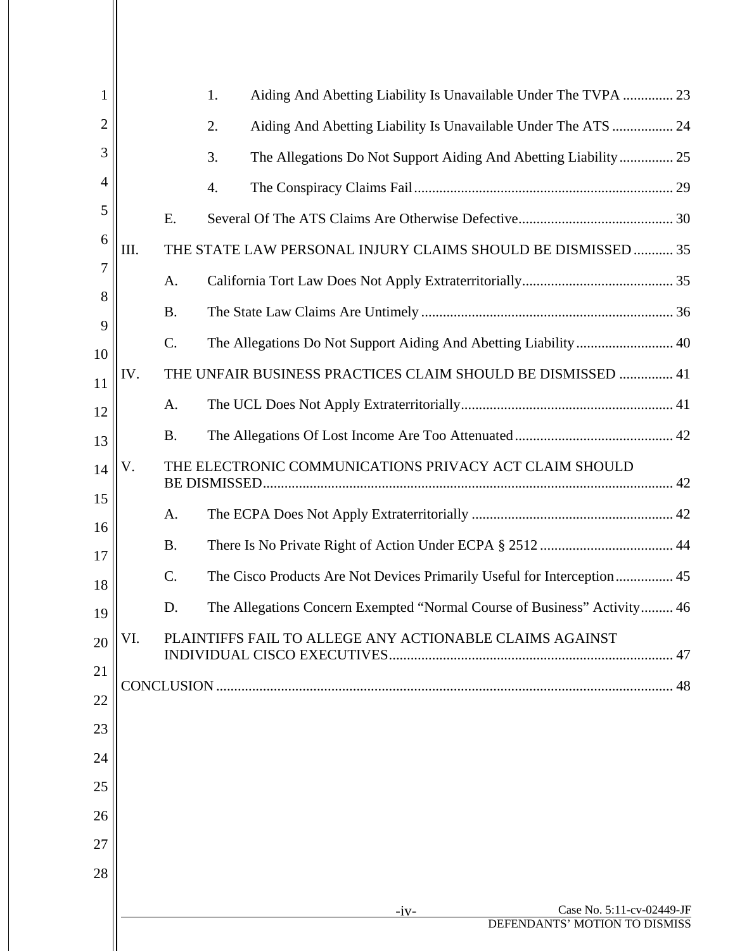| 1        |      |           | 1. | Aiding And Abetting Liability Is Unavailable Under The TVPA  23          |                                                            |  |
|----------|------|-----------|----|--------------------------------------------------------------------------|------------------------------------------------------------|--|
| 2        |      |           | 2. | Aiding And Abetting Liability Is Unavailable Under The ATS  24           |                                                            |  |
| 3        |      |           | 3. | The Allegations Do Not Support Aiding And Abetting Liability 25          |                                                            |  |
| 4        |      |           | 4. |                                                                          |                                                            |  |
| 5        |      | E.        |    |                                                                          |                                                            |  |
| 6        | III. |           |    | THE STATE LAW PERSONAL INJURY CLAIMS SHOULD BE DISMISSED  35             |                                                            |  |
| 7        |      | A.        |    |                                                                          |                                                            |  |
| 8        |      | <b>B.</b> |    |                                                                          |                                                            |  |
| 9        |      | C.        |    |                                                                          |                                                            |  |
| 10<br>11 | IV.  |           |    | THE UNFAIR BUSINESS PRACTICES CLAIM SHOULD BE DISMISSED  41              |                                                            |  |
| 12       |      | A.        |    |                                                                          |                                                            |  |
| 13       |      | <b>B.</b> |    |                                                                          |                                                            |  |
| 14       | V.   |           |    | THE ELECTRONIC COMMUNICATIONS PRIVACY ACT CLAIM SHOULD                   |                                                            |  |
| 15       |      |           |    |                                                                          |                                                            |  |
| 16       |      | A.        |    |                                                                          |                                                            |  |
| 17       |      | <b>B.</b> |    |                                                                          |                                                            |  |
| 18       |      | C.        |    | The Cisco Products Are Not Devices Primarily Useful for Interception 45  |                                                            |  |
| 19       |      | D.        |    | The Allegations Concern Exempted "Normal Course of Business" Activity 46 |                                                            |  |
| 20       | VI.  |           |    | PLAINTIFFS FAIL TO ALLEGE ANY ACTIONABLE CLAIMS AGAINST                  |                                                            |  |
| 21       |      |           |    |                                                                          |                                                            |  |
| 22       |      |           |    |                                                                          |                                                            |  |
| 23       |      |           |    |                                                                          |                                                            |  |
| 24       |      |           |    |                                                                          |                                                            |  |
| 25       |      |           |    |                                                                          |                                                            |  |
| 26       |      |           |    |                                                                          |                                                            |  |
| 27       |      |           |    |                                                                          |                                                            |  |
| 28       |      |           |    |                                                                          |                                                            |  |
|          |      |           |    | $-iv-$                                                                   | Case No. 5:11-cv-02449-JF<br>DEFENDANTS' MOTION TO DISMISS |  |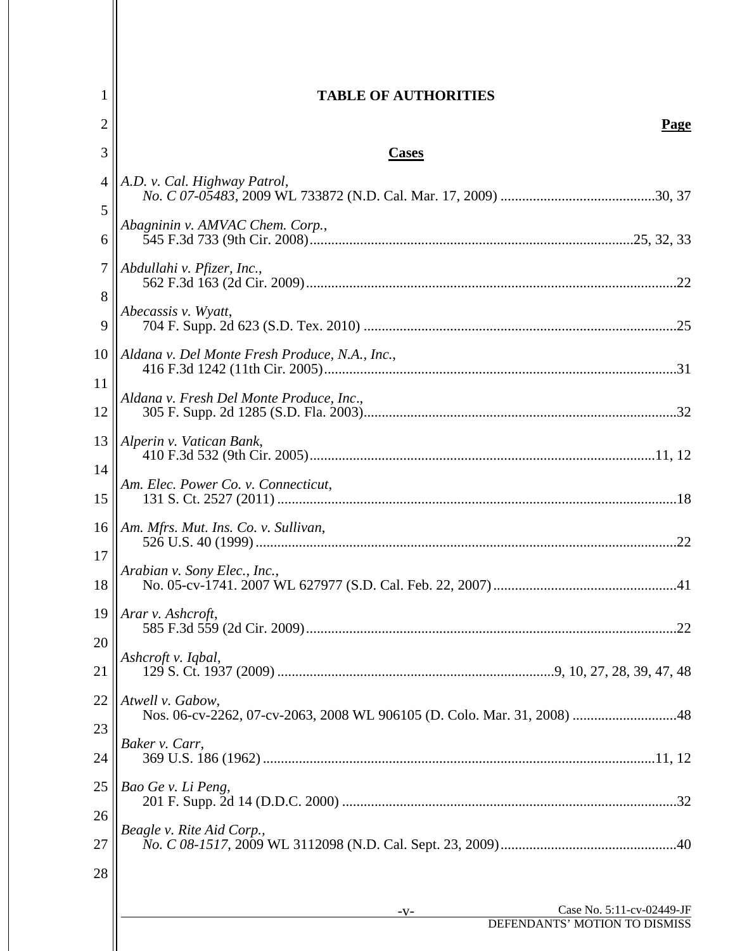| $\bf{l}$       | <b>TABLE OF AUTHORITIES</b>                    |
|----------------|------------------------------------------------|
| 2              | <b>Page</b>                                    |
| 3              | <b>Cases</b>                                   |
| $\overline{4}$ | A.D. v. Cal. Highway Patrol,                   |
| 5<br>6         | Abagninin v. AMVAC Chem. Corp.,                |
| 7              | Abdullahi v. Pfizer, Inc.,                     |
| 8<br>9         | Abecassis v. Wyatt,                            |
| 10             | Aldana v. Del Monte Fresh Produce, N.A., Inc., |
| 11<br>12       | Aldana v. Fresh Del Monte Produce, Inc.,       |
| 13             | Alperin v. Vatican Bank,                       |
| 14<br>15       | Am. Elec. Power Co. v. Connecticut,            |
| 16             | Am. Mfrs. Mut. Ins. Co. v. Sullivan,           |
| 17             | Arabian v. Sony Elec., Inc.,                   |
| 18             |                                                |
| 19<br>20       | Arar v. Ashcroft,                              |
| 21             | Ashcroft v. Iqbal,                             |
| 22             | Atwell v. Gabow,                               |
| 23<br>24       | Baker v. Carr,                                 |
| 25             | Bao Ge v. Li Peng,                             |
| 26             | Beagle v. Rite Aid Corp.,                      |
| 27<br>28       |                                                |
|                | Case No. 5:11-cv-02449-JF<br>$-V-$             |
|                | DEFENDANTS' MOTION TO DISMISS                  |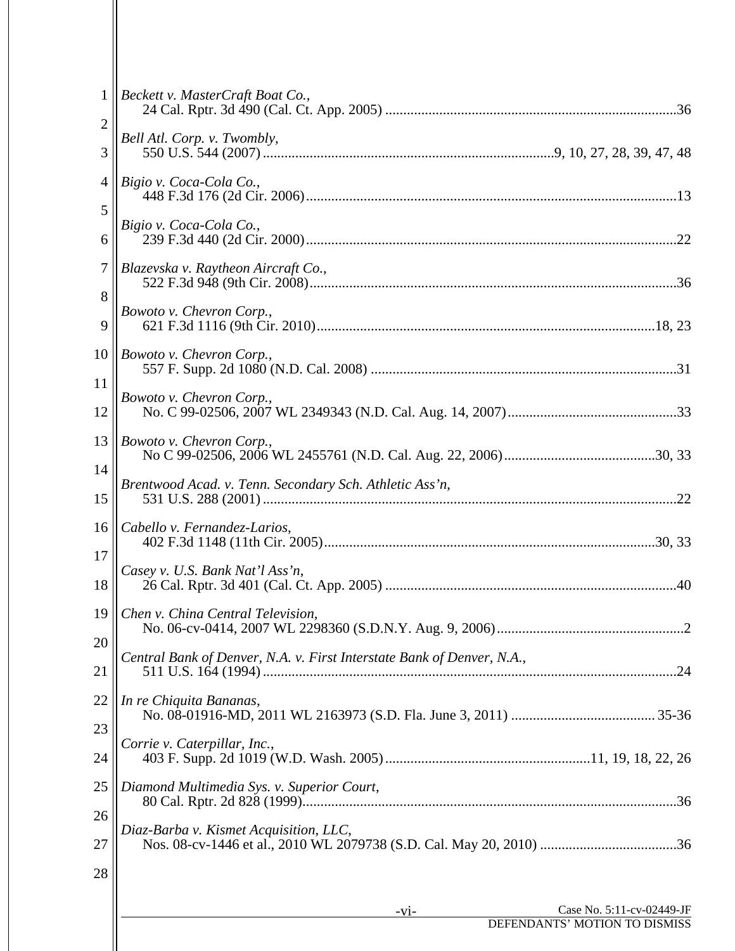| $1\vert$        | Beckett v. MasterCraft Boat Co.,                                       |
|-----------------|------------------------------------------------------------------------|
| $\overline{2}$  |                                                                        |
| 3               | Bell Atl. Corp. v. Twombly,                                            |
| $\overline{4}$  | Bigio v. Coca-Cola Co.,                                                |
| 5               |                                                                        |
| 6               | Bigio v. Coca-Cola Co.,                                                |
| $\tau$          | Blazevska v. Raytheon Aircraft Co.,                                    |
| 8               | Bowoto v. Chevron Corp.,                                               |
| 9               |                                                                        |
| 10 <sup>1</sup> | Bowoto v. Chevron Corp.,                                               |
| 11              | Bowoto v. Chevron Corp.,                                               |
| 12              |                                                                        |
| 13              | Bowoto v. Chevron Corp.,                                               |
| 14              | Brentwood Acad. v. Tenn. Secondary Sch. Athletic Ass'n,                |
| 15              |                                                                        |
| 16              | Cabello v. Fernandez-Larios,                                           |
| 17              | Casey v. U.S. Bank Nat'l Ass'n,                                        |
| 18              |                                                                        |
|                 | 19    Chen v. China Central Television,                                |
| 20              | Central Bank of Denver, N.A. v. First Interstate Bank of Denver, N.A., |
| 21              |                                                                        |
| 22              | In re Chiquita Bananas,                                                |
| 23              | Corrie v. Caterpillar, Inc.,                                           |
| 24              |                                                                        |
| 25              | Diamond Multimedia Sys. v. Superior Court,                             |
| 26              | Diaz-Barba v. Kismet Acquisition, LLC,                                 |
| 27              |                                                                        |
| 28              |                                                                        |
|                 | Case No. 5:11-cv-02449-JF<br>$-V1-$                                    |
|                 | DEFENDANTS' MOTION TO DISMISS                                          |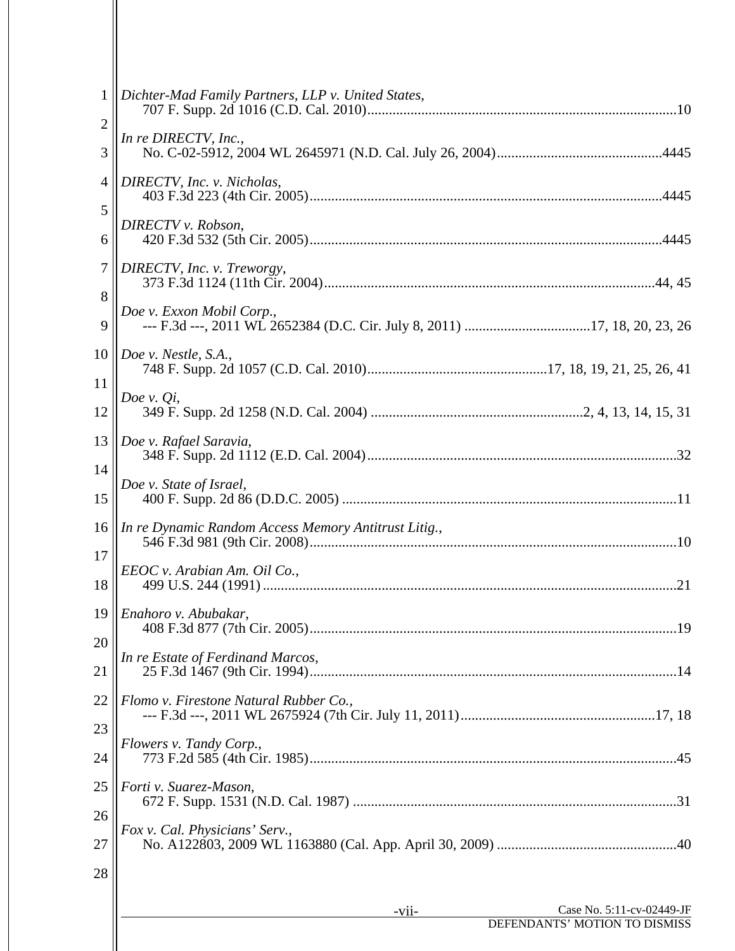| $\mathbf{1}$    | Dichter-Mad Family Partners, LLP v. United States,   |                               |
|-----------------|------------------------------------------------------|-------------------------------|
| $\overline{2}$  | In re DIRECTV, Inc.,                                 |                               |
| 3               |                                                      |                               |
| $\overline{4}$  | DIRECTV, Inc. v. Nicholas,                           |                               |
| 5               | DIRECTV v. Robson,                                   |                               |
| 6               |                                                      |                               |
| $\tau$          | DIRECTV, Inc. v. Treworgy,                           |                               |
| 8               | Doe v. Exxon Mobil Corp.,                            |                               |
| 9               |                                                      |                               |
| 10 <sup>1</sup> | Doe v. Nestle, S.A.,                                 |                               |
| 11              |                                                      |                               |
| 12              | Doe v. $Q_i$ ,                                       |                               |
| 13              | Doe v. Rafael Saravia,                               |                               |
| 14              |                                                      |                               |
| 15              | Doe v. State of Israel,                              |                               |
| 16              | In re Dynamic Random Access Memory Antitrust Litig., |                               |
| 17              | EEOC v. Arabian Am. Oil Co.,                         |                               |
| 18              |                                                      |                               |
|                 | 19    Enahoro v. Abubakar,                           |                               |
| 20              | In re Estate of Ferdinand Marcos,                    |                               |
| 21              |                                                      |                               |
| 22              | Flomo v. Firestone Natural Rubber Co.,               |                               |
| 23              |                                                      |                               |
| 24              | Flowers v. Tandy Corp.,                              |                               |
| 25              | Forti v. Suarez-Mason,                               |                               |
| 26              |                                                      |                               |
| 27              | Fox v. Cal. Physicians' Serv.,                       |                               |
| 28              |                                                      |                               |
|                 | $-vii$                                               | Case No. 5:11-cv-02449-JF     |
|                 |                                                      | DEFENDANTS' MOTION TO DISMISS |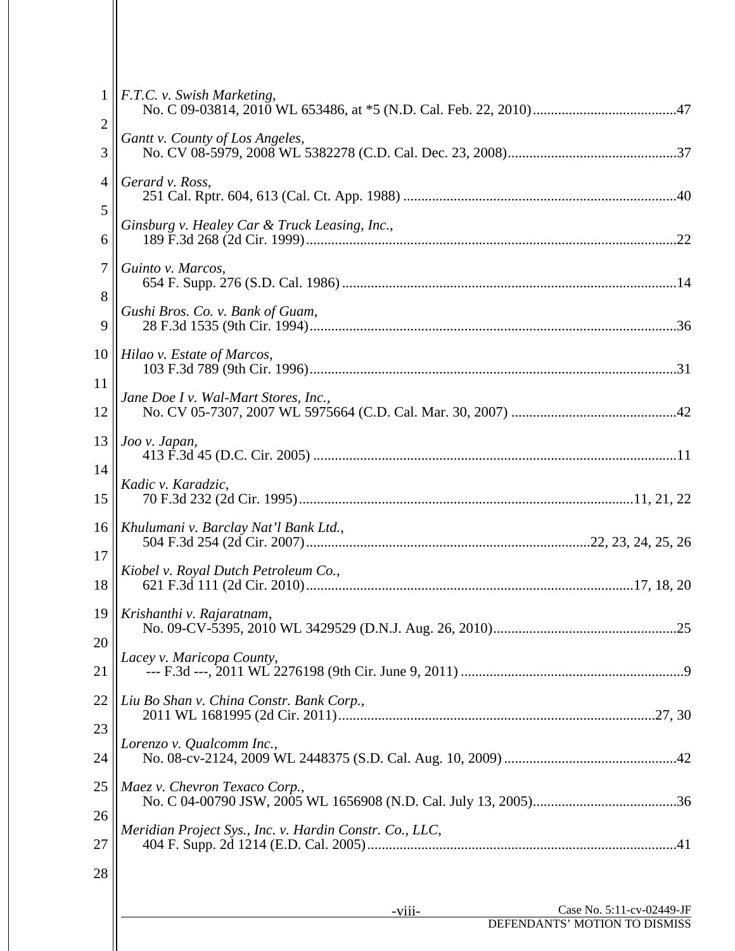| $\mathbf{1}$    | F.T.C. v. Swish Marketing,                                           |
|-----------------|----------------------------------------------------------------------|
| $\overline{2}$  | Gantt v. County of Los Angeles,                                      |
| 3               |                                                                      |
| $\overline{4}$  | Gerard v. Ross,                                                      |
| 5               |                                                                      |
| 6               | Ginsburg v. Healey Car & Truck Leasing, Inc.,                        |
| 7               | Guinto v. Marcos,                                                    |
| 8               |                                                                      |
| 9               | Gushi Bros. Co. v. Bank of Guam,                                     |
| 10 <sup>1</sup> | Hilao v. Estate of Marcos,                                           |
| 11              |                                                                      |
| 12              | Jane Doe I v. Wal-Mart Stores, Inc.,                                 |
| 13              | Joo v. Japan,                                                        |
| 14              |                                                                      |
| 15              | Kadic v. Karadzic,                                                   |
| 16              | Khulumani v. Barclay Nat'l Bank Ltd.,                                |
| 17              |                                                                      |
| 18              | Kiobel v. Royal Dutch Petroleum Co.,                                 |
|                 | 19    Krishanthi v. Rajaratnam,                                      |
| 20              |                                                                      |
| 21              | Lacey v. Maricopa County,                                            |
| 22              | Liu Bo Shan v. China Constr. Bank Corp.,                             |
| 23              |                                                                      |
| 24              | Lorenzo v. Qualcomm Inc.,                                            |
| 25              | Maez v. Chevron Texaco Corp.,                                        |
| 26              |                                                                      |
| 27              | Meridian Project Sys., Inc. v. Hardin Constr. Co., LLC,              |
| 28              |                                                                      |
|                 |                                                                      |
|                 | Case No. 5:11-cv-02449-JF<br>-viii-<br>DEFENDANTS' MOTION TO DISMISS |
|                 |                                                                      |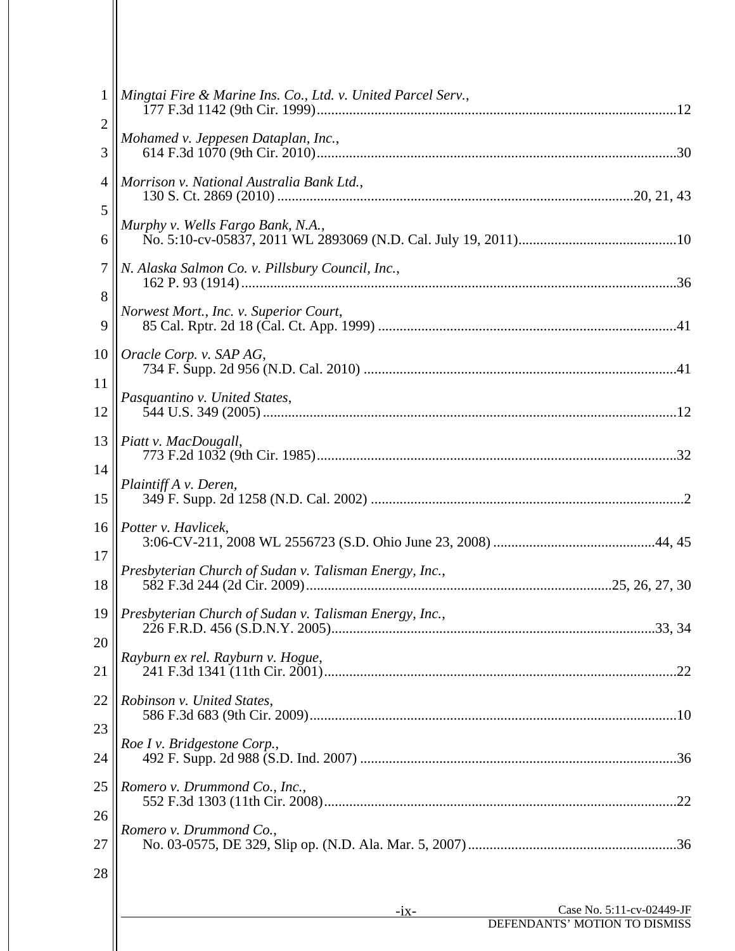| $\mathbf{1}$   | Mingtai Fire & Marine Ins. Co., Ltd. v. United Parcel Serv., |                           |
|----------------|--------------------------------------------------------------|---------------------------|
| $\overline{c}$ |                                                              |                           |
| 3              | Mohamed v. Jeppesen Dataplan, Inc.,                          |                           |
| 4              | Morrison v. National Australia Bank Ltd.,                    |                           |
| 5              |                                                              |                           |
| 6              | Murphy v. Wells Fargo Bank, N.A.,                            |                           |
| 7              | N. Alaska Salmon Co. v. Pillsbury Council, Inc.,             |                           |
| 8              | Norwest Mort., Inc. v. Superior Court,                       |                           |
| 9              |                                                              |                           |
| 10             | Oracle Corp. v. SAP AG,                                      |                           |
| 11             | Pasquantino v. United States,                                |                           |
| 12             |                                                              |                           |
| 13             | Piatt v. MacDougall,                                         |                           |
| 14             | Plaintiff A v. Deren,                                        |                           |
| 15             |                                                              |                           |
| 16             | Potter v. Havlicek,                                          |                           |
| 17             | Presbyterian Church of Sudan v. Talisman Energy, Inc.,       |                           |
| 18             |                                                              |                           |
|                | 19    Presbyterian Church of Sudan v. Talisman Energy, Inc., |                           |
| 20             | Rayburn ex rel. Rayburn v. Hogue,                            |                           |
| 21             |                                                              |                           |
| 22             | Robinson v. United States,                                   |                           |
| 23             | Roe I v. Bridgestone Corp.,                                  |                           |
| 24             |                                                              |                           |
| 25             | Romero v. Drummond Co., Inc.,                                |                           |
| 26             |                                                              |                           |
| 27             | Romero v. Drummond Co.,                                      |                           |
| 28             |                                                              |                           |
|                |                                                              | Case No. 5:11-cv-02449-JF |
|                | $-ix-$<br>DEFENDANTS' MOTION TO DISMISS                      |                           |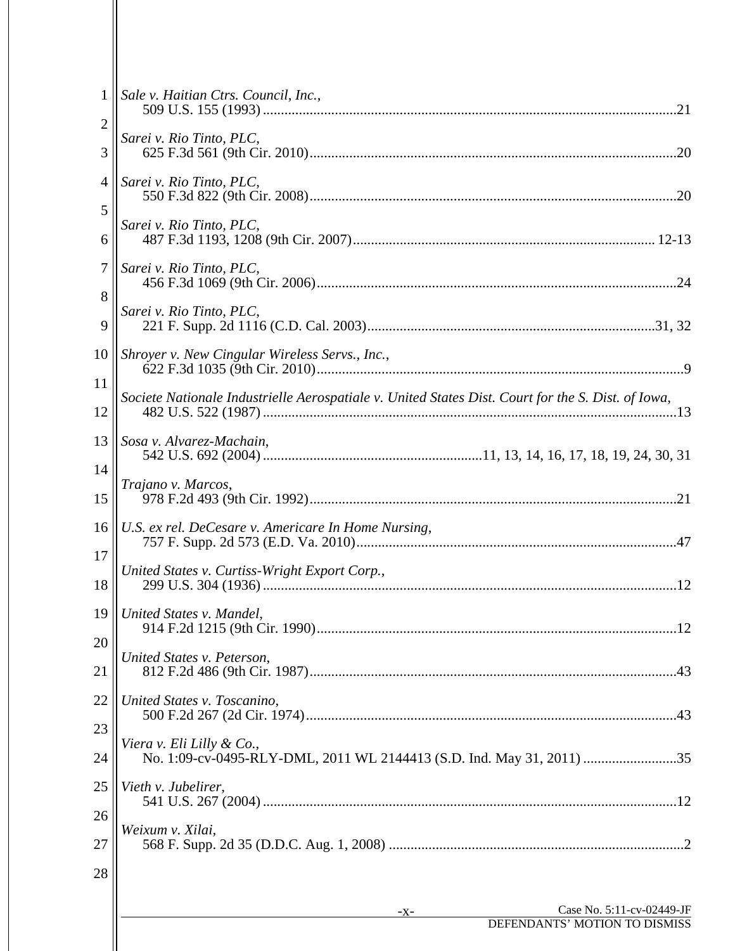| $\mathbf{1}$   | Sale v. Haitian Ctrs. Council, Inc.,                                                               |
|----------------|----------------------------------------------------------------------------------------------------|
| $\overline{2}$ |                                                                                                    |
| 3              | Sarei v. Rio Tinto, PLC,                                                                           |
| $\overline{4}$ | Sarei v. Rio Tinto, PLC,                                                                           |
| 5              |                                                                                                    |
| 6              | Sarei v. Rio Tinto, PLC,                                                                           |
| $\tau$         | Sarei v. Rio Tinto, PLC,                                                                           |
| 8              | Sarei v. Rio Tinto, PLC,                                                                           |
| 9              |                                                                                                    |
| 10             | Shroyer v. New Cingular Wireless Servs., Inc.,                                                     |
| 11             | Societe Nationale Industrielle Aerospatiale v. United States Dist. Court for the S. Dist. of Iowa, |
| 12             |                                                                                                    |
| 13             | Sosa v. Alvarez-Machain,                                                                           |
| 14             |                                                                                                    |
| 15             | Trajano v. Marcos,                                                                                 |
| 16             | U.S. ex rel. DeCesare v. Americare In Home Nursing,                                                |
| 17             |                                                                                                    |
| 18             | United States v. Curtiss-Wright Export Corp.,                                                      |
|                | 19    United States v. Mandel,                                                                     |
| 20             |                                                                                                    |
| 21             | United States v. Peterson,                                                                         |
| 22             | United States v. Toscanino,                                                                        |
| 23             |                                                                                                    |
| 24             | Viera v. Eli Lilly & Co.,                                                                          |
| 25             | Vieth v. Jubelirer,                                                                                |
| 26             |                                                                                                    |
| 27             | Weixum v. Xilai,                                                                                   |
| 28             |                                                                                                    |
|                |                                                                                                    |
|                | Case No. 5:11-cv-02449-JF<br>-X-<br>DEFENDANTS' MOTION TO DISMISS                                  |
|                |                                                                                                    |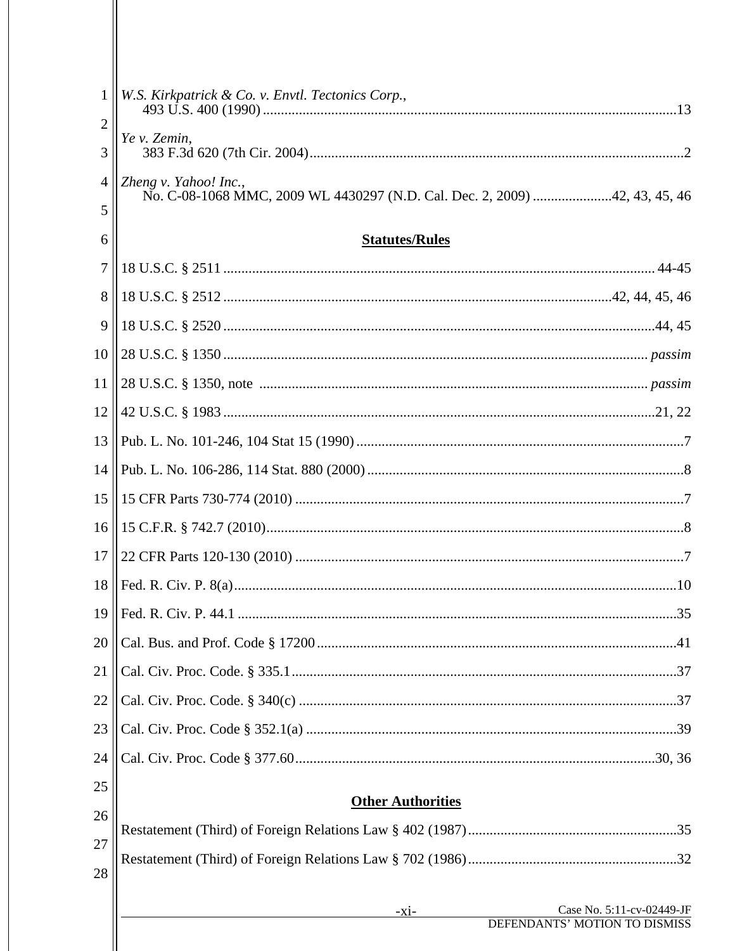| $\mathbf{1}$   | W.S. Kirkpatrick & Co. v. Envtl. Tectonics Corp.,                          |
|----------------|----------------------------------------------------------------------------|
| $\overline{2}$ | Ye v. Zemin,                                                               |
| 3              |                                                                            |
| $\overline{4}$ | Zheng v. Yahoo! Inc.,                                                      |
| 5              | No. C-08-1068 MMC, 2009 WL 4430297 (N.D. Cal. Dec. 2, 2009) 42, 43, 45, 46 |
| 6              | <b>Statutes/Rules</b>                                                      |
| $\tau$         |                                                                            |
| 8              |                                                                            |
| 9              |                                                                            |
| 10             |                                                                            |
| 11             |                                                                            |
| 12             |                                                                            |
| 13             |                                                                            |
| 14             |                                                                            |
| 15             |                                                                            |
| 16             |                                                                            |
| 17             |                                                                            |
| 18             |                                                                            |
|                |                                                                            |
| 20             |                                                                            |
| 21             |                                                                            |
| 22             |                                                                            |
| 23             |                                                                            |
| 24             |                                                                            |
| 25             |                                                                            |
| 26             | <b>Other Authorities</b>                                                   |
| 27             |                                                                            |
| 28             |                                                                            |
|                |                                                                            |
|                | Case No. 5:11-cv-02449-JF<br>$-X1$ -                                       |

 $\parallel$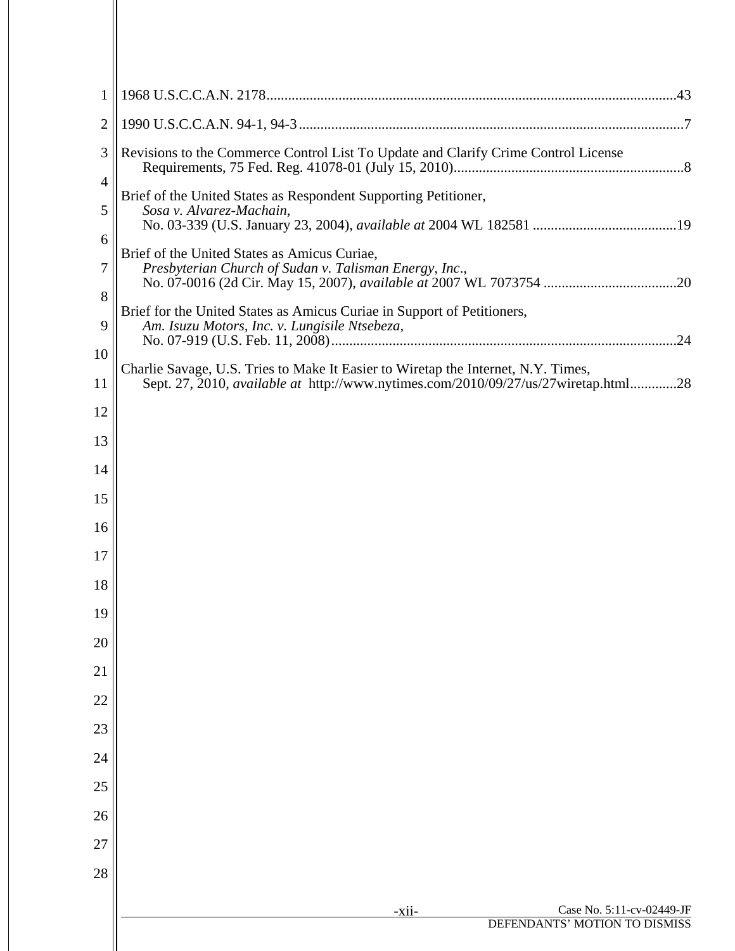| $\mathbf{1}$   |                                                                                           |
|----------------|-------------------------------------------------------------------------------------------|
| $\overline{2}$ |                                                                                           |
| 3              | Revisions to the Commerce Control List To Update and Clarify Crime Control License        |
| 4              | Brief of the United States as Respondent Supporting Petitioner,                           |
| 5              | Sosa v. Alvarez-Machain,                                                                  |
| 6              | Brief of the United States as Amicus Curiae,                                              |
| 7              | Presbyterian Church of Sudan v. Talisman Energy, Inc.,                                    |
| 8              | Brief for the United States as Amicus Curiae in Support of Petitioners,                   |
| 9              | Am. Isuzu Motors, Inc. v. Lungisile Ntsebeza,                                             |
| 10             | Charlie Savage, U.S. Tries to Make It Easier to Wiretap the Internet, N.Y. Times,         |
| 11             | Sept. 27, 2010, <i>available at http://www.nytimes.com/2010/09/27/us/27wiretap.html28</i> |
| 12             |                                                                                           |
| 13             |                                                                                           |
| 14             |                                                                                           |
| 15             |                                                                                           |
| 16             |                                                                                           |
| 17             |                                                                                           |
| 18             |                                                                                           |
| 19             |                                                                                           |
| 20             |                                                                                           |
| 21             |                                                                                           |
| 22             |                                                                                           |
| 23             |                                                                                           |
| 24             |                                                                                           |
| 25             |                                                                                           |
| 26             |                                                                                           |
| 27<br>28       |                                                                                           |
|                |                                                                                           |
|                | Case No. 5:11-cv-02449-JF<br>-xii-<br>DEFENDANTS' MOTION TO DISMISS                       |
|                |                                                                                           |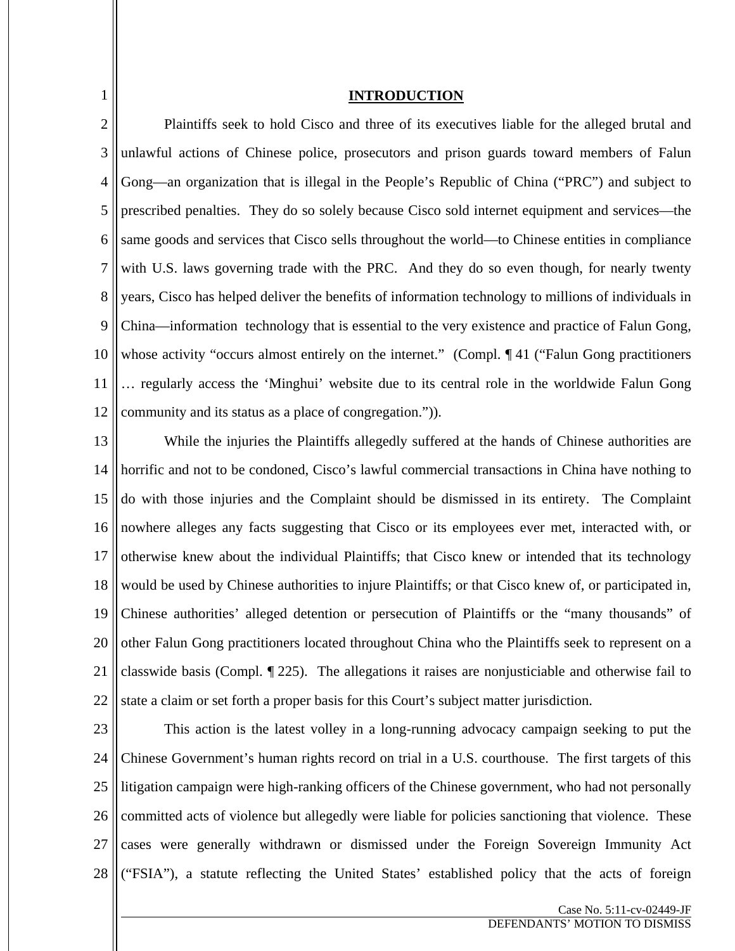### **INTRODUCTION**

1

2 3 4 5 6 7 8 9 10 11 12 Plaintiffs seek to hold Cisco and three of its executives liable for the alleged brutal and unlawful actions of Chinese police, prosecutors and prison guards toward members of Falun Gong—an organization that is illegal in the People's Republic of China ("PRC") and subject to prescribed penalties. They do so solely because Cisco sold internet equipment and services—the same goods and services that Cisco sells throughout the world—to Chinese entities in compliance with U.S. laws governing trade with the PRC. And they do so even though, for nearly twenty years, Cisco has helped deliver the benefits of information technology to millions of individuals in China—information technology that is essential to the very existence and practice of Falun Gong, whose activity "occurs almost entirely on the internet." (Compl. 141 ("Falun Gong practitioners … regularly access the 'Minghui' website due to its central role in the worldwide Falun Gong community and its status as a place of congregation.")).

13 14 15 16 17 18 19 20 21 22 While the injuries the Plaintiffs allegedly suffered at the hands of Chinese authorities are horrific and not to be condoned, Cisco's lawful commercial transactions in China have nothing to do with those injuries and the Complaint should be dismissed in its entirety. The Complaint nowhere alleges any facts suggesting that Cisco or its employees ever met, interacted with, or otherwise knew about the individual Plaintiffs; that Cisco knew or intended that its technology would be used by Chinese authorities to injure Plaintiffs; or that Cisco knew of, or participated in, Chinese authorities' alleged detention or persecution of Plaintiffs or the "many thousands" of other Falun Gong practitioners located throughout China who the Plaintiffs seek to represent on a classwide basis (Compl. ¶ 225). The allegations it raises are nonjusticiable and otherwise fail to state a claim or set forth a proper basis for this Court's subject matter jurisdiction.

23 24 25 26 27 28 This action is the latest volley in a long-running advocacy campaign seeking to put the Chinese Government's human rights record on trial in a U.S. courthouse. The first targets of this litigation campaign were high-ranking officers of the Chinese government, who had not personally committed acts of violence but allegedly were liable for policies sanctioning that violence. These cases were generally withdrawn or dismissed under the Foreign Sovereign Immunity Act ("FSIA"), a statute reflecting the United States' established policy that the acts of foreign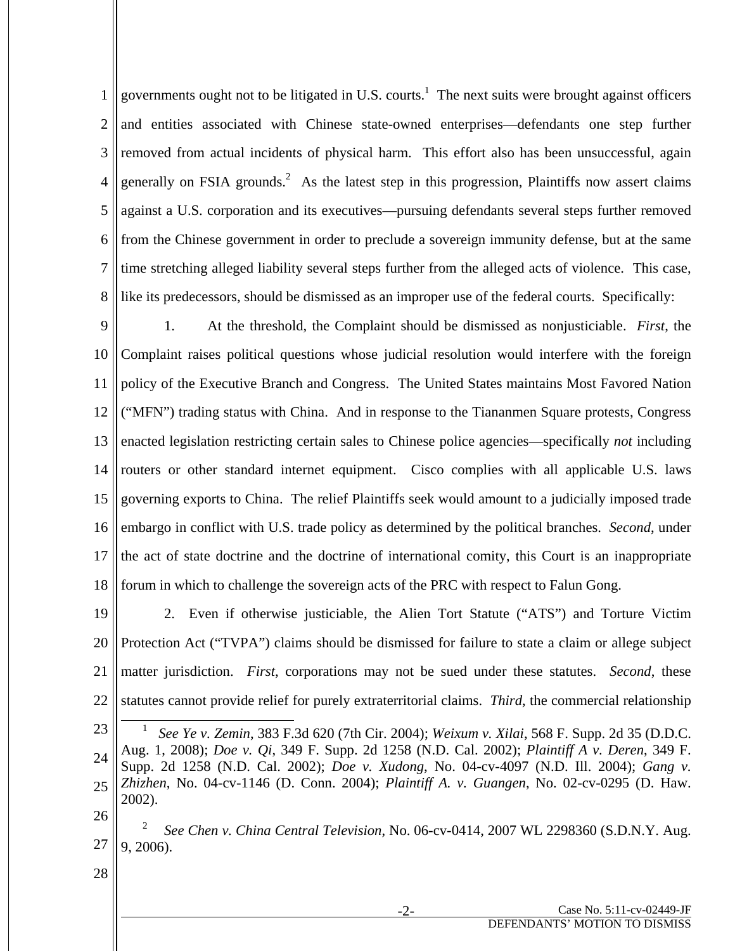1 2 3 4 5 6 7 8 governments ought not to be litigated in U.S. courts.<sup>1</sup> The next suits were brought against officers and entities associated with Chinese state-owned enterprises—defendants one step further removed from actual incidents of physical harm. This effort also has been unsuccessful, again generally on FSIA grounds.<sup>2</sup> As the latest step in this progression, Plaintiffs now assert claims against a U.S. corporation and its executives—pursuing defendants several steps further removed from the Chinese government in order to preclude a sovereign immunity defense, but at the same time stretching alleged liability several steps further from the alleged acts of violence. This case, like its predecessors, should be dismissed as an improper use of the federal courts. Specifically:

9 10 11 12 13 14 15 16 17 18 1. At the threshold, the Complaint should be dismissed as nonjusticiable. *First*, the Complaint raises political questions whose judicial resolution would interfere with the foreign policy of the Executive Branch and Congress. The United States maintains Most Favored Nation ("MFN") trading status with China. And in response to the Tiananmen Square protests, Congress enacted legislation restricting certain sales to Chinese police agencies—specifically *not* including routers or other standard internet equipment. Cisco complies with all applicable U.S. laws governing exports to China. The relief Plaintiffs seek would amount to a judicially imposed trade embargo in conflict with U.S. trade policy as determined by the political branches. *Second*, under the act of state doctrine and the doctrine of international comity, this Court is an inappropriate forum in which to challenge the sovereign acts of the PRC with respect to Falun Gong.

19 20 21 22 2. Even if otherwise justiciable, the Alien Tort Statute ("ATS") and Torture Victim Protection Act ("TVPA") claims should be dismissed for failure to state a claim or allege subject matter jurisdiction. *First*, corporations may not be sued under these statutes. *Second*, these statutes cannot provide relief for purely extraterritorial claims. *Third*, the commercial relationship

<sup>23</sup> 24 25  $\overline{\phantom{0}}$  1 *See Ye v. Zemin*, 383 F.3d 620 (7th Cir. 2004); *Weixum v. Xilai*, 568 F. Supp. 2d 35 (D.D.C. Aug. 1, 2008); *Doe v. Qi*, 349 F. Supp. 2d 1258 (N.D. Cal. 2002); *Plaintiff A v. Deren*, 349 F. Supp. 2d 1258 (N.D. Cal. 2002); *Doe v. Xudong*, No. 04-cv-4097 (N.D. Ill. 2004); *Gang v. Zhizhen*, No. 04-cv-1146 (D. Conn. 2004); *Plaintiff A. v. Guangen*, No. 02-cv-0295 (D. Haw. 2002).

<sup>26</sup>

<sup>27</sup> <sup>2</sup> *See Chen v. China Central Television*, No. 06-cv-0414, 2007 WL 2298360 (S.D.N.Y. Aug. 9, 2006).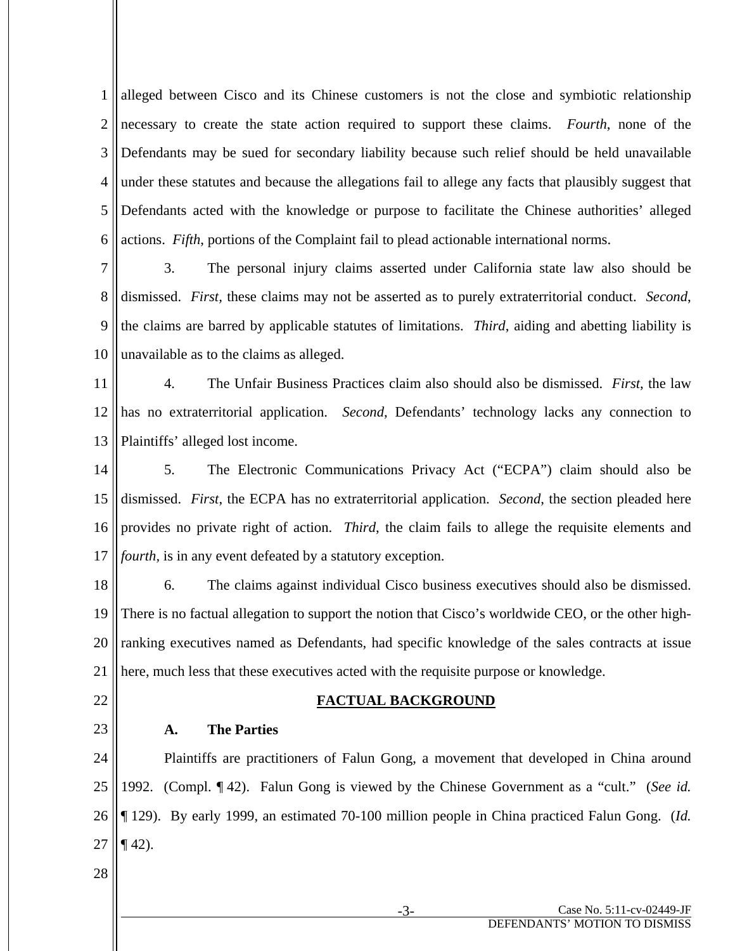1 2 3 4 5 6 alleged between Cisco and its Chinese customers is not the close and symbiotic relationship necessary to create the state action required to support these claims. *Fourth*, none of the Defendants may be sued for secondary liability because such relief should be held unavailable under these statutes and because the allegations fail to allege any facts that plausibly suggest that Defendants acted with the knowledge or purpose to facilitate the Chinese authorities' alleged actions. *Fifth*, portions of the Complaint fail to plead actionable international norms.

7 8 9 10 3. The personal injury claims asserted under California state law also should be dismissed. *First,* these claims may not be asserted as to purely extraterritorial conduct. *Second*, the claims are barred by applicable statutes of limitations. *Third*, aiding and abetting liability is unavailable as to the claims as alleged.

11 12 13 4. The Unfair Business Practices claim also should also be dismissed. *First*, the law has no extraterritorial application. *Second*, Defendants' technology lacks any connection to Plaintiffs' alleged lost income.

14 15 16 17 5. The Electronic Communications Privacy Act ("ECPA") claim should also be dismissed. *First*, the ECPA has no extraterritorial application. *Second*, the section pleaded here provides no private right of action. *Third*, the claim fails to allege the requisite elements and *fourth*, is in any event defeated by a statutory exception.

18 19 20 21 6. The claims against individual Cisco business executives should also be dismissed. There is no factual allegation to support the notion that Cisco's worldwide CEO, or the other highranking executives named as Defendants, had specific knowledge of the sales contracts at issue here, much less that these executives acted with the requisite purpose or knowledge.

22

#### **FACTUAL BACKGROUND**

23

## **A. The Parties**

24 25 26 27 Plaintiffs are practitioners of Falun Gong, a movement that developed in China around 1992. (Compl. ¶ 42). Falun Gong is viewed by the Chinese Government as a "cult." (*See id.*  ¶ 129).By early 1999, an estimated 70-100 million people in China practiced Falun Gong. (*Id.*  $\P$  42).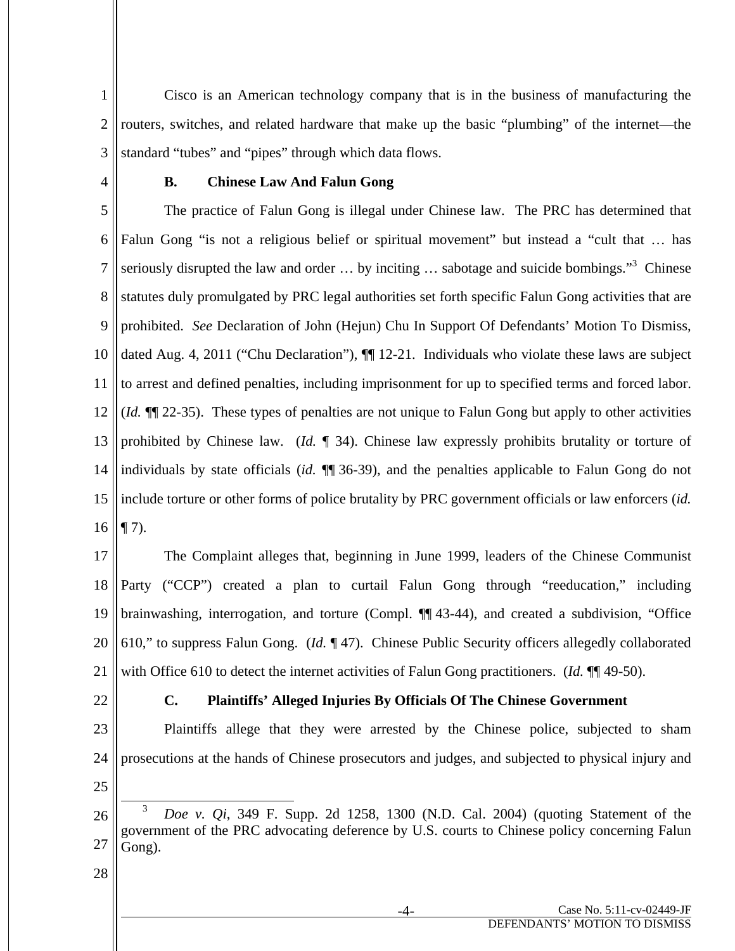1 2 3 Cisco is an American technology company that is in the business of manufacturing the routers, switches, and related hardware that make up the basic "plumbing" of the internet—the standard "tubes" and "pipes" through which data flows.

4

## **B. Chinese Law And Falun Gong**

5 6 7 8 9 10 11 12 13 14 15 16 The practice of Falun Gong is illegal under Chinese law. The PRC has determined that Falun Gong "is not a religious belief or spiritual movement" but instead a "cult that … has seriously disrupted the law and order  $\dots$  by inciting  $\dots$  sabotage and suicide bombings."<sup>3</sup> Chinese statutes duly promulgated by PRC legal authorities set forth specific Falun Gong activities that are prohibited. *See* Declaration of John (Hejun) Chu In Support Of Defendants' Motion To Dismiss, dated Aug. 4, 2011 ("Chu Declaration"),  $\P$  12-21. Individuals who violate these laws are subject to arrest and defined penalties, including imprisonment for up to specified terms and forced labor. (*Id.* ¶¶ 22-35). These types of penalties are not unique to Falun Gong but apply to other activities prohibited by Chinese law. (*Id.* ¶ 34). Chinese law expressly prohibits brutality or torture of individuals by state officials (*id.* ¶¶ 36-39), and the penalties applicable to Falun Gong do not include torture or other forms of police brutality by PRC government officials or law enforcers (*id.*   $\P$  7).

17 18 19 20 21 The Complaint alleges that, beginning in June 1999, leaders of the Chinese Communist Party ("CCP") created a plan to curtail Falun Gong through "reeducation," including brainwashing, interrogation, and torture (Compl. ¶¶ 43-44), and created a subdivision, "Office 610," to suppress Falun Gong. (*Id.* ¶ 47). Chinese Public Security officers allegedly collaborated with Office 610 to detect the internet activities of Falun Gong practitioners. (*Id.*  $\P\P$  49-50).

22

## **C. Plaintiffs' Alleged Injuries By Officials Of The Chinese Government**

23 24 25 Plaintiffs allege that they were arrested by the Chinese police, subjected to sham prosecutions at the hands of Chinese prosecutors and judges, and subjected to physical injury and

<sup>26</sup> 27 3 *Doe v. Qi*, 349 F. Supp. 2d 1258, 1300 (N.D. Cal. 2004) (quoting Statement of the government of the PRC advocating deference by U.S. courts to Chinese policy concerning Falun Gong).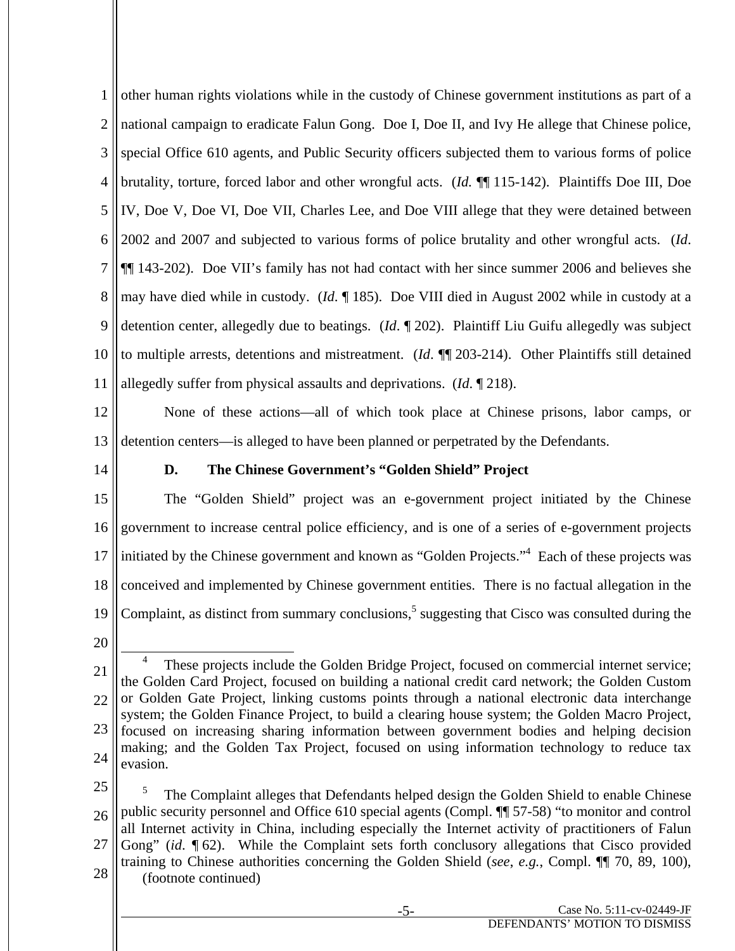1 2 3 4 5 6 7 8 9 10 11 other human rights violations while in the custody of Chinese government institutions as part of a national campaign to eradicate Falun Gong. Doe I, Doe II, and Ivy He allege that Chinese police, special Office 610 agents, and Public Security officers subjected them to various forms of police brutality, torture, forced labor and other wrongful acts. (*Id.* ¶¶ 115-142). Plaintiffs Doe III, Doe IV, Doe V, Doe VI, Doe VII, Charles Lee, and Doe VIII allege that they were detained between 2002 and 2007 and subjected to various forms of police brutality and other wrongful acts. (*Id*. ¶¶ 143-202). Doe VII's family has not had contact with her since summer 2006 and believes she may have died while in custody. (*Id*. ¶ 185). Doe VIII died in August 2002 while in custody at a detention center, allegedly due to beatings. (*Id*. ¶ 202). Plaintiff Liu Guifu allegedly was subject to multiple arrests, detentions and mistreatment. (*Id*. ¶¶ 203-214). Other Plaintiffs still detained allegedly suffer from physical assaults and deprivations. (*Id*. ¶ 218).

12 13 None of these actions—all of which took place at Chinese prisons, labor camps, or detention centers—is alleged to have been planned or perpetrated by the Defendants.

14

## **D. The Chinese Government's "Golden Shield" Project**

15 16 17 18 19 The "Golden Shield" project was an e-government project initiated by the Chinese government to increase central police efficiency, and is one of a series of e-government projects initiated by the Chinese government and known as "Golden Projects."<sup>4</sup> Each of these projects was conceived and implemented by Chinese government entities. There is no factual allegation in the Complaint, as distinct from summary conclusions, $<sup>5</sup>$  suggesting that Cisco was consulted during the</sup>

20

25 26 27 28 5 The Complaint alleges that Defendants helped design the Golden Shield to enable Chinese public security personnel and Office 610 special agents (Compl. ¶¶ 57-58) "to monitor and control all Internet activity in China, including especially the Internet activity of practitioners of Falun Gong" (*id.* ¶ 62). While the Complaint sets forth conclusory allegations that Cisco provided training to Chinese authorities concerning the Golden Shield (*see*, *e.g.*, Compl. ¶¶ 70, 89, 100), (footnote continued)

<sup>21</sup> 22 23 24  $\overline{4}$  These projects include the Golden Bridge Project, focused on commercial internet service; the Golden Card Project, focused on building a national credit card network; the Golden Custom or Golden Gate Project, linking customs points through a national electronic data interchange system; the Golden Finance Project, to build a clearing house system; the Golden Macro Project, focused on increasing sharing information between government bodies and helping decision making; and the Golden Tax Project, focused on using information technology to reduce tax evasion.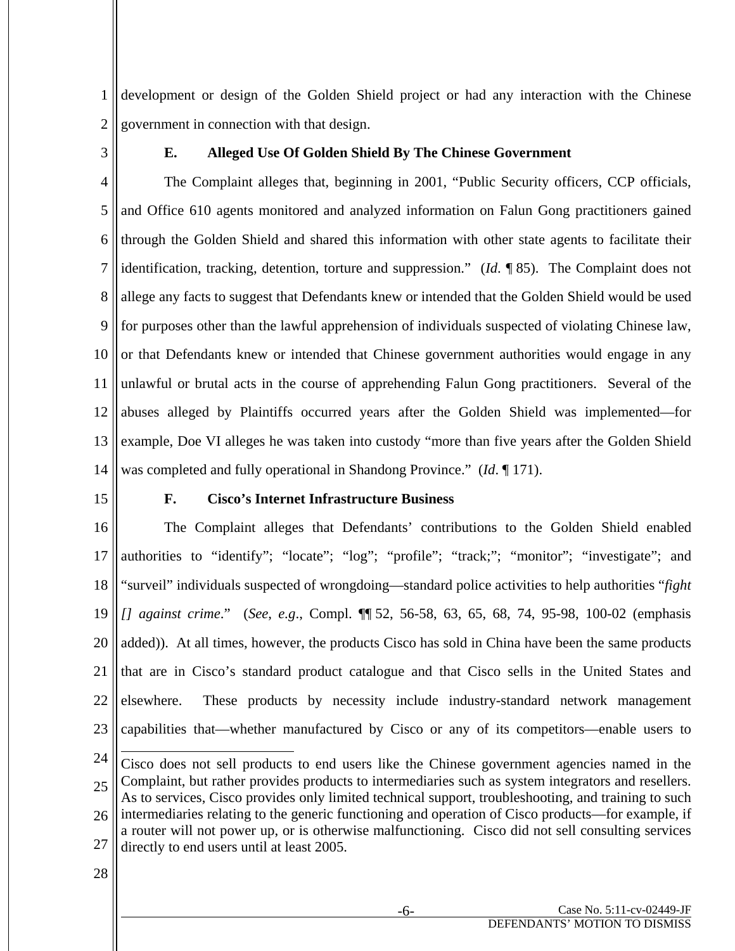1 2 development or design of the Golden Shield project or had any interaction with the Chinese government in connection with that design.

3

## **E. Alleged Use Of Golden Shield By The Chinese Government**

4 5 6 7 8 9 10 11 12 13 14 The Complaint alleges that, beginning in 2001, "Public Security officers, CCP officials, and Office 610 agents monitored and analyzed information on Falun Gong practitioners gained through the Golden Shield and shared this information with other state agents to facilitate their identification, tracking, detention, torture and suppression." (*Id*. ¶ 85). The Complaint does not allege any facts to suggest that Defendants knew or intended that the Golden Shield would be used for purposes other than the lawful apprehension of individuals suspected of violating Chinese law, or that Defendants knew or intended that Chinese government authorities would engage in any unlawful or brutal acts in the course of apprehending Falun Gong practitioners. Several of the abuses alleged by Plaintiffs occurred years after the Golden Shield was implemented—for example, Doe VI alleges he was taken into custody "more than five years after the Golden Shield was completed and fully operational in Shandong Province." (*Id*. ¶ 171).

15

### **F. Cisco's Internet Infrastructure Business**

16 17 18 19 20 21 22 23 The Complaint alleges that Defendants' contributions to the Golden Shield enabled authorities to "identify"; "locate"; "log"; "profile"; "track;"; "monitor"; "investigate"; and "surveil" individuals suspected of wrongdoing—standard police activities to help authorities "*fight [] against crime*." (*See*, *e.g*., Compl. ¶¶ 52, 56-58, 63, 65, 68, 74, 95-98, 100-02 (emphasis added)). At all times, however, the products Cisco has sold in China have been the same products that are in Cisco's standard product catalogue and that Cisco sells in the United States and elsewhere. These products by necessity include industry-standard network management capabilities that—whether manufactured by Cisco or any of its competitors—enable users to

<sup>24</sup> 25 26 27  $\overline{a}$ Cisco does not sell products to end users like the Chinese government agencies named in the Complaint, but rather provides products to intermediaries such as system integrators and resellers. As to services, Cisco provides only limited technical support, troubleshooting, and training to such intermediaries relating to the generic functioning and operation of Cisco products—for example, if a router will not power up, or is otherwise malfunctioning. Cisco did not sell consulting services directly to end users until at least 2005.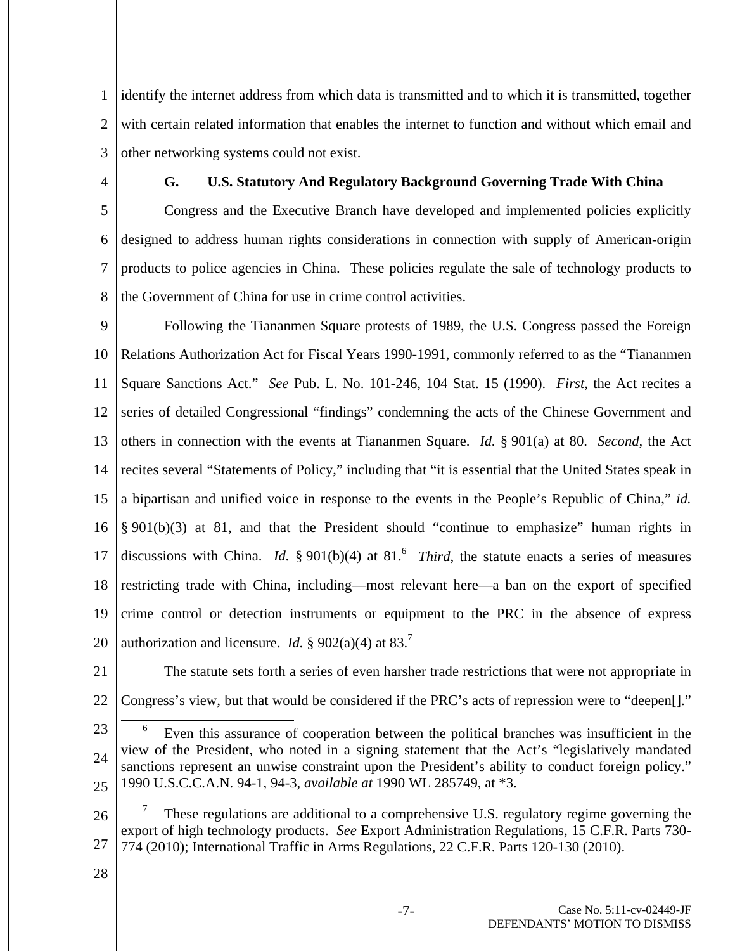1 2 3 identify the internet address from which data is transmitted and to which it is transmitted, together with certain related information that enables the internet to function and without which email and other networking systems could not exist.

4

## **G. U.S. Statutory And Regulatory Background Governing Trade With China**

5 6 7 8 Congress and the Executive Branch have developed and implemented policies explicitly designed to address human rights considerations in connection with supply of American-origin products to police agencies in China. These policies regulate the sale of technology products to the Government of China for use in crime control activities.

9 10 11 12 13 14 15 16 17 18 19 20 Following the Tiananmen Square protests of 1989, the U.S. Congress passed the Foreign Relations Authorization Act for Fiscal Years 1990-1991, commonly referred to as the "Tiananmen Square Sanctions Act." *See* Pub. L. No. 101-246, 104 Stat. 15 (1990). *First,* the Act recites a series of detailed Congressional "findings" condemning the acts of the Chinese Government and others in connection with the events at Tiananmen Square. *Id.* § 901(a) at 80. *Second,* the Act recites several "Statements of Policy," including that "it is essential that the United States speak in a bipartisan and unified voice in response to the events in the People's Republic of China," *id.*  § 901(b)(3) at 81, and that the President should "continue to emphasize" human rights in discussions with China. *Id.*  $\S 901(b)(4)$  at  $81<sup>6</sup>$  *Third*, the statute enacts a series of measures restricting trade with China, including—most relevant here—a ban on the export of specified crime control or detection instruments or equipment to the PRC in the absence of express authorization and licensure. *Id.*  $\S 902(a)(4)$  at  $83<sup>7</sup>$ 

21

22 The statute sets forth a series of even harsher trade restrictions that were not appropriate in Congress's view, but that would be considered if the PRC's acts of repression were to "deepen[]."

23 24 25  $\overline{\phantom{0}}$  Even this assurance of cooperation between the political branches was insufficient in the view of the President, who noted in a signing statement that the Act's "legislatively mandated sanctions represent an unwise constraint upon the President's ability to conduct foreign policy." 1990 U.S.C.C.A.N. 94-1, 94-3, *available at* 1990 WL 285749, at \*3.

26 27 7 These regulations are additional to a comprehensive U.S. regulatory regime governing the export of high technology products. *See* Export Administration Regulations, 15 C.F.R. Parts 730- 774 (2010); International Traffic in Arms Regulations, 22 C.F.R. Parts 120-130 (2010).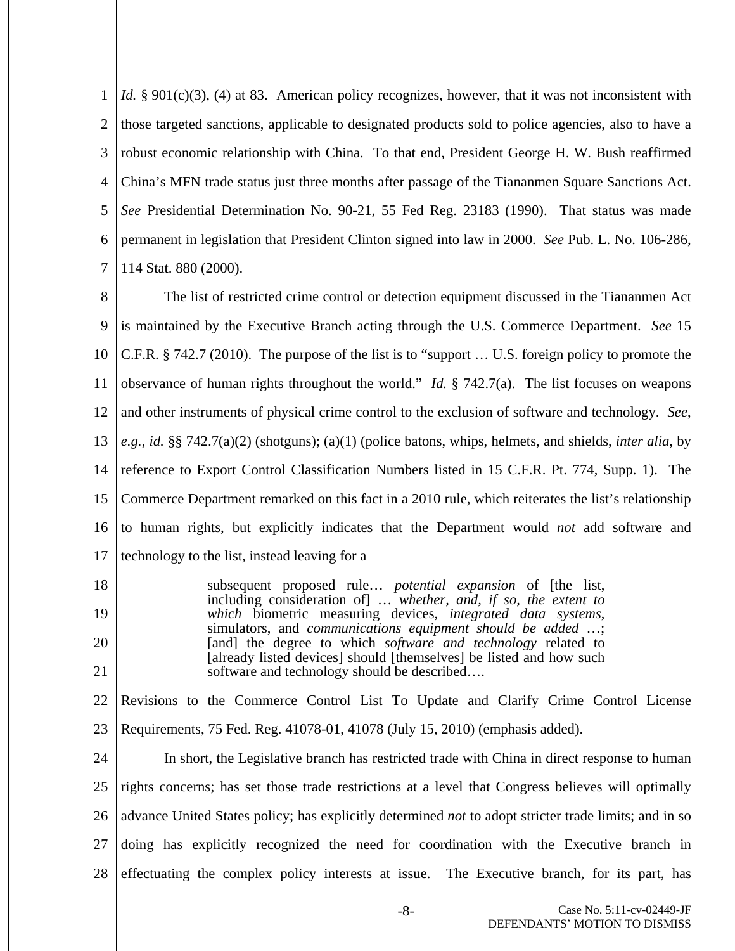1 2 3 4 5 6 7 *Id.* § 901(c)(3), (4) at 83. American policy recognizes, however, that it was not inconsistent with those targeted sanctions, applicable to designated products sold to police agencies, also to have a robust economic relationship with China. To that end, President George H. W. Bush reaffirmed China's MFN trade status just three months after passage of the Tiananmen Square Sanctions Act. *See* Presidential Determination No. 90-21, 55 Fed Reg. 23183 (1990). That status was made permanent in legislation that President Clinton signed into law in 2000. *See* Pub. L. No. 106-286, 114 Stat. 880 (2000).

8 9 10 11 12 13 14 15 16 17 The list of restricted crime control or detection equipment discussed in the Tiananmen Act is maintained by the Executive Branch acting through the U.S. Commerce Department. *See* 15 C.F.R. § 742.7 (2010). The purpose of the list is to "support … U.S. foreign policy to promote the observance of human rights throughout the world." *Id.* § 742.7(a). The list focuses on weapons and other instruments of physical crime control to the exclusion of software and technology. *See*, *e.g.*, *id.* §§ 742.7(a)(2) (shotguns); (a)(1) (police batons, whips, helmets, and shields, *inter alia*, by reference to Export Control Classification Numbers listed in 15 C.F.R. Pt. 774, Supp. 1). The Commerce Department remarked on this fact in a 2010 rule, which reiterates the list's relationship to human rights, but explicitly indicates that the Department would *not* add software and technology to the list, instead leaving for a

18 19 20 21 subsequent proposed rule… *potential expansion* of [the list, including consideration of] … *whether, and, if so, the extent to which* biometric measuring devices, *integrated data systems*, simulators, and *communications equipment should be added* …; [and] the degree to which *software and technology* related to [already listed devices] should [themselves] be listed and how such software and technology should be described….

22 23 Revisions to the Commerce Control List To Update and Clarify Crime Control License Requirements, 75 Fed. Reg. 41078-01, 41078 (July 15, 2010) (emphasis added).

24 25 26 27 28 In short, the Legislative branch has restricted trade with China in direct response to human rights concerns; has set those trade restrictions at a level that Congress believes will optimally advance United States policy; has explicitly determined *not* to adopt stricter trade limits; and in so doing has explicitly recognized the need for coordination with the Executive branch in effectuating the complex policy interests at issue. The Executive branch, for its part, has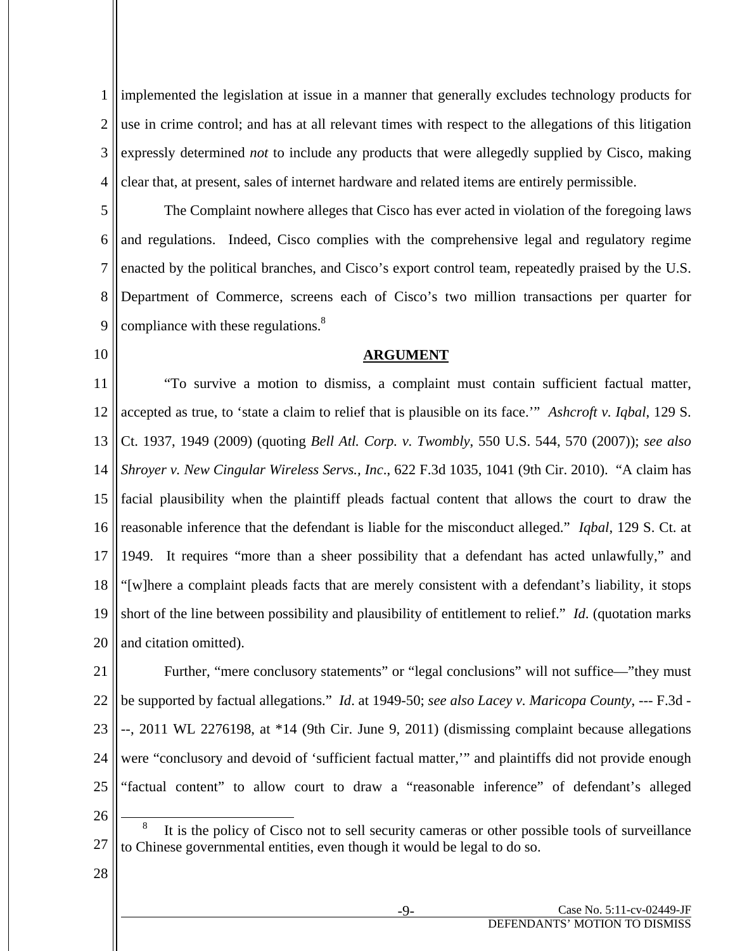1 2 3 4 implemented the legislation at issue in a manner that generally excludes technology products for use in crime control; and has at all relevant times with respect to the allegations of this litigation expressly determined *not* to include any products that were allegedly supplied by Cisco, making clear that, at present, sales of internet hardware and related items are entirely permissible.

5 6 7 8 9 The Complaint nowhere alleges that Cisco has ever acted in violation of the foregoing laws and regulations. Indeed, Cisco complies with the comprehensive legal and regulatory regime enacted by the political branches, and Cisco's export control team, repeatedly praised by the U.S. Department of Commerce, screens each of Cisco's two million transactions per quarter for compliance with these regulations. $8$ 

10

#### **ARGUMENT**

11 12 13 14 15 16 17 18 19 20 "To survive a motion to dismiss, a complaint must contain sufficient factual matter, accepted as true, to 'state a claim to relief that is plausible on its face.'" *Ashcroft v. Iqbal*, 129 S. Ct. 1937, 1949 (2009) (quoting *Bell Atl. Corp. v. Twombly*, 550 U.S. 544, 570 (2007)); *see also Shroyer v. New Cingular Wireless Servs., Inc*., 622 F.3d 1035, 1041 (9th Cir. 2010). "A claim has facial plausibility when the plaintiff pleads factual content that allows the court to draw the reasonable inference that the defendant is liable for the misconduct alleged." *Iqbal*, 129 S. Ct. at 1949. It requires "more than a sheer possibility that a defendant has acted unlawfully," and "[w]here a complaint pleads facts that are merely consistent with a defendant's liability, it stops short of the line between possibility and plausibility of entitlement to relief." *Id*. (quotation marks and citation omitted).

21 22 23 24 25 Further, "mere conclusory statements" or "legal conclusions" will not suffice—"they must be supported by factual allegations." *Id*. at 1949-50; *see also Lacey v. Maricopa County*, --- F.3d - --, 2011 WL 2276198, at \*14 (9th Cir. June 9, 2011) (dismissing complaint because allegations were "conclusory and devoid of 'sufficient factual matter,'" and plaintiffs did not provide enough "factual content" to allow court to draw a "reasonable inference" of defendant's alleged

28

<sup>27</sup> 8 It is the policy of Cisco not to sell security cameras or other possible tools of surveillance to Chinese governmental entities, even though it would be legal to do so.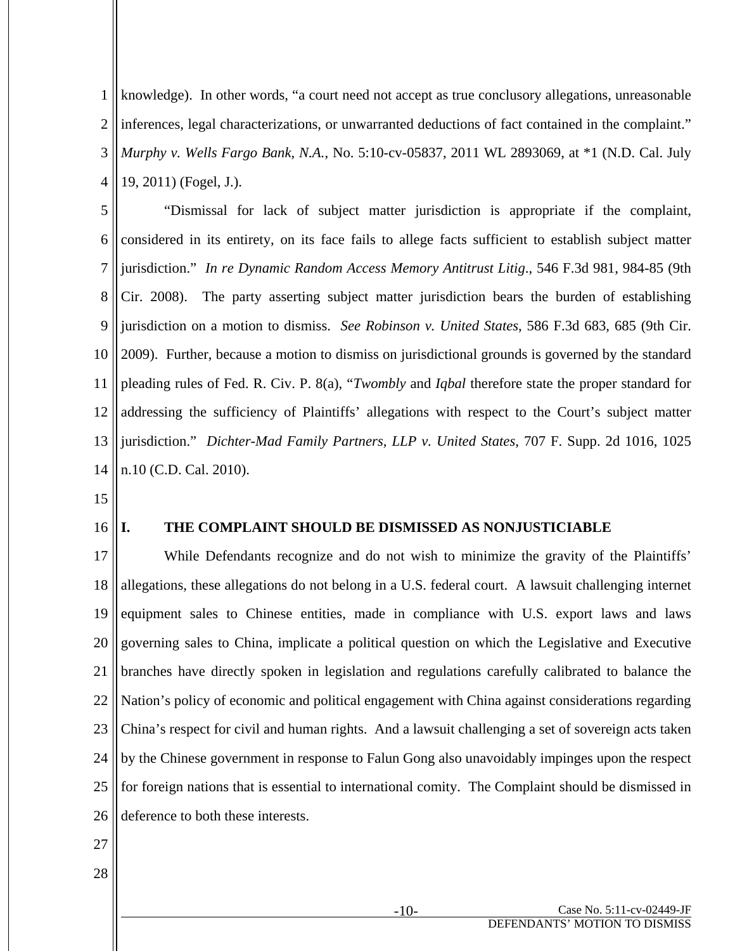1 2 3 4 knowledge). In other words, "a court need not accept as true conclusory allegations, unreasonable inferences, legal characterizations, or unwarranted deductions of fact contained in the complaint." *Murphy v. Wells Fargo Bank, N.A.*, No. 5:10-cv-05837, 2011 WL 2893069, at \*1 (N.D. Cal. July 19, 2011) (Fogel, J.).

5 6 7 8 9 10 11 12 13 14 "Dismissal for lack of subject matter jurisdiction is appropriate if the complaint, considered in its entirety, on its face fails to allege facts sufficient to establish subject matter jurisdiction." *In re Dynamic Random Access Memory Antitrust Litig*., 546 F.3d 981, 984-85 (9th Cir. 2008). The party asserting subject matter jurisdiction bears the burden of establishing jurisdiction on a motion to dismiss. *See Robinson v. United States*, 586 F.3d 683, 685 (9th Cir. 2009). Further, because a motion to dismiss on jurisdictional grounds is governed by the standard pleading rules of Fed. R. Civ. P. 8(a), "*Twombly* and *Iqbal* therefore state the proper standard for addressing the sufficiency of Plaintiffs' allegations with respect to the Court's subject matter jurisdiction." *Dichter-Mad Family Partners, LLP v. United States*, 707 F. Supp. 2d 1016, 1025 n.10 (C.D. Cal. 2010).

15

#### 16 **I. THE COMPLAINT SHOULD BE DISMISSED AS NONJUSTICIABLE**

17 18 19 20 21 22 23 24 25 26 While Defendants recognize and do not wish to minimize the gravity of the Plaintiffs' allegations, these allegations do not belong in a U.S. federal court. A lawsuit challenging internet equipment sales to Chinese entities, made in compliance with U.S. export laws and laws governing sales to China, implicate a political question on which the Legislative and Executive branches have directly spoken in legislation and regulations carefully calibrated to balance the Nation's policy of economic and political engagement with China against considerations regarding China's respect for civil and human rights. And a lawsuit challenging a set of sovereign acts taken by the Chinese government in response to Falun Gong also unavoidably impinges upon the respect for foreign nations that is essential to international comity. The Complaint should be dismissed in deference to both these interests.

- 27
- 28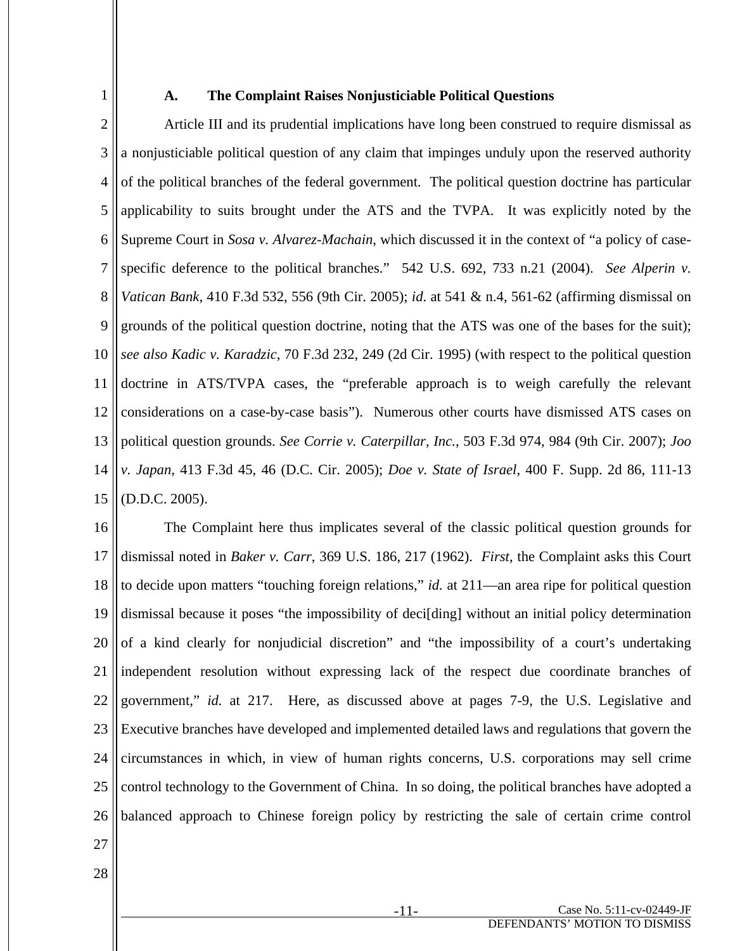1

### **A. The Complaint Raises Nonjusticiable Political Questions**

2 3 4 5 6 7 8 9 10 11 12 13 14 15 Article III and its prudential implications have long been construed to require dismissal as a nonjusticiable political question of any claim that impinges unduly upon the reserved authority of the political branches of the federal government. The political question doctrine has particular applicability to suits brought under the ATS and the TVPA. It was explicitly noted by the Supreme Court in *Sosa v. Alvarez-Machain*, which discussed it in the context of "a policy of casespecific deference to the political branches." 542 U.S. 692, 733 n.21 (2004). *See Alperin v. Vatican Bank*, 410 F.3d 532, 556 (9th Cir. 2005); *id*. at 541 & n.4, 561-62 (affirming dismissal on grounds of the political question doctrine, noting that the ATS was one of the bases for the suit); *see also Kadic v. Karadzic*, 70 F.3d 232, 249 (2d Cir. 1995) (with respect to the political question doctrine in ATS/TVPA cases, the "preferable approach is to weigh carefully the relevant considerations on a case-by-case basis"). Numerous other courts have dismissed ATS cases on political question grounds. *See Corrie v. Caterpillar, Inc.*, 503 F.3d 974, 984 (9th Cir. 2007); *Joo v. Japan*, 413 F.3d 45, 46 (D.C. Cir. 2005); *Doe v. State of Israel*, 400 F. Supp. 2d 86, 111-13 (D.D.C. 2005).

16 17 18 19 20 21 22 23 24 25 26 The Complaint here thus implicates several of the classic political question grounds for dismissal noted in *Baker v. Carr*, 369 U.S. 186, 217 (1962). *First*, the Complaint asks this Court to decide upon matters "touching foreign relations," *id.* at 211—an area ripe for political question dismissal because it poses "the impossibility of deci[ding] without an initial policy determination of a kind clearly for nonjudicial discretion" and "the impossibility of a court's undertaking independent resolution without expressing lack of the respect due coordinate branches of government," *id.* at 217. Here, as discussed above at pages 7-9, the U.S. Legislative and Executive branches have developed and implemented detailed laws and regulations that govern the circumstances in which, in view of human rights concerns, U.S. corporations may sell crime control technology to the Government of China. In so doing, the political branches have adopted a balanced approach to Chinese foreign policy by restricting the sale of certain crime control

- 27
- 28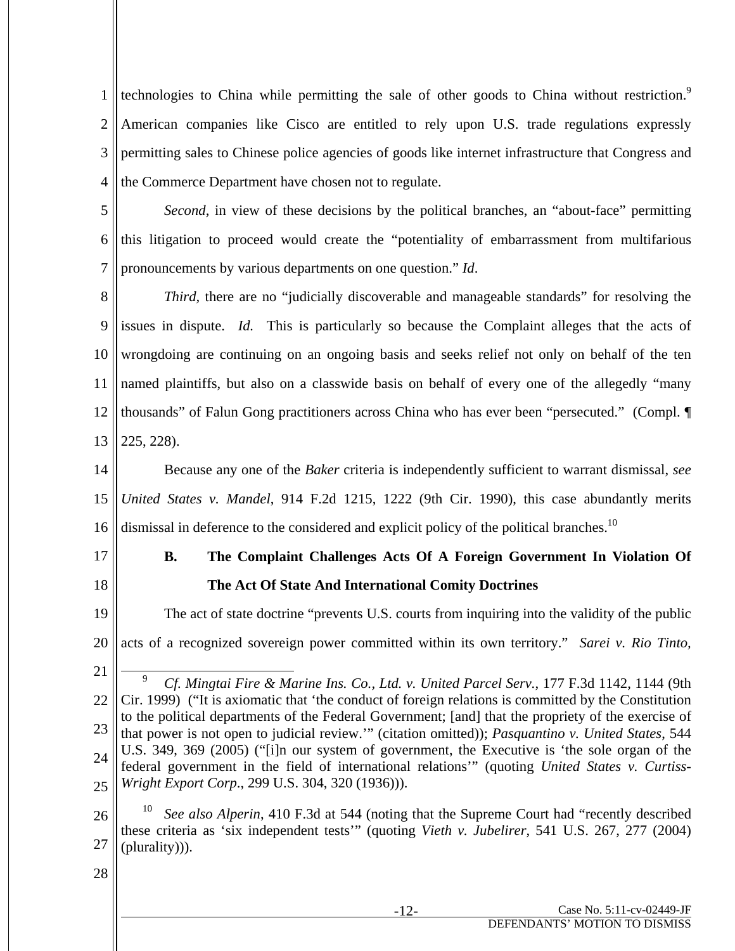1 2 3 4 technologies to China while permitting the sale of other goods to China without restriction.<sup>9</sup> American companies like Cisco are entitled to rely upon U.S. trade regulations expressly permitting sales to Chinese police agencies of goods like internet infrastructure that Congress and the Commerce Department have chosen not to regulate.

5

6 7 *Second*, in view of these decisions by the political branches, an "about-face" permitting this litigation to proceed would create the "potentiality of embarrassment from multifarious pronouncements by various departments on one question." *Id*.

8 9 10 11 12 13 *Third*, there are no "judicially discoverable and manageable standards" for resolving the issues in dispute. *Id.* This is particularly so because the Complaint alleges that the acts of wrongdoing are continuing on an ongoing basis and seeks relief not only on behalf of the ten named plaintiffs, but also on a classwide basis on behalf of every one of the allegedly "many thousands" of Falun Gong practitioners across China who has ever been "persecuted." (Compl. ¶ 225, 228).

14 15 16 Because any one of the *Baker* criteria is independently sufficient to warrant dismissal, *see United States v. Mandel*, 914 F.2d 1215, 1222 (9th Cir. 1990), this case abundantly merits dismissal in deference to the considered and explicit policy of the political branches.<sup>10</sup>

17

18

## **B. The Complaint Challenges Acts Of A Foreign Government In Violation Of The Act Of State And International Comity Doctrines**

19 20 The act of state doctrine "prevents U.S. courts from inquiring into the validity of the public acts of a recognized sovereign power committed within its own territory." *Sarei v. Rio Tinto,* 

21

26 27 <sup>10</sup> *See also Alperin*, 410 F.3d at 544 (noting that the Supreme Court had "recently described these criteria as 'six independent tests'" (quoting *Vieth v. Jubelirer*, 541 U.S. 267, 277 (2004) (plurality))).

<sup>22</sup> 23 24 25 9 *Cf. Mingtai Fire & Marine Ins. Co., Ltd. v. United Parcel Serv.*, 177 F.3d 1142, 1144 (9th Cir. 1999) ("It is axiomatic that 'the conduct of foreign relations is committed by the Constitution to the political departments of the Federal Government; [and] that the propriety of the exercise of that power is not open to judicial review.'" (citation omitted)); *Pasquantino v. United States*, 544 U.S. 349, 369 (2005) ("[i]n our system of government, the Executive is 'the sole organ of the federal government in the field of international relations'" (quoting *United States v. Curtiss-Wright Export Corp*., 299 U.S. 304, 320 (1936))).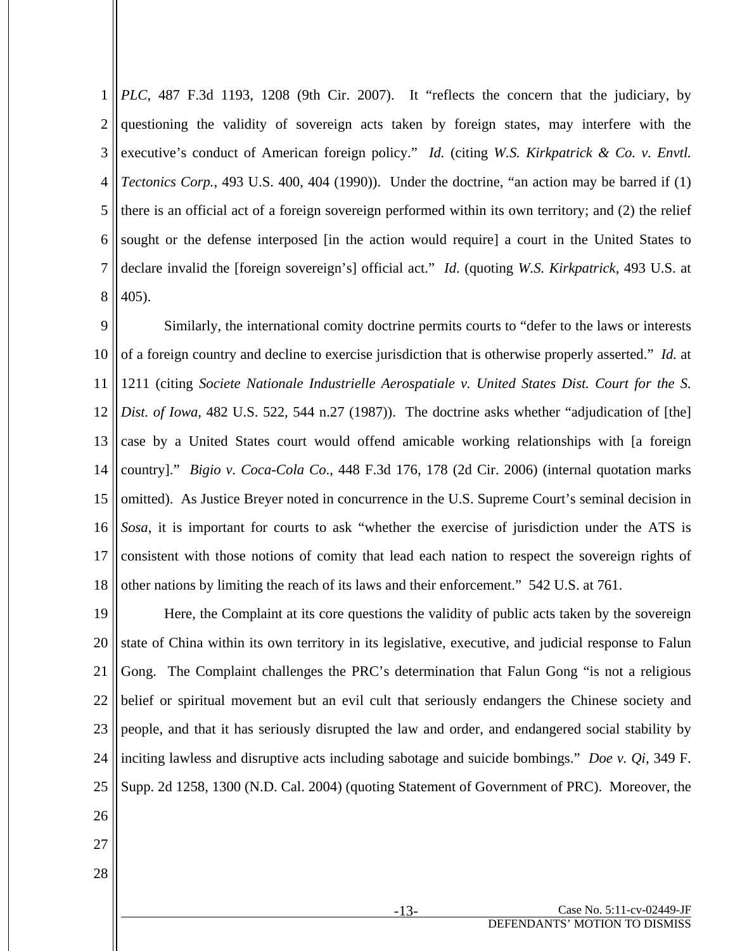1 2 3 4 5 6 7 8 *PLC*, 487 F.3d 1193, 1208 (9th Cir. 2007). It "reflects the concern that the judiciary, by questioning the validity of sovereign acts taken by foreign states, may interfere with the executive's conduct of American foreign policy." *Id.* (citing *W.S. Kirkpatrick & Co. v. Envtl. Tectonics Corp.*, 493 U.S. 400, 404 (1990)). Under the doctrine, "an action may be barred if (1) there is an official act of a foreign sovereign performed within its own territory; and (2) the relief sought or the defense interposed [in the action would require] a court in the United States to declare invalid the [foreign sovereign's] official act." *Id*. (quoting *W.S. Kirkpatrick*, 493 U.S. at 405).

9 10 11 12 13 14 15 16 17 18 Similarly, the international comity doctrine permits courts to "defer to the laws or interests of a foreign country and decline to exercise jurisdiction that is otherwise properly asserted." *Id.* at 1211 (citing *Societe Nationale Industrielle Aerospatiale v. United States Dist. Court for the S. Dist. of Iowa*, 482 U.S. 522, 544 n.27 (1987)). The doctrine asks whether "adjudication of [the] case by a United States court would offend amicable working relationships with [a foreign country]." *Bigio v. Coca-Cola Co*., 448 F.3d 176, 178 (2d Cir. 2006) (internal quotation marks omitted). As Justice Breyer noted in concurrence in the U.S. Supreme Court's seminal decision in *Sosa*, it is important for courts to ask "whether the exercise of jurisdiction under the ATS is consistent with those notions of comity that lead each nation to respect the sovereign rights of other nations by limiting the reach of its laws and their enforcement." 542 U.S. at 761.

19 20 21 22 23 24 25 26 Here, the Complaint at its core questions the validity of public acts taken by the sovereign state of China within its own territory in its legislative, executive, and judicial response to Falun Gong. The Complaint challenges the PRC's determination that Falun Gong "is not a religious belief or spiritual movement but an evil cult that seriously endangers the Chinese society and people, and that it has seriously disrupted the law and order, and endangered social stability by inciting lawless and disruptive acts including sabotage and suicide bombings." *Doe v. Qi*, 349 F. Supp. 2d 1258, 1300 (N.D. Cal. 2004) (quoting Statement of Government of PRC). Moreover, the

- 27
- 28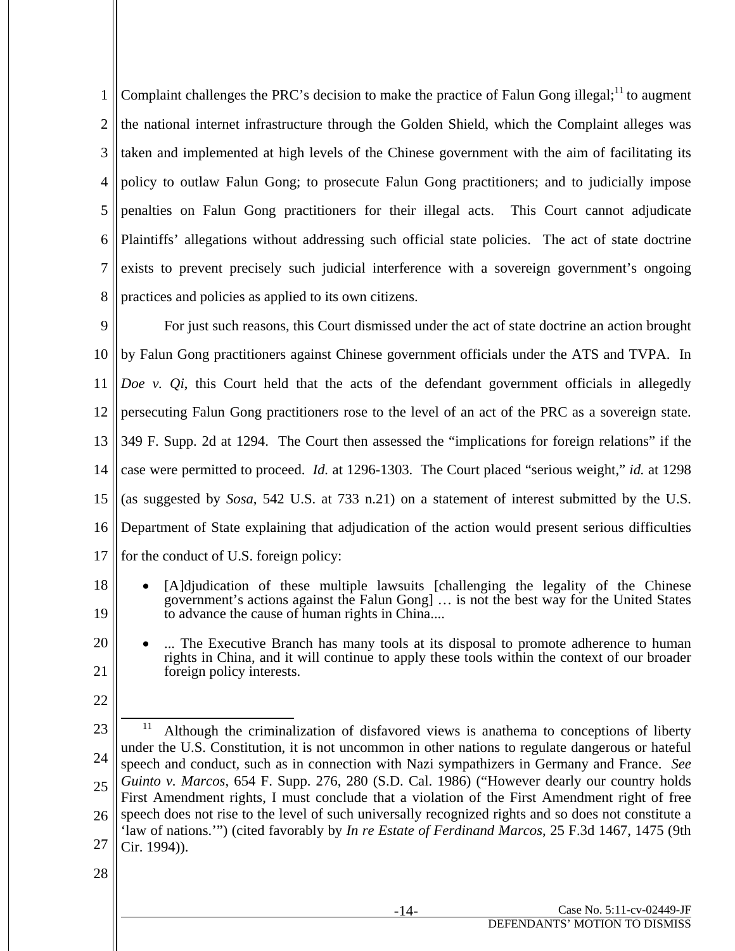1 2 3 4 5 6 7 8 Complaint challenges the PRC's decision to make the practice of Falun Gong illegal; $^{11}$  to augment the national internet infrastructure through the Golden Shield, which the Complaint alleges was taken and implemented at high levels of the Chinese government with the aim of facilitating its policy to outlaw Falun Gong; to prosecute Falun Gong practitioners; and to judicially impose penalties on Falun Gong practitioners for their illegal acts. This Court cannot adjudicate Plaintiffs' allegations without addressing such official state policies. The act of state doctrine exists to prevent precisely such judicial interference with a sovereign government's ongoing practices and policies as applied to its own citizens.

9 10 11 12 13 14 15 16 17 For just such reasons, this Court dismissed under the act of state doctrine an action brought by Falun Gong practitioners against Chinese government officials under the ATS and TVPA. In *Doe v. Qi*, this Court held that the acts of the defendant government officials in allegedly persecuting Falun Gong practitioners rose to the level of an act of the PRC as a sovereign state. 349 F. Supp. 2d at 1294. The Court then assessed the "implications for foreign relations" if the case were permitted to proceed. *Id.* at 1296-1303. The Court placed "serious weight," *id.* at 1298 (as suggested by *Sosa*, 542 U.S. at 733 n.21) on a statement of interest submitted by the U.S. Department of State explaining that adjudication of the action would present serious difficulties for the conduct of U.S. foreign policy:

18 19 [A]djudication of these multiple lawsuits [challenging the legality of the Chinese government's actions against the Falun Gong] … is not the best way for the United States to advance the cause of human rights in China....

20 21 ... The Executive Branch has many tools at its disposal to promote adherence to human rights in China, and it will continue to apply these tools within the context of our broader foreign policy interests.

22

<sup>23</sup> 24 25 26 27 <sup>11</sup> Although the criminalization of disfavored views is anathema to conceptions of liberty under the U.S. Constitution, it is not uncommon in other nations to regulate dangerous or hateful speech and conduct, such as in connection with Nazi sympathizers in Germany and France. *See Guinto v. Marcos*, 654 F. Supp. 276, 280 (S.D. Cal. 1986) ("However dearly our country holds First Amendment rights, I must conclude that a violation of the First Amendment right of free speech does not rise to the level of such universally recognized rights and so does not constitute a 'law of nations.'") (cited favorably by *In re Estate of Ferdinand Marcos*, 25 F.3d 1467, 1475 (9th Cir. 1994)).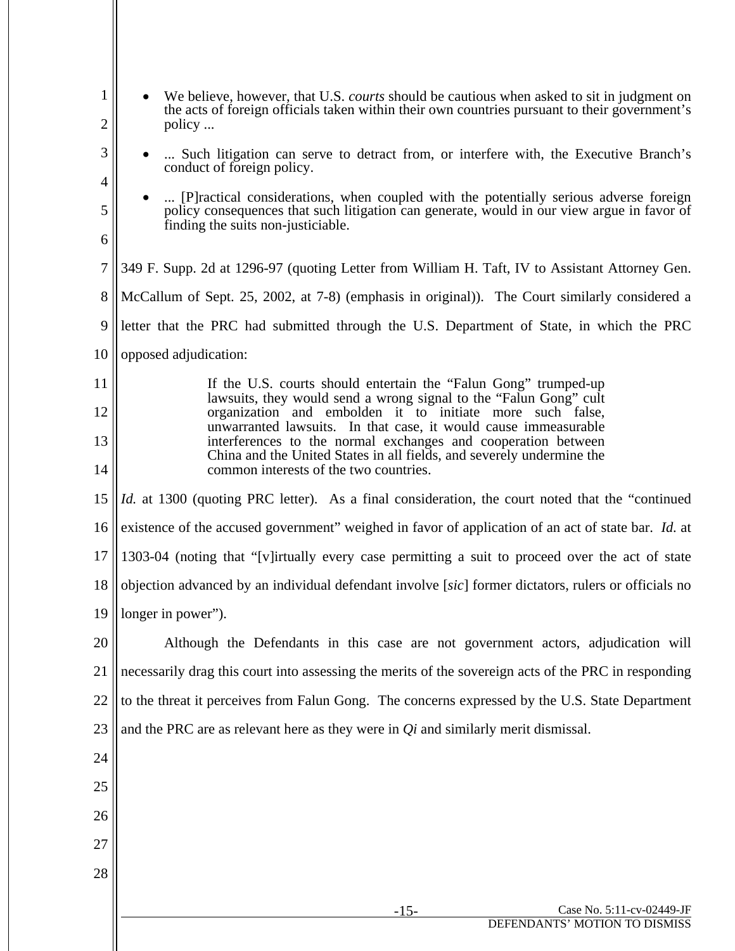| 28          |                                                                                                                                                                                                                            |
|-------------|----------------------------------------------------------------------------------------------------------------------------------------------------------------------------------------------------------------------------|
| 27          |                                                                                                                                                                                                                            |
| 26          |                                                                                                                                                                                                                            |
|             |                                                                                                                                                                                                                            |
| 25          |                                                                                                                                                                                                                            |
| 24          |                                                                                                                                                                                                                            |
| 23          | and the PRC are as relevant here as they were in $Q_i$ and similarly merit dismissal.                                                                                                                                      |
| 22          | to the threat it perceives from Falun Gong. The concerns expressed by the U.S. State Department                                                                                                                            |
| 21          | necessarily drag this court into assessing the merits of the sovereign acts of the PRC in responding                                                                                                                       |
| 20          | Although the Defendants in this case are not government actors, adjudication will                                                                                                                                          |
| 19          | longer in power").                                                                                                                                                                                                         |
| 18          | 1303-04 (noting that "[v]irtually every case permitting a suit to proceed over the act of state<br>objection advanced by an individual defendant involve [sic] former dictators, rulers or officials no                    |
| 16<br>17    | existence of the accused government" weighed in favor of application of an act of state bar. Id. at                                                                                                                        |
| 15          | <i>Id.</i> at 1300 (quoting PRC letter). As a final consideration, the court noted that the "continued"                                                                                                                    |
| 14          | common interests of the two countries.                                                                                                                                                                                     |
| 13          | interferences to the normal exchanges and cooperation between<br>China and the United States in all fields, and severely undermine the                                                                                     |
| 12          | organization and embolden it to initiate more such false,<br>unwarranted lawsuits. In that case, it would cause immeasurable                                                                                               |
| 11          | If the U.S. courts should entertain the "Falun Gong" trumped-up<br>lawsuits, they would send a wrong signal to the "Falun Gong" cult                                                                                       |
| 10          | opposed adjudication:                                                                                                                                                                                                      |
| 9           | letter that the PRC had submitted through the U.S. Department of State, in which the PRC                                                                                                                                   |
| 8           | McCallum of Sept. 25, 2002, at 7-8) (emphasis in original)). The Court similarly considered a                                                                                                                              |
| 7           | 349 F. Supp. 2d at 1296-97 (quoting Letter from William H. Taft, IV to Assistant Attorney Gen.                                                                                                                             |
| 6           |                                                                                                                                                                                                                            |
| 5           | [P] ractical considerations, when coupled with the potentially serious adverse foreign<br>policy consequences that such litigation can generate, would in our view argue in favor of<br>finding the suits non-justiciable. |
| 4           | conduct of foreign policy.                                                                                                                                                                                                 |
| 3           | Such litigation can serve to detract from, or interfere with, the Executive Branch's                                                                                                                                       |
| 2           | the acts of foreign officials taken within their own countries pursuant to their government's<br>policy                                                                                                                    |
| $\mathbf 1$ | We believe, however, that U.S. <i>courts</i> should be cautious when asked to sit in judgment on                                                                                                                           |

 $\mathsf{I}$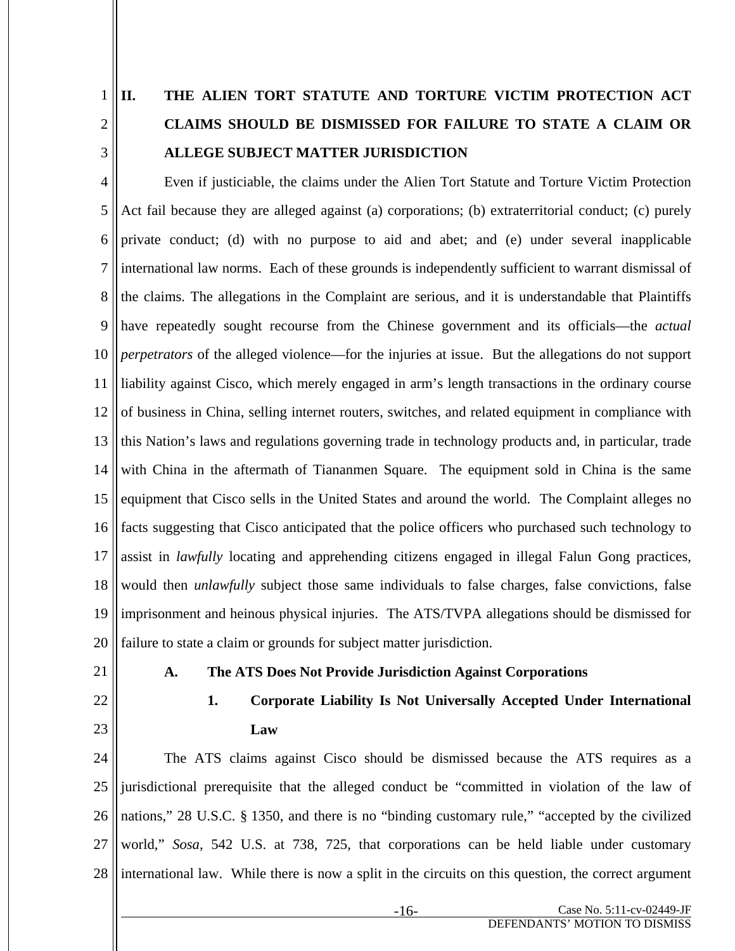1

2

3

# **II. THE ALIEN TORT STATUTE AND TORTURE VICTIM PROTECTION ACT CLAIMS SHOULD BE DISMISSED FOR FAILURE TO STATE A CLAIM OR ALLEGE SUBJECT MATTER JURISDICTION**

4 5 6 7 8 9 10 11 12 13 14 15 16 17 18 19 20 Even if justiciable, the claims under the Alien Tort Statute and Torture Victim Protection Act fail because they are alleged against (a) corporations; (b) extraterritorial conduct; (c) purely private conduct; (d) with no purpose to aid and abet; and (e) under several inapplicable international law norms. Each of these grounds is independently sufficient to warrant dismissal of the claims. The allegations in the Complaint are serious, and it is understandable that Plaintiffs have repeatedly sought recourse from the Chinese government and its officials—the *actual perpetrators* of the alleged violence—for the injuries at issue. But the allegations do not support liability against Cisco, which merely engaged in arm's length transactions in the ordinary course of business in China, selling internet routers, switches, and related equipment in compliance with this Nation's laws and regulations governing trade in technology products and, in particular, trade with China in the aftermath of Tiananmen Square. The equipment sold in China is the same equipment that Cisco sells in the United States and around the world. The Complaint alleges no facts suggesting that Cisco anticipated that the police officers who purchased such technology to assist in *lawfully* locating and apprehending citizens engaged in illegal Falun Gong practices, would then *unlawfully* subject those same individuals to false charges, false convictions, false imprisonment and heinous physical injuries. The ATS/TVPA allegations should be dismissed for failure to state a claim or grounds for subject matter jurisdiction.

21

## **A. The ATS Does Not Provide Jurisdiction Against Corporations**

22 23

## **1. Corporate Liability Is Not Universally Accepted Under International Law**

24 25 26 27 28 The ATS claims against Cisco should be dismissed because the ATS requires as a jurisdictional prerequisite that the alleged conduct be "committed in violation of the law of nations," 28 U.S.C. § 1350, and there is no "binding customary rule," "accepted by the civilized world," *Sosa*, 542 U.S. at 738, 725, that corporations can be held liable under customary international law. While there is now a split in the circuits on this question, the correct argument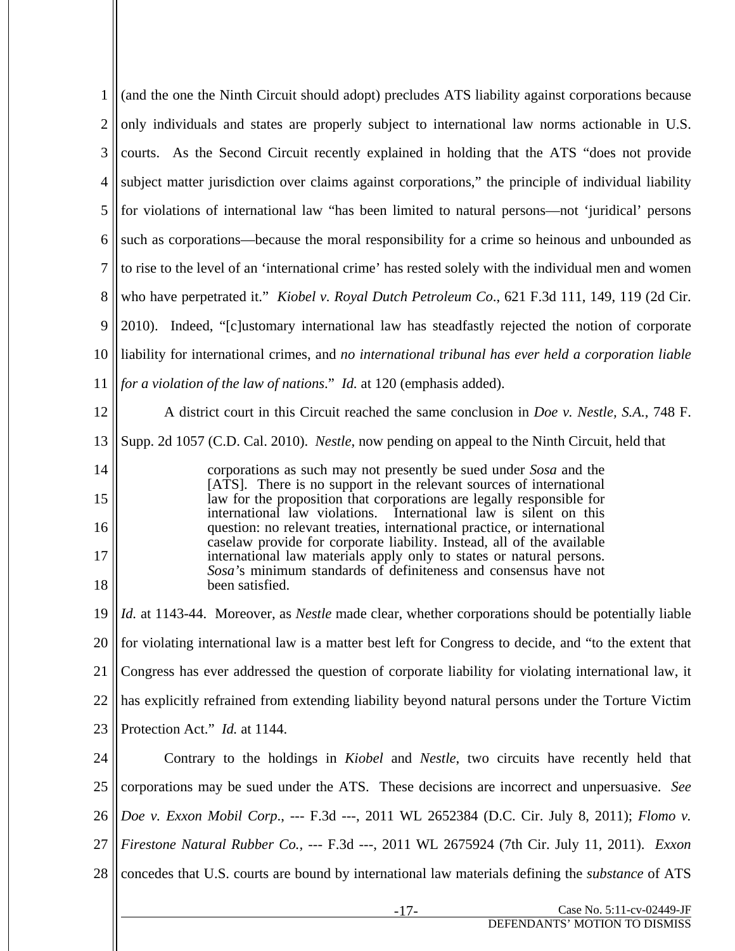1 2 3 4 5 6 7 8 9 10 11 12 13 14 15 16 17 18 19 20 21 22 23 24 25 26 27 28 -17- Case No. 5:11-cv-02449-JF (and the one the Ninth Circuit should adopt) precludes ATS liability against corporations because only individuals and states are properly subject to international law norms actionable in U.S. courts. As the Second Circuit recently explained in holding that the ATS "does not provide subject matter jurisdiction over claims against corporations," the principle of individual liability for violations of international law "has been limited to natural persons—not 'juridical' persons such as corporations—because the moral responsibility for a crime so heinous and unbounded as to rise to the level of an 'international crime' has rested solely with the individual men and women who have perpetrated it." *Kiobel v. Royal Dutch Petroleum Co*., 621 F.3d 111, 149, 119 (2d Cir. 2010). Indeed, "[c]ustomary international law has steadfastly rejected the notion of corporate liability for international crimes, and *no international tribunal has ever held a corporation liable for a violation of the law of nations*." *Id.* at 120 (emphasis added). A district court in this Circuit reached the same conclusion in *Doe v. Nestle, S.A.*, 748 F. Supp. 2d 1057 (C.D. Cal. 2010). *Nestle*, now pending on appeal to the Ninth Circuit, held that corporations as such may not presently be sued under *Sosa* and the [ATS]. There is no support in the relevant sources of international law for the proposition that corporations are legally responsible for international law violations. International law is silent on this question: no relevant treaties, international practice, or international caselaw provide for corporate liability. Instead, all of the available international law materials apply only to states or natural persons. *Sosa'*s minimum standards of definiteness and consensus have not been satisfied. *Id.* at 1143-44. Moreover, as *Nestle* made clear, whether corporations should be potentially liable for violating international law is a matter best left for Congress to decide, and "to the extent that Congress has ever addressed the question of corporate liability for violating international law, it has explicitly refrained from extending liability beyond natural persons under the Torture Victim Protection Act." *Id.* at 1144. Contrary to the holdings in *Kiobel* and *Nestle*, two circuits have recently held that corporations may be sued under the ATS. These decisions are incorrect and unpersuasive. *See Doe v. Exxon Mobil Corp*., --- F.3d ---, 2011 WL 2652384 (D.C. Cir. July 8, 2011); *Flomo v. Firestone Natural Rubber Co.,* --- F.3d ---, 2011 WL 2675924 (7th Cir. July 11, 2011). *Exxon*  concedes that U.S. courts are bound by international law materials defining the *substance* of ATS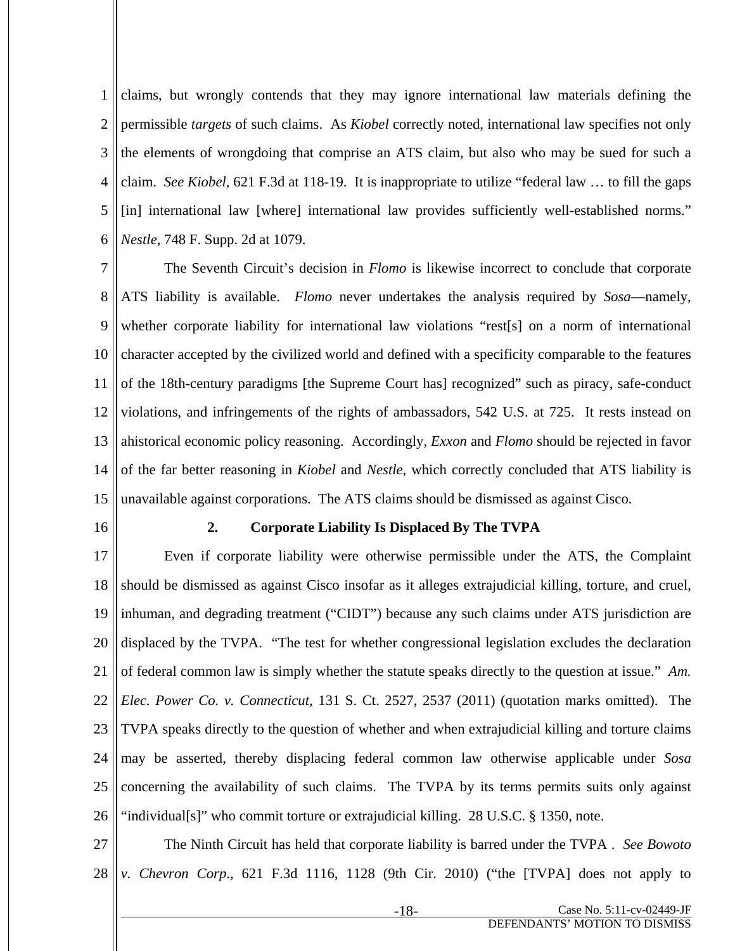1 2 3 4 5 6 claims, but wrongly contends that they may ignore international law materials defining the permissible *targets* of such claims. As *Kiobel* correctly noted, international law specifies not only the elements of wrongdoing that comprise an ATS claim, but also who may be sued for such a claim. *See Kiobel*, 621 F.3d at 118-19. It is inappropriate to utilize "federal law … to fill the gaps [in] international law [where] international law provides sufficiently well-established norms." *Nestle*, 748 F. Supp. 2d at 1079.

7 8 9 10 11 12 13 14 15 The Seventh Circuit's decision in *Flomo* is likewise incorrect to conclude that corporate ATS liability is available. *Flomo* never undertakes the analysis required by *Sosa*—namely, whether corporate liability for international law violations "rest[s] on a norm of international character accepted by the civilized world and defined with a specificity comparable to the features of the 18th-century paradigms [the Supreme Court has] recognized" such as piracy, safe-conduct violations, and infringements of the rights of ambassadors, 542 U.S. at 725. It rests instead on ahistorical economic policy reasoning. Accordingly, *Exxon* and *Flomo* should be rejected in favor of the far better reasoning in *Kiobel* and *Nestle*, which correctly concluded that ATS liability is unavailable against corporations. The ATS claims should be dismissed as against Cisco.

16

#### **2. Corporate Liability Is Displaced By The TVPA**

17 18 19 20 21 22 23 24 25 26 Even if corporate liability were otherwise permissible under the ATS, the Complaint should be dismissed as against Cisco insofar as it alleges extrajudicial killing, torture, and cruel, inhuman, and degrading treatment ("CIDT") because any such claims under ATS jurisdiction are displaced by the TVPA. "The test for whether congressional legislation excludes the declaration of federal common law is simply whether the statute speaks directly to the question at issue." *Am. Elec. Power Co. v. Connecticut,* 131 S. Ct. 2527, 2537 (2011) (quotation marks omitted). The TVPA speaks directly to the question of whether and when extrajudicial killing and torture claims may be asserted, thereby displacing federal common law otherwise applicable under *Sosa*  concerning the availability of such claims. The TVPA by its terms permits suits only against "individual[s]" who commit torture or extrajudicial killing. 28 U.S.C. § 1350, note.

27 28 The Ninth Circuit has held that corporate liability is barred under the TVPA . *See Bowoto v. Chevron Corp*., 621 F.3d 1116, 1128 (9th Cir. 2010) ("the [TVPA] does not apply to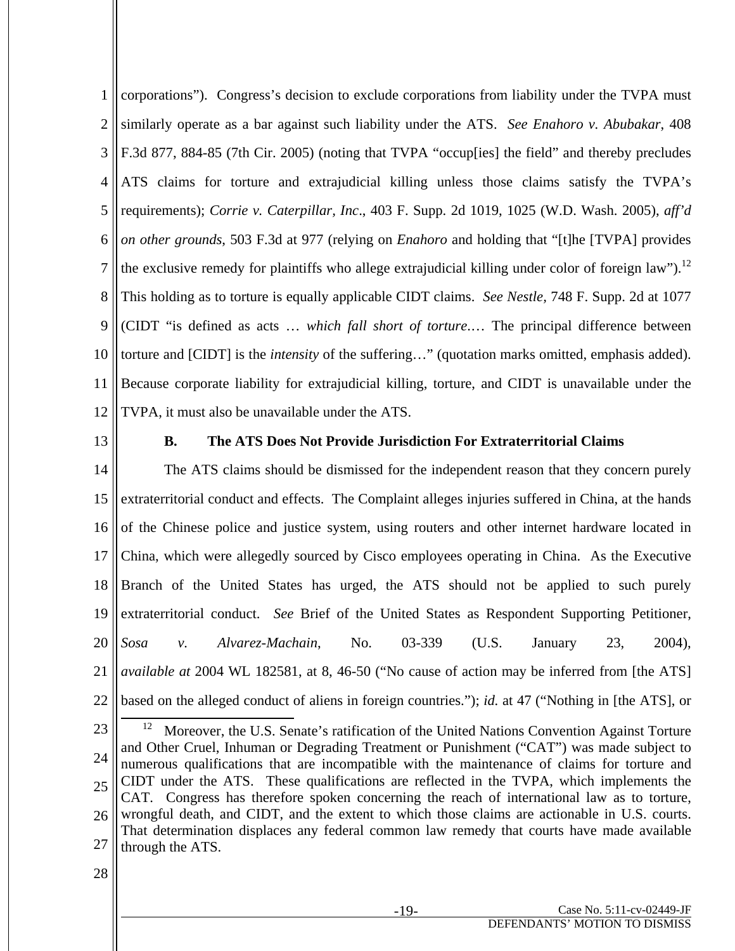1 2 3 4 5 6 7 8 9 10 11 12 corporations"). Congress's decision to exclude corporations from liability under the TVPA must similarly operate as a bar against such liability under the ATS. *See Enahoro v. Abubakar*, 408 F.3d 877, 884-85 (7th Cir. 2005) (noting that TVPA "occup[ies] the field" and thereby precludes ATS claims for torture and extrajudicial killing unless those claims satisfy the TVPA's requirements); *Corrie v. Caterpillar, Inc*., 403 F. Supp. 2d 1019, 1025 (W.D. Wash. 2005), *aff'd on other grounds*, 503 F.3d at 977 (relying on *Enahoro* and holding that "[t]he [TVPA] provides the exclusive remedy for plaintiffs who allege extrajudicial killing under color of foreign law").<sup>12</sup> This holding as to torture is equally applicable CIDT claims. *See Nestle,* 748 F. Supp. 2d at 1077 (CIDT "is defined as acts … *which fall short of torture*.… The principal difference between torture and [CIDT] is the *intensity* of the suffering…" (quotation marks omitted, emphasis added). Because corporate liability for extrajudicial killing, torture, and CIDT is unavailable under the TVPA, it must also be unavailable under the ATS.

13

#### **B. The ATS Does Not Provide Jurisdiction For Extraterritorial Claims**

14 15 16 17 18 19 20 21 22 The ATS claims should be dismissed for the independent reason that they concern purely extraterritorial conduct and effects. The Complaint alleges injuries suffered in China, at the hands of the Chinese police and justice system, using routers and other internet hardware located in China, which were allegedly sourced by Cisco employees operating in China. As the Executive Branch of the United States has urged, the ATS should not be applied to such purely extraterritorial conduct. *See* Brief of the United States as Respondent Supporting Petitioner, *Sosa v. Alvarez-Machain*, No. 03-339 (U.S. January 23, 2004), *available at* 2004 WL 182581, at 8, 46-50 ("No cause of action may be inferred from [the ATS] based on the alleged conduct of aliens in foreign countries."); *id.* at 47 ("Nothing in [the ATS], or

<sup>23</sup> 24 25 26 27 <sup>12</sup> Moreover, the U.S. Senate's ratification of the United Nations Convention Against Torture and Other Cruel, Inhuman or Degrading Treatment or Punishment ("CAT") was made subject to numerous qualifications that are incompatible with the maintenance of claims for torture and CIDT under the ATS. These qualifications are reflected in the TVPA, which implements the CAT. Congress has therefore spoken concerning the reach of international law as to torture, wrongful death, and CIDT, and the extent to which those claims are actionable in U.S. courts. That determination displaces any federal common law remedy that courts have made available through the ATS.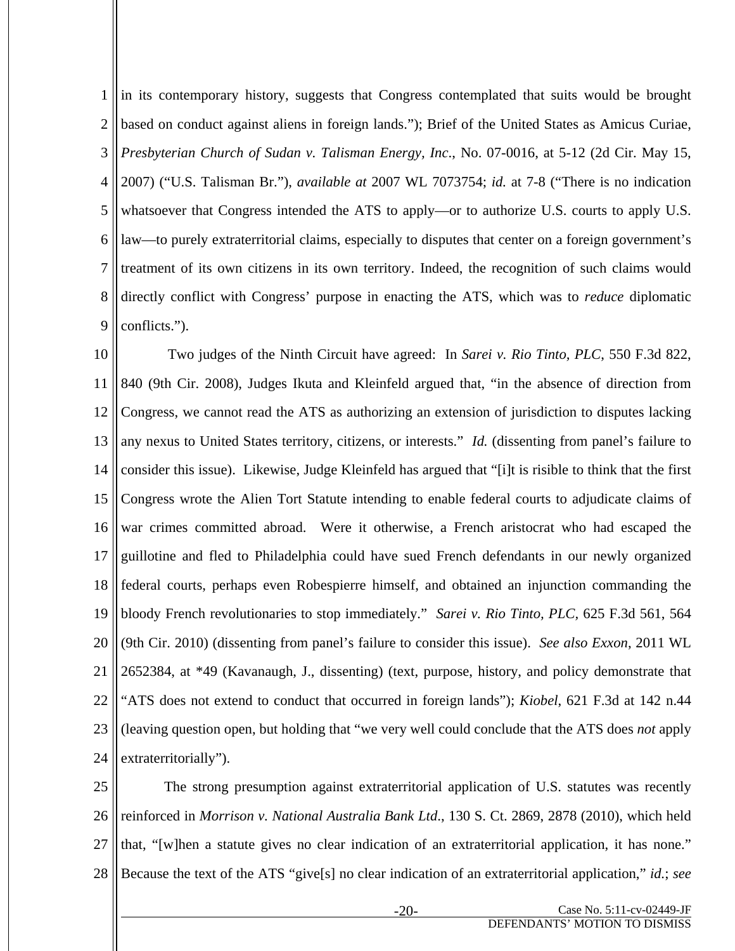1 2 3 4 5 6 7 8 9 in its contemporary history, suggests that Congress contemplated that suits would be brought based on conduct against aliens in foreign lands."); Brief of the United States as Amicus Curiae, *Presbyterian Church of Sudan v. Talisman Energy, Inc*., No. 07-0016, at 5-12 (2d Cir. May 15, 2007) ("U.S. Talisman Br."), *available at* 2007 WL 7073754; *id.* at 7-8 ("There is no indication whatsoever that Congress intended the ATS to apply—or to authorize U.S. courts to apply U.S. law—to purely extraterritorial claims, especially to disputes that center on a foreign government's treatment of its own citizens in its own territory. Indeed, the recognition of such claims would directly conflict with Congress' purpose in enacting the ATS, which was to *reduce* diplomatic conflicts.").

10 11 12 13 14 15 16 17 18 19 20 21 22 23 24 Two judges of the Ninth Circuit have agreed: In *Sarei v. Rio Tinto, PLC*, 550 F.3d 822, 840 (9th Cir. 2008), Judges Ikuta and Kleinfeld argued that, "in the absence of direction from Congress, we cannot read the ATS as authorizing an extension of jurisdiction to disputes lacking any nexus to United States territory, citizens, or interests." *Id.* (dissenting from panel's failure to consider this issue). Likewise, Judge Kleinfeld has argued that "[i]t is risible to think that the first Congress wrote the Alien Tort Statute intending to enable federal courts to adjudicate claims of war crimes committed abroad. Were it otherwise, a French aristocrat who had escaped the guillotine and fled to Philadelphia could have sued French defendants in our newly organized federal courts, perhaps even Robespierre himself, and obtained an injunction commanding the bloody French revolutionaries to stop immediately." *Sarei v. Rio Tinto, PLC,* 625 F.3d 561, 564 (9th Cir. 2010) (dissenting from panel's failure to consider this issue). *See also Exxon*, 2011 WL 2652384, at \*49 (Kavanaugh, J., dissenting) (text, purpose, history, and policy demonstrate that "ATS does not extend to conduct that occurred in foreign lands"); *Kiobel*, 621 F.3d at 142 n.44 (leaving question open, but holding that "we very well could conclude that the ATS does *not* apply extraterritorially").

25 26 27 28 The strong presumption against extraterritorial application of U.S. statutes was recently reinforced in *Morrison v. National Australia Bank Ltd*., 130 S. Ct. 2869, 2878 (2010), which held that, "[w]hen a statute gives no clear indication of an extraterritorial application, it has none." Because the text of the ATS "give[s] no clear indication of an extraterritorial application," *id.*; *see*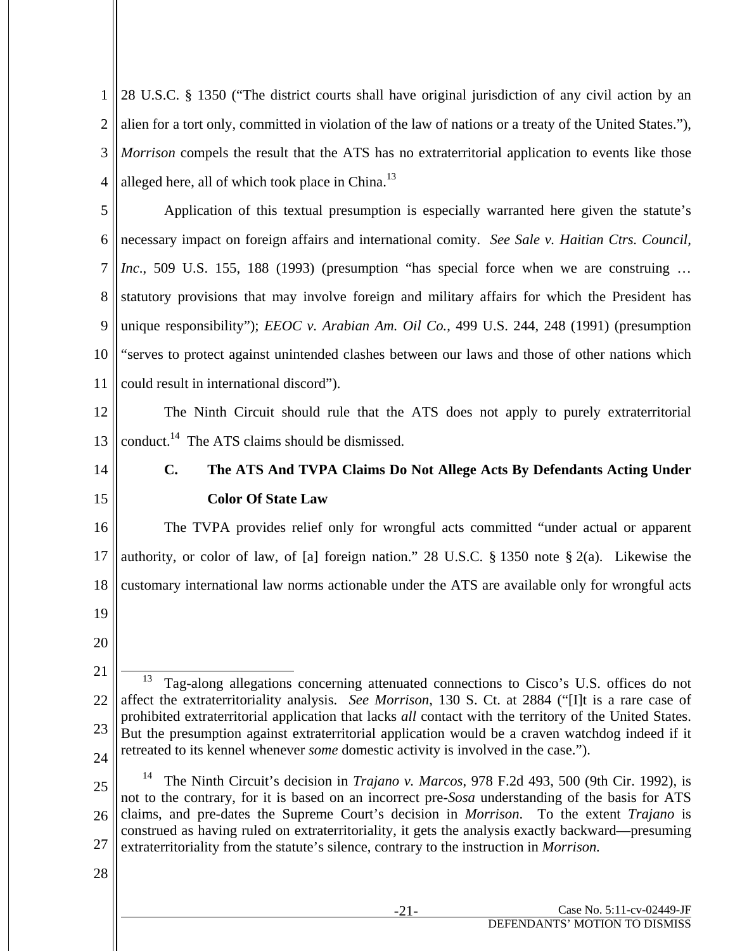1 2 3 4 28 U.S.C. § 1350 ("The district courts shall have original jurisdiction of any civil action by an alien for a tort only, committed in violation of the law of nations or a treaty of the United States."), *Morrison* compels the result that the ATS has no extraterritorial application to events like those alleged here, all of which took place in China.<sup>13</sup>

5 6 7 8 9 10 11 Application of this textual presumption is especially warranted here given the statute's necessary impact on foreign affairs and international comity. *See Sale v. Haitian Ctrs. Council, Inc.*, 509 U.S. 155, 188 (1993) (presumption "has special force when we are construing ... statutory provisions that may involve foreign and military affairs for which the President has unique responsibility"); *EEOC v. Arabian Am. Oil Co.*, 499 U.S. 244, 248 (1991) (presumption "serves to protect against unintended clashes between our laws and those of other nations which could result in international discord").

12 13 The Ninth Circuit should rule that the ATS does not apply to purely extraterritorial conduct.<sup>14</sup> The ATS claims should be dismissed.

14

15

# **C. The ATS And TVPA Claims Do Not Allege Acts By Defendants Acting Under Color Of State Law**

16 17 18 19 The TVPA provides relief only for wrongful acts committed "under actual or apparent authority, or color of law, of [a] foreign nation." 28 U.S.C. § 1350 note § 2(a). Likewise the customary international law norms actionable under the ATS are available only for wrongful acts

20

25

<sup>21</sup> 22 23 24 13 Tag-along allegations concerning attenuated connections to Cisco's U.S. offices do not affect the extraterritoriality analysis. *See Morrison*, 130 S. Ct. at 2884 ("[I]t is a rare case of prohibited extraterritorial application that lacks *all* contact with the territory of the United States. But the presumption against extraterritorial application would be a craven watchdog indeed if it retreated to its kennel whenever *some* domestic activity is involved in the case.").

<sup>26</sup> 27 14 The Ninth Circuit's decision in *Trajano v. Marcos*, 978 F.2d 493, 500 (9th Cir. 1992), is not to the contrary, for it is based on an incorrect pre-*Sosa* understanding of the basis for ATS claims, and pre-dates the Supreme Court's decision in *Morrison*. To the extent *Trajano* is construed as having ruled on extraterritoriality, it gets the analysis exactly backward—presuming extraterritoriality from the statute's silence, contrary to the instruction in *Morrison.*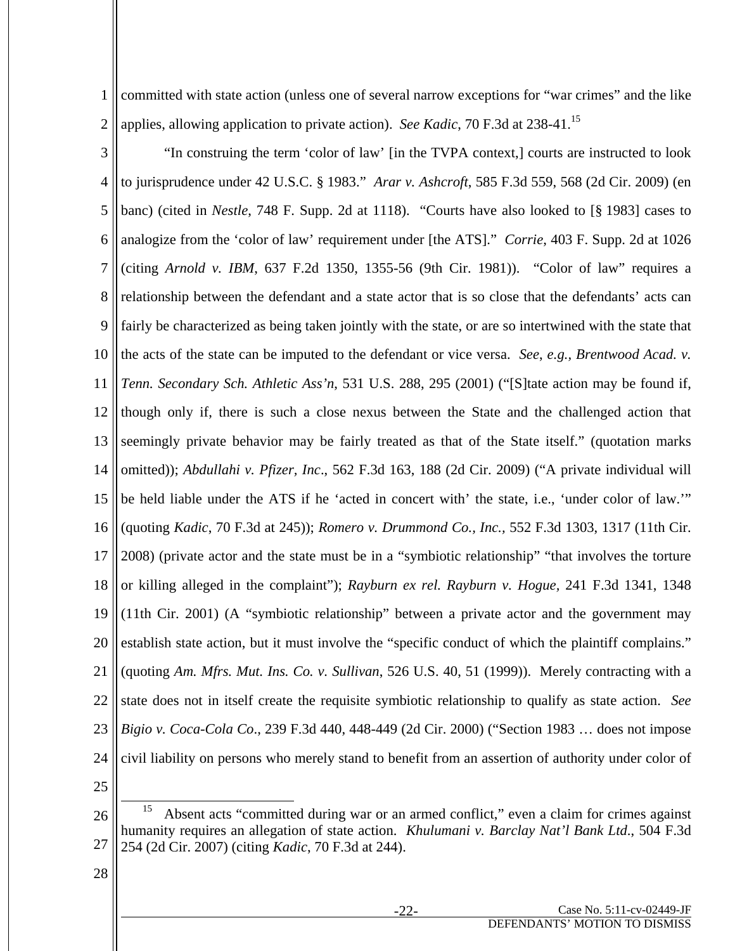1 2 committed with state action (unless one of several narrow exceptions for "war crimes" and the like applies, allowing application to private action). *See Kadic*, 70 F.3d at 238-41.15

- 3 4 5 6 7 8 9 10 11 12 13 14 15 16 17 18 19 20 21 22 23 24 "In construing the term 'color of law' [in the TVPA context,] courts are instructed to look to jurisprudence under 42 U.S.C. § 1983." *Arar v. Ashcroft*, 585 F.3d 559, 568 (2d Cir. 2009) (en banc) (cited in *Nestle*, 748 F. Supp. 2d at 1118). "Courts have also looked to [§ 1983] cases to analogize from the 'color of law' requirement under [the ATS]." *Corrie*, 403 F. Supp. 2d at 1026 (citing *Arnold v. IBM*, 637 F.2d 1350, 1355-56 (9th Cir. 1981)). "Color of law" requires a relationship between the defendant and a state actor that is so close that the defendants' acts can fairly be characterized as being taken jointly with the state, or are so intertwined with the state that the acts of the state can be imputed to the defendant or vice versa. *See*, *e.g., Brentwood Acad. v. Tenn. Secondary Sch. Athletic Ass'n*, 531 U.S. 288, 295 (2001) ("[S]tate action may be found if, though only if, there is such a close nexus between the State and the challenged action that seemingly private behavior may be fairly treated as that of the State itself." (quotation marks omitted)); *Abdullahi v. Pfizer, Inc*., 562 F.3d 163, 188 (2d Cir. 2009) ("A private individual will be held liable under the ATS if he 'acted in concert with' the state, i.e., 'under color of law.'" (quoting *Kadic*, 70 F.3d at 245)); *Romero v. Drummond Co., Inc.,* 552 F.3d 1303, 1317 (11th Cir. 2008) (private actor and the state must be in a "symbiotic relationship" "that involves the torture or killing alleged in the complaint"); *Rayburn ex rel. Rayburn v. Hogue,* 241 F.3d 1341, 1348 (11th Cir. 2001) (A "symbiotic relationship" between a private actor and the government may establish state action, but it must involve the "specific conduct of which the plaintiff complains." (quoting *Am. Mfrs. Mut. Ins. Co. v. Sullivan*, 526 U.S. 40, 51 (1999)). Merely contracting with a state does not in itself create the requisite symbiotic relationship to qualify as state action. *See Bigio v. Coca-Cola Co*., 239 F.3d 440, 448-449 (2d Cir. 2000) ("Section 1983 … does not impose civil liability on persons who merely stand to benefit from an assertion of authority under color of
- 25

<sup>26</sup> 27 <sup>15</sup> Absent acts "committed during war or an armed conflict," even a claim for crimes against humanity requires an allegation of state action. *Khulumani v. Barclay Nat'l Bank Ltd*., 504 F.3d 254 (2d Cir. 2007) (citing *Kadic*, 70 F.3d at 244).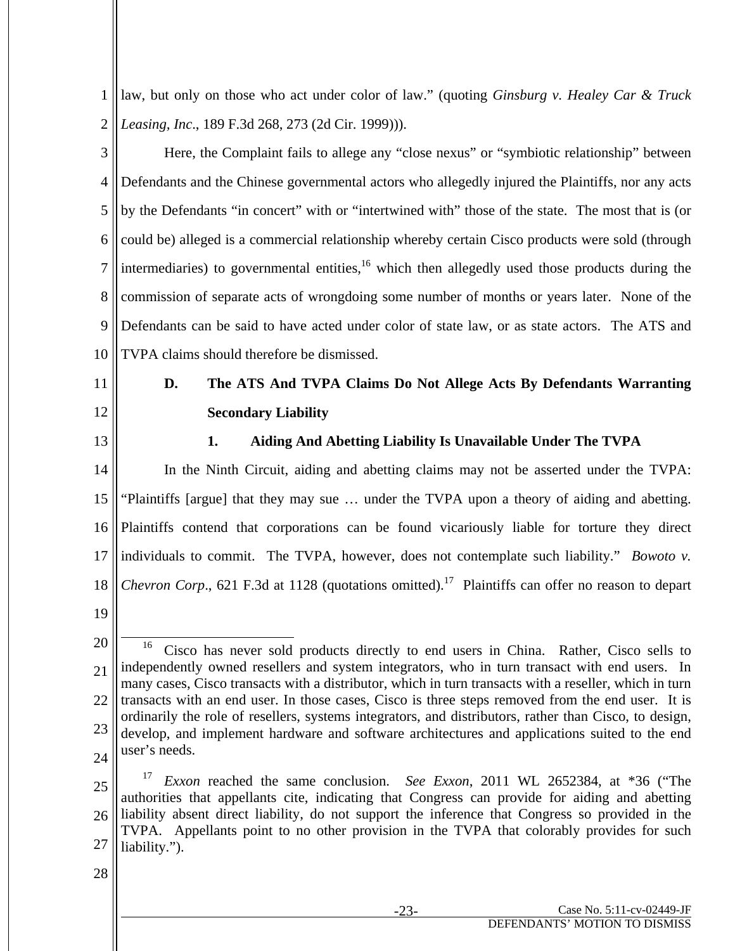1 2 law, but only on those who act under color of law." (quoting *Ginsburg v. Healey Car & Truck Leasing, Inc*., 189 F.3d 268, 273 (2d Cir. 1999))).

3 4 5 6 7 8 9 10 Here, the Complaint fails to allege any "close nexus" or "symbiotic relationship" between Defendants and the Chinese governmental actors who allegedly injured the Plaintiffs, nor any acts by the Defendants "in concert" with or "intertwined with" those of the state. The most that is (or could be) alleged is a commercial relationship whereby certain Cisco products were sold (through intermediaries) to governmental entities,  $16$  which then allegedly used those products during the commission of separate acts of wrongdoing some number of months or years later. None of the Defendants can be said to have acted under color of state law, or as state actors. The ATS and TVPA claims should therefore be dismissed.

## 11

- 12
- 13

# **D. The ATS And TVPA Claims Do Not Allege Acts By Defendants Warranting Secondary Liability**

## **1. Aiding And Abetting Liability Is Unavailable Under The TVPA**

14 15 16 17 18 19 In the Ninth Circuit, aiding and abetting claims may not be asserted under the TVPA: "Plaintiffs [argue] that they may sue … under the TVPA upon a theory of aiding and abetting. Plaintiffs contend that corporations can be found vicariously liable for torture they direct individuals to commit. The TVPA, however, does not contemplate such liability." *Bowoto v. Chevron Corp.*, 621 F.3d at 1128 (quotations omitted).<sup>17</sup> Plaintiffs can offer no reason to depart

- 25 26 27 <sup>17</sup> *Exxon* reached the same conclusion. *See Exxon*, 2011 WL 2652384, at \*36 ("The authorities that appellants cite, indicating that Congress can provide for aiding and abetting liability absent direct liability, do not support the inference that Congress so provided in the TVPA. Appellants point to no other provision in the TVPA that colorably provides for such liability.").
- 28

<sup>20</sup> 21 22 23 24 <sup>16</sup> Cisco has never sold products directly to end users in China. Rather, Cisco sells to independently owned resellers and system integrators, who in turn transact with end users. In many cases, Cisco transacts with a distributor, which in turn transacts with a reseller, which in turn transacts with an end user. In those cases, Cisco is three steps removed from the end user. It is ordinarily the role of resellers, systems integrators, and distributors, rather than Cisco, to design, develop, and implement hardware and software architectures and applications suited to the end user's needs.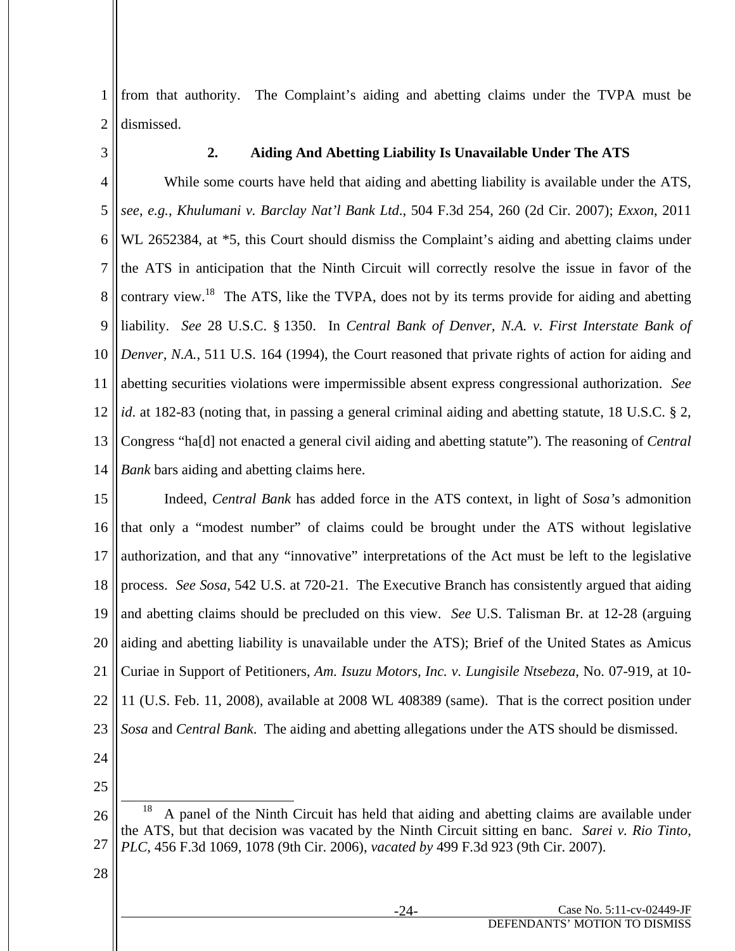1 2 from that authority. The Complaint's aiding and abetting claims under the TVPA must be dismissed.

3

## **2. Aiding And Abetting Liability Is Unavailable Under The ATS**

4 5 6 7 8 9 10 11 12 13 14 While some courts have held that aiding and abetting liability is available under the ATS, *see*, *e.g.*, *Khulumani v. Barclay Nat'l Bank Ltd*., 504 F.3d 254, 260 (2d Cir. 2007); *Exxon*, 2011 WL 2652384, at \*5, this Court should dismiss the Complaint's aiding and abetting claims under the ATS in anticipation that the Ninth Circuit will correctly resolve the issue in favor of the contrary view.<sup>18</sup> The ATS, like the TVPA, does not by its terms provide for aiding and abetting liability. *See* 28 U.S.C. § 1350. In *Central Bank of Denver, N.A. v. First Interstate Bank of Denver, N.A.*, 511 U.S. 164 (1994), the Court reasoned that private rights of action for aiding and abetting securities violations were impermissible absent express congressional authorization. *See id*. at 182-83 (noting that, in passing a general criminal aiding and abetting statute, 18 U.S.C. § 2, Congress "ha[d] not enacted a general civil aiding and abetting statute"). The reasoning of *Central Bank* bars aiding and abetting claims here.

15 16 17 18 19 20 21 22 23 Indeed, *Central Bank* has added force in the ATS context, in light of *Sosa'*s admonition that only a "modest number" of claims could be brought under the ATS without legislative authorization, and that any "innovative" interpretations of the Act must be left to the legislative process. *See Sosa*, 542 U.S. at 720-21. The Executive Branch has consistently argued that aiding and abetting claims should be precluded on this view. *See* U.S. Talisman Br. at 12-28 (arguing aiding and abetting liability is unavailable under the ATS); Brief of the United States as Amicus Curiae in Support of Petitioners, *Am. Isuzu Motors, Inc. v. Lungisile Ntsebeza*, No. 07-919, at 10- 11 (U.S. Feb. 11, 2008), available at 2008 WL 408389 (same). That is the correct position under *Sosa* and *Central Bank*. The aiding and abetting allegations under the ATS should be dismissed.

- 24
- 25

<sup>26</sup> 27 18 A panel of the Ninth Circuit has held that aiding and abetting claims are available under the ATS, but that decision was vacated by the Ninth Circuit sitting en banc. *Sarei v. Rio Tinto, PLC*, 456 F.3d 1069, 1078 (9th Cir. 2006), *vacated by* 499 F.3d 923 (9th Cir. 2007).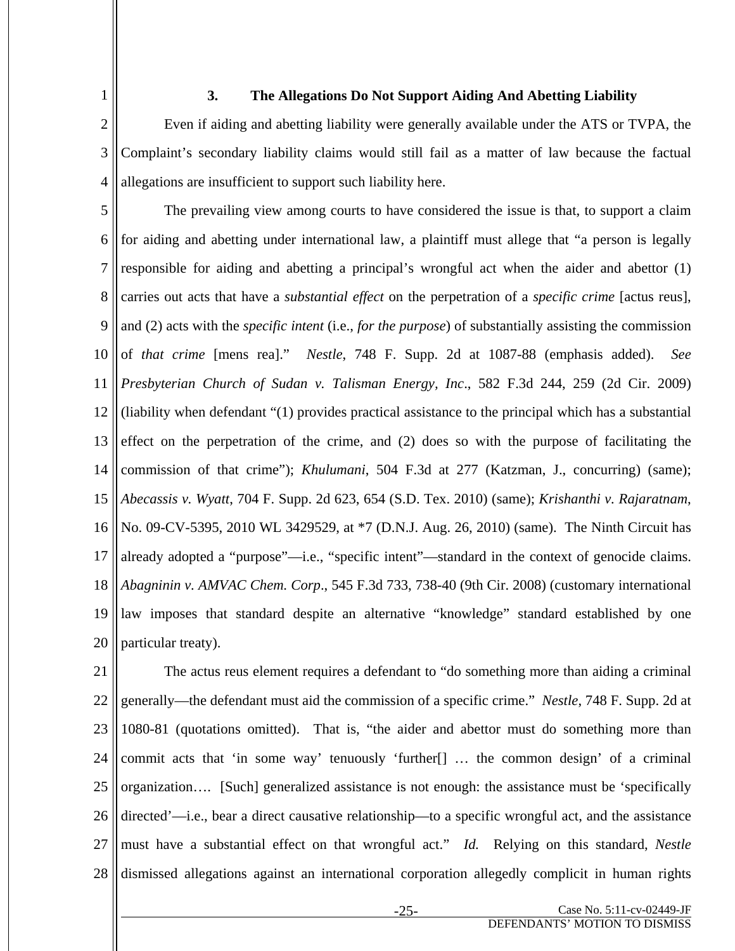1

## **3. The Allegations Do Not Support Aiding And Abetting Liability**

2 3 4 Even if aiding and abetting liability were generally available under the ATS or TVPA, the Complaint's secondary liability claims would still fail as a matter of law because the factual allegations are insufficient to support such liability here.

5 6 7 8 9 10 11 12 13 14 15 16 17 18 19 20 The prevailing view among courts to have considered the issue is that, to support a claim for aiding and abetting under international law, a plaintiff must allege that "a person is legally responsible for aiding and abetting a principal's wrongful act when the aider and abettor (1) carries out acts that have a *substantial effect* on the perpetration of a *specific crime* [actus reus], and (2) acts with the *specific intent* (i.e., *for the purpose*) of substantially assisting the commission of *that crime* [mens rea]." *Nestle*, 748 F. Supp. 2d at 1087-88 (emphasis added). *See Presbyterian Church of Sudan v. Talisman Energy, Inc*., 582 F.3d 244, 259 (2d Cir. 2009) (liability when defendant "(1) provides practical assistance to the principal which has a substantial effect on the perpetration of the crime, and (2) does so with the purpose of facilitating the commission of that crime"); *Khulumani*, 504 F.3d at 277 (Katzman, J., concurring) (same); *Abecassis v. Wyatt*, 704 F. Supp. 2d 623, 654 (S.D. Tex. 2010) (same); *Krishanthi v. Rajaratnam*, No. 09-CV-5395, 2010 WL 3429529, at \*7 (D.N.J. Aug. 26, 2010) (same). The Ninth Circuit has already adopted a "purpose"—i.e., "specific intent"—standard in the context of genocide claims. *Abagninin v. AMVAC Chem. Corp*., 545 F.3d 733, 738-40 (9th Cir. 2008) (customary international law imposes that standard despite an alternative "knowledge" standard established by one particular treaty).

21 22 23 24 25 26 27 28 The actus reus element requires a defendant to "do something more than aiding a criminal generally—the defendant must aid the commission of a specific crime." *Nestle*, 748 F. Supp. 2d at 1080-81 (quotations omitted). That is, "the aider and abettor must do something more than commit acts that 'in some way' tenuously 'further[] … the common design' of a criminal organization…. [Such] generalized assistance is not enough: the assistance must be 'specifically directed'—i.e., bear a direct causative relationship—to a specific wrongful act, and the assistance must have a substantial effect on that wrongful act." *Id.* Relying on this standard, *Nestle* dismissed allegations against an international corporation allegedly complicit in human rights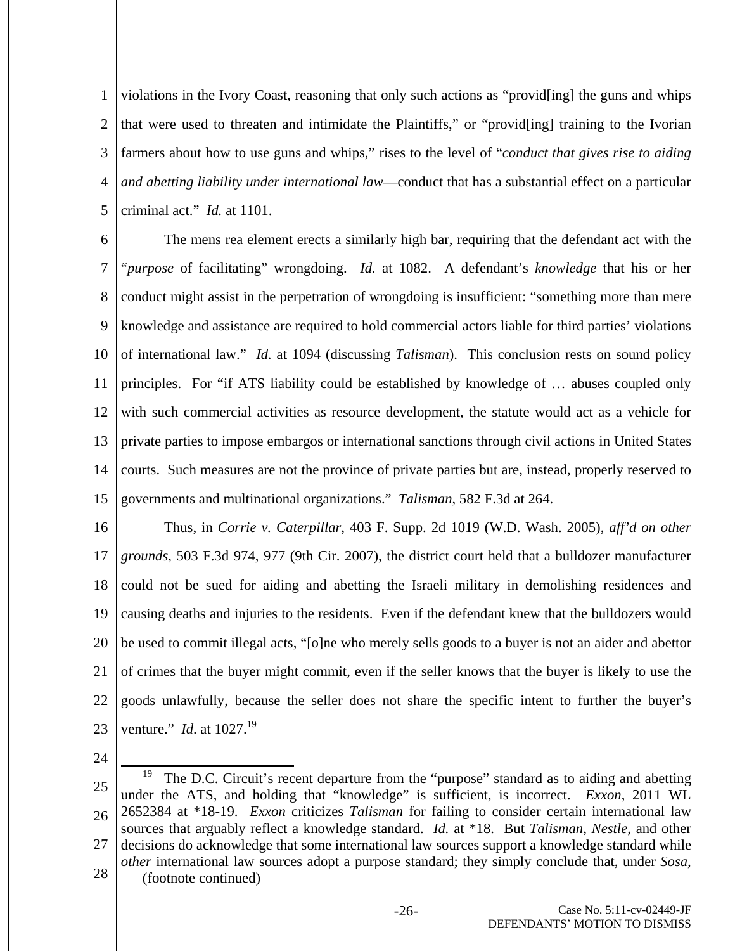1 2 3 4 5 violations in the Ivory Coast, reasoning that only such actions as "provid[ing] the guns and whips that were used to threaten and intimidate the Plaintiffs," or "provid[ing] training to the Ivorian farmers about how to use guns and whips," rises to the level of "*conduct that gives rise to aiding and abetting liability under international law*—conduct that has a substantial effect on a particular criminal act." *Id.* at 1101.

6 7 8 9 10 11 12 13 14 15 The mens rea element erects a similarly high bar, requiring that the defendant act with the "*purpose* of facilitating" wrongdoing. *Id.* at 1082. A defendant's *knowledge* that his or her conduct might assist in the perpetration of wrongdoing is insufficient: "something more than mere knowledge and assistance are required to hold commercial actors liable for third parties' violations of international law." *Id.* at 1094 (discussing *Talisman*). This conclusion rests on sound policy principles. For "if ATS liability could be established by knowledge of … abuses coupled only with such commercial activities as resource development, the statute would act as a vehicle for private parties to impose embargos or international sanctions through civil actions in United States courts. Such measures are not the province of private parties but are, instead, properly reserved to governments and multinational organizations." *Talisman*, 582 F.3d at 264.

16 17 18 19 20 21 22 23 Thus, in *Corrie v. Caterpillar*, 403 F. Supp. 2d 1019 (W.D. Wash. 2005), *aff'd on other grounds*, 503 F.3d 974, 977 (9th Cir. 2007), the district court held that a bulldozer manufacturer could not be sued for aiding and abetting the Israeli military in demolishing residences and causing deaths and injuries to the residents. Even if the defendant knew that the bulldozers would be used to commit illegal acts, "[o]ne who merely sells goods to a buyer is not an aider and abettor of crimes that the buyer might commit, even if the seller knows that the buyer is likely to use the goods unlawfully, because the seller does not share the specific intent to further the buyer's venture." *Id.* at 1027.<sup>19</sup>

<sup>25</sup> 26 27 28 <sup>19</sup> The D.C. Circuit's recent departure from the "purpose" standard as to aiding and abetting under the ATS, and holding that "knowledge" is sufficient, is incorrect. *Exxon*, 2011 WL 2652384 at \*18-19. *Exxon* criticizes *Talisman* for failing to consider certain international law sources that arguably reflect a knowledge standard. *Id.* at \*18. But *Talisman*, *Nestle*, and other decisions do acknowledge that some international law sources support a knowledge standard while *other* international law sources adopt a purpose standard; they simply conclude that, under *Sosa,*  (footnote continued)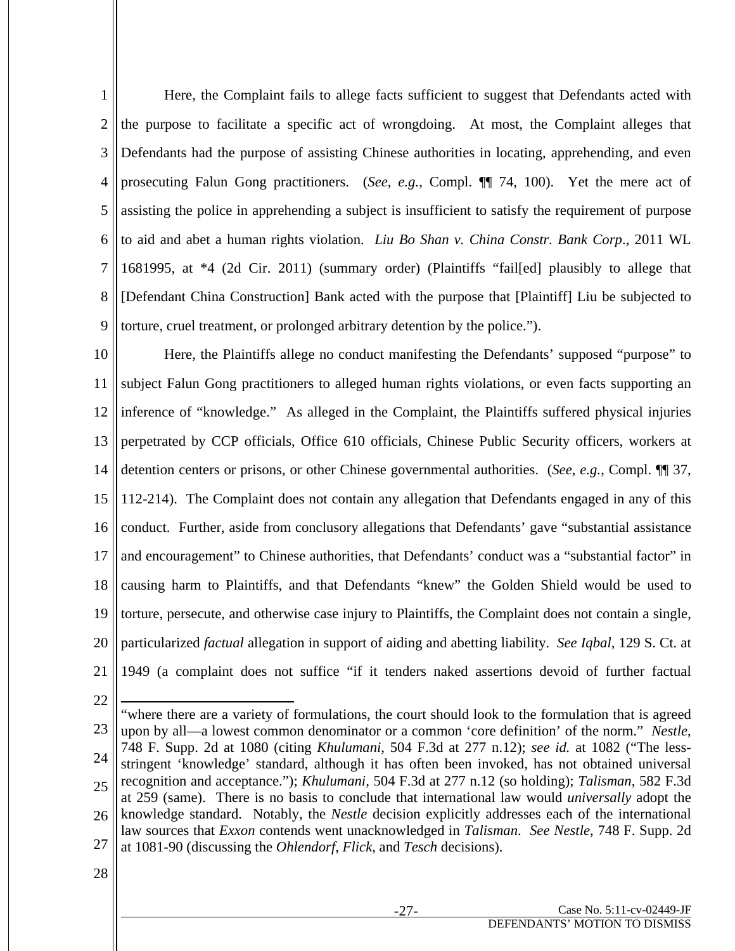1 2 3 4 5 6 7 8 9 Here, the Complaint fails to allege facts sufficient to suggest that Defendants acted with the purpose to facilitate a specific act of wrongdoing. At most, the Complaint alleges that Defendants had the purpose of assisting Chinese authorities in locating, apprehending, and even prosecuting Falun Gong practitioners. (*See*, *e.g.*, Compl. ¶¶ 74, 100). Yet the mere act of assisting the police in apprehending a subject is insufficient to satisfy the requirement of purpose to aid and abet a human rights violation. *Liu Bo Shan v. China Constr. Bank Corp*., 2011 WL 1681995, at \*4 (2d Cir. 2011) (summary order) (Plaintiffs "fail[ed] plausibly to allege that [Defendant China Construction] Bank acted with the purpose that [Plaintiff] Liu be subjected to torture, cruel treatment, or prolonged arbitrary detention by the police.").

10 11 12 13 14 15 16 17 18 19 20 21 Here, the Plaintiffs allege no conduct manifesting the Defendants' supposed "purpose" to subject Falun Gong practitioners to alleged human rights violations, or even facts supporting an inference of "knowledge." As alleged in the Complaint, the Plaintiffs suffered physical injuries perpetrated by CCP officials, Office 610 officials, Chinese Public Security officers, workers at detention centers or prisons, or other Chinese governmental authorities. (*See*, *e.g.*, Compl. ¶¶ 37, 112-214). The Complaint does not contain any allegation that Defendants engaged in any of this conduct. Further, aside from conclusory allegations that Defendants' gave "substantial assistance and encouragement" to Chinese authorities, that Defendants' conduct was a "substantial factor" in causing harm to Plaintiffs, and that Defendants "knew" the Golden Shield would be used to torture, persecute, and otherwise case injury to Plaintiffs, the Complaint does not contain a single, particularized *factual* allegation in support of aiding and abetting liability. *See Iqbal*, 129 S. Ct. at 1949 (a complaint does not suffice "if it tenders naked assertions devoid of further factual

22

 $\overline{a}$ 

23 24 25 26 27 "where there are a variety of formulations, the court should look to the formulation that is agreed upon by all—a lowest common denominator or a common 'core definition' of the norm." *Nestle*, 748 F. Supp. 2d at 1080 (citing *Khulumani*, 504 F.3d at 277 n.12); *see id.* at 1082 ("The lessstringent 'knowledge' standard, although it has often been invoked, has not obtained universal recognition and acceptance."); *Khulumani,* 504 F.3d at 277 n.12 (so holding); *Talisman*, 582 F.3d at 259 (same). There is no basis to conclude that international law would *universally* adopt the knowledge standard. Notably, the *Nestle* decision explicitly addresses each of the international law sources that *Exxon* contends went unacknowledged in *Talisman*. *See Nestle*, 748 F. Supp. 2d at 1081-90 (discussing the *Ohlendorf, Flick,* and *Tesch* decisions).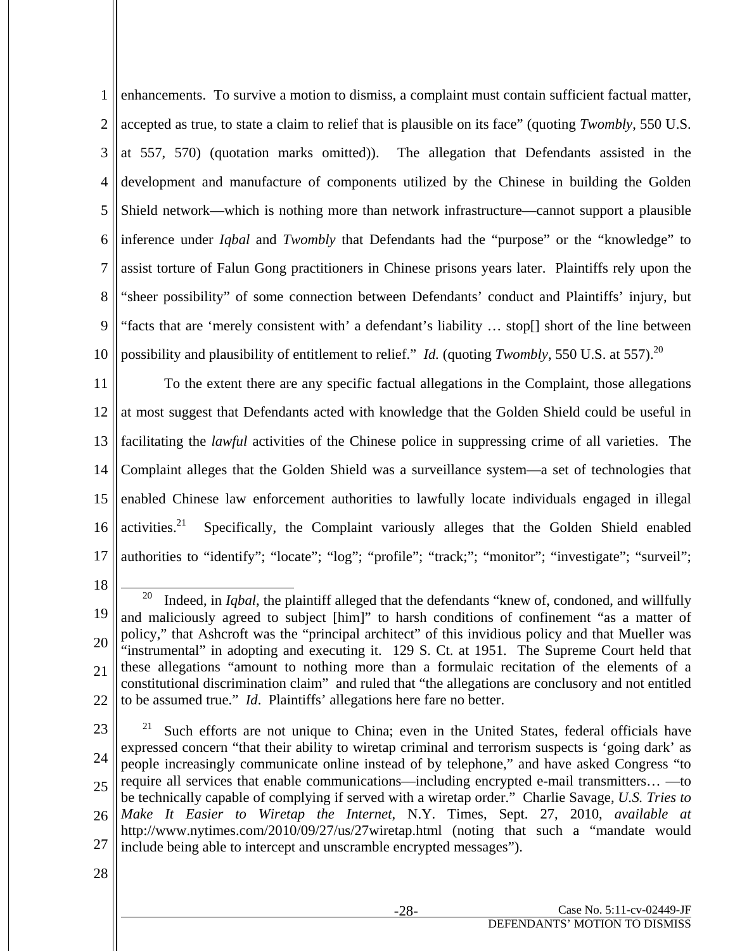1 2 3 4 5 6 7 8 9 10 enhancements. To survive a motion to dismiss, a complaint must contain sufficient factual matter, accepted as true, to state a claim to relief that is plausible on its face" (quoting *Twombly*, 550 U.S. at 557, 570) (quotation marks omitted)). The allegation that Defendants assisted in the development and manufacture of components utilized by the Chinese in building the Golden Shield network—which is nothing more than network infrastructure—cannot support a plausible inference under *Iqbal* and *Twombly* that Defendants had the "purpose" or the "knowledge" to assist torture of Falun Gong practitioners in Chinese prisons years later. Plaintiffs rely upon the "sheer possibility" of some connection between Defendants' conduct and Plaintiffs' injury, but "facts that are 'merely consistent with' a defendant's liability … stop[] short of the line between possibility and plausibility of entitlement to relief." *Id.* (quoting *Twombly*, 550 U.S. at 557).<sup>20</sup>

11 12 13 14 15 16 17 To the extent there are any specific factual allegations in the Complaint, those allegations at most suggest that Defendants acted with knowledge that the Golden Shield could be useful in facilitating the *lawful* activities of the Chinese police in suppressing crime of all varieties. The Complaint alleges that the Golden Shield was a surveillance system—a set of technologies that enabled Chinese law enforcement authorities to lawfully locate individuals engaged in illegal  $\arct{activity}$  Specifically, the Complaint variously alleges that the Golden Shield enabled authorities to "identify"; "locate"; "log"; "profile"; "track;"; "monitor"; "investigate"; "surveil";

18

23

<sup>19</sup> 20 21 22 20 Indeed, in *Iqbal*, the plaintiff alleged that the defendants "knew of, condoned, and willfully and maliciously agreed to subject [him]" to harsh conditions of confinement "as a matter of policy," that Ashcroft was the "principal architect" of this invidious policy and that Mueller was "instrumental" in adopting and executing it. 129 S. Ct. at 1951. The Supreme Court held that these allegations "amount to nothing more than a formulaic recitation of the elements of a constitutional discrimination claim" and ruled that "the allegations are conclusory and not entitled to be assumed true." *Id*. Plaintiffs' allegations here fare no better.

<sup>24</sup> 25 26 27 21 Such efforts are not unique to China; even in the United States, federal officials have expressed concern "that their ability to wiretap criminal and terrorism suspects is 'going dark' as people increasingly communicate online instead of by telephone," and have asked Congress "to require all services that enable communications—including encrypted e-mail transmitters… —to be technically capable of complying if served with a wiretap order." Charlie Savage, *U.S. Tries to Make It Easier to Wiretap the Internet*, N.Y. Times, Sept. 27, 2010, *available at* http://www.nytimes.com/2010/09/27/us/27wiretap.html (noting that such a "mandate would include being able to intercept and unscramble encrypted messages").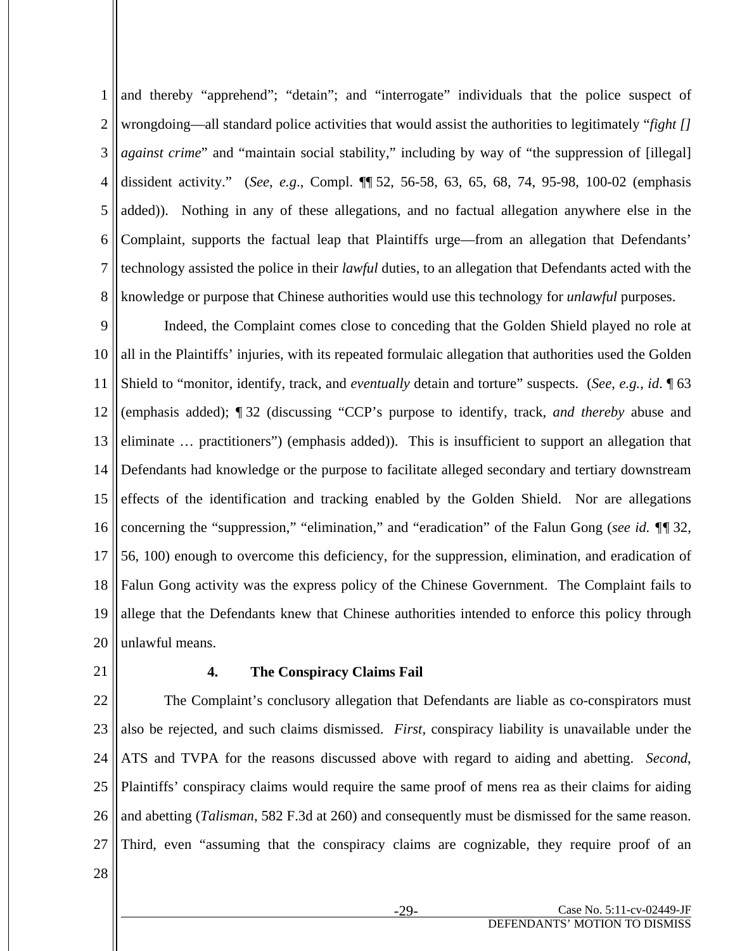1 2 3 4 5 6 7 8 and thereby "apprehend"; "detain"; and "interrogate" individuals that the police suspect of wrongdoing—all standard police activities that would assist the authorities to legitimately "*fight [] against crime*" and "maintain social stability," including by way of "the suppression of [illegal] dissident activity." (*See*, *e.g*., Compl. ¶¶ 52, 56-58, 63, 65, 68, 74, 95-98, 100-02 (emphasis added)). Nothing in any of these allegations, and no factual allegation anywhere else in the Complaint, supports the factual leap that Plaintiffs urge—from an allegation that Defendants' technology assisted the police in their *lawful* duties, to an allegation that Defendants acted with the knowledge or purpose that Chinese authorities would use this technology for *unlawful* purposes.

9 10 11 12 13 14 15 16 17 18 19 20 Indeed, the Complaint comes close to conceding that the Golden Shield played no role at all in the Plaintiffs' injuries, with its repeated formulaic allegation that authorities used the Golden Shield to "monitor, identify, track, and *eventually* detain and torture" suspects. (*See*, *e.g.*, *id*. ¶ 63 (emphasis added); ¶ 32 (discussing "CCP's purpose to identify, track, *and thereby* abuse and eliminate … practitioners") (emphasis added)). This is insufficient to support an allegation that Defendants had knowledge or the purpose to facilitate alleged secondary and tertiary downstream effects of the identification and tracking enabled by the Golden Shield. Nor are allegations concerning the "suppression," "elimination," and "eradication" of the Falun Gong (*see id. ¶¶* 32, 56, 100) enough to overcome this deficiency, for the suppression, elimination, and eradication of Falun Gong activity was the express policy of the Chinese Government. The Complaint fails to allege that the Defendants knew that Chinese authorities intended to enforce this policy through unlawful means.

21

#### **4. The Conspiracy Claims Fail**

22 23 24 25 26 27 The Complaint's conclusory allegation that Defendants are liable as co-conspirators must also be rejected, and such claims dismissed. *First*, conspiracy liability is unavailable under the ATS and TVPA for the reasons discussed above with regard to aiding and abetting. *Second*, Plaintiffs' conspiracy claims would require the same proof of mens rea as their claims for aiding and abetting (*Talisman*, 582 F.3d at 260) and consequently must be dismissed for the same reason. Third, even "assuming that the conspiracy claims are cognizable, they require proof of an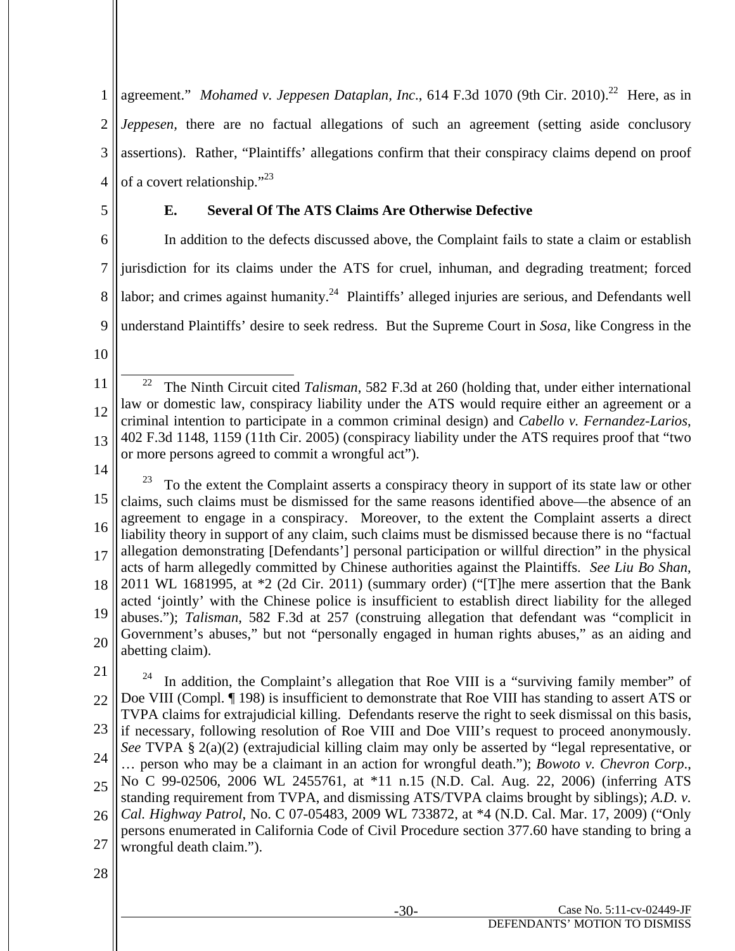1 2 3 4 agreement." *Mohamed v. Jeppesen Dataplan, Inc.*, 614 F.3d 1070 (9th Cir. 2010).<sup>22</sup> Here, as in *Jeppesen*, there are no factual allegations of such an agreement (setting aside conclusory assertions). Rather, "Plaintiffs' allegations confirm that their conspiracy claims depend on proof of a covert relationship."<sup>23</sup>

5

## **E. Several Of The ATS Claims Are Otherwise Defective**

6 7 8 9 In addition to the defects discussed above, the Complaint fails to state a claim or establish jurisdiction for its claims under the ATS for cruel, inhuman, and degrading treatment; forced labor; and crimes against humanity.<sup>24</sup> Plaintiffs' alleged injuries are serious, and Defendants well understand Plaintiffs' desire to seek redress. But the Supreme Court in *Sosa*, like Congress in the

10

11 12 13 22 The Ninth Circuit cited *Talisman*, 582 F.3d at 260 (holding that, under either international law or domestic law, conspiracy liability under the ATS would require either an agreement or a criminal intention to participate in a common criminal design) and *Cabello v. Fernandez-Larios*, 402 F.3d 1148, 1159 (11th Cir. 2005) (conspiracy liability under the ATS requires proof that "two or more persons agreed to commit a wrongful act").

14

15 16 17 18 19 20 To the extent the Complaint asserts a conspiracy theory in support of its state law or other claims, such claims must be dismissed for the same reasons identified above—the absence of an agreement to engage in a conspiracy. Moreover, to the extent the Complaint asserts a direct liability theory in support of any claim, such claims must be dismissed because there is no "factual allegation demonstrating [Defendants'] personal participation or willful direction" in the physical acts of harm allegedly committed by Chinese authorities against the Plaintiffs. *See Liu Bo Shan*, 2011 WL 1681995, at \*2 (2d Cir. 2011) (summary order) ("[T]he mere assertion that the Bank acted 'jointly' with the Chinese police is insufficient to establish direct liability for the alleged abuses."); *Talisman*, 582 F.3d at 257 (construing allegation that defendant was "complicit in Government's abuses," but not "personally engaged in human rights abuses," as an aiding and abetting claim).

21

22 23 24 25 26 <sup>24</sup> In addition, the Complaint's allegation that Roe VIII is a "surviving family member" of Doe VIII (Compl. ¶ 198) is insufficient to demonstrate that Roe VIII has standing to assert ATS or TVPA claims for extrajudicial killing. Defendants reserve the right to seek dismissal on this basis, if necessary, following resolution of Roe VIII and Doe VIII's request to proceed anonymously. *See* TVPA § 2(a)(2) (extrajudicial killing claim may only be asserted by "legal representative, or … person who may be a claimant in an action for wrongful death."); *Bowoto v. Chevron Corp*., No C 99-02506, 2006 WL 2455761, at \*11 n.15 (N.D. Cal. Aug. 22, 2006) (inferring ATS standing requirement from TVPA, and dismissing ATS/TVPA claims brought by siblings); *A.D. v. Cal. Highway Patrol*, No. C 07-05483, 2009 WL 733872, at \*4 (N.D. Cal. Mar. 17, 2009) ("Only persons enumerated in California Code of Civil Procedure section 377.60 have standing to bring a

- 27 wrongful death claim.").
- 28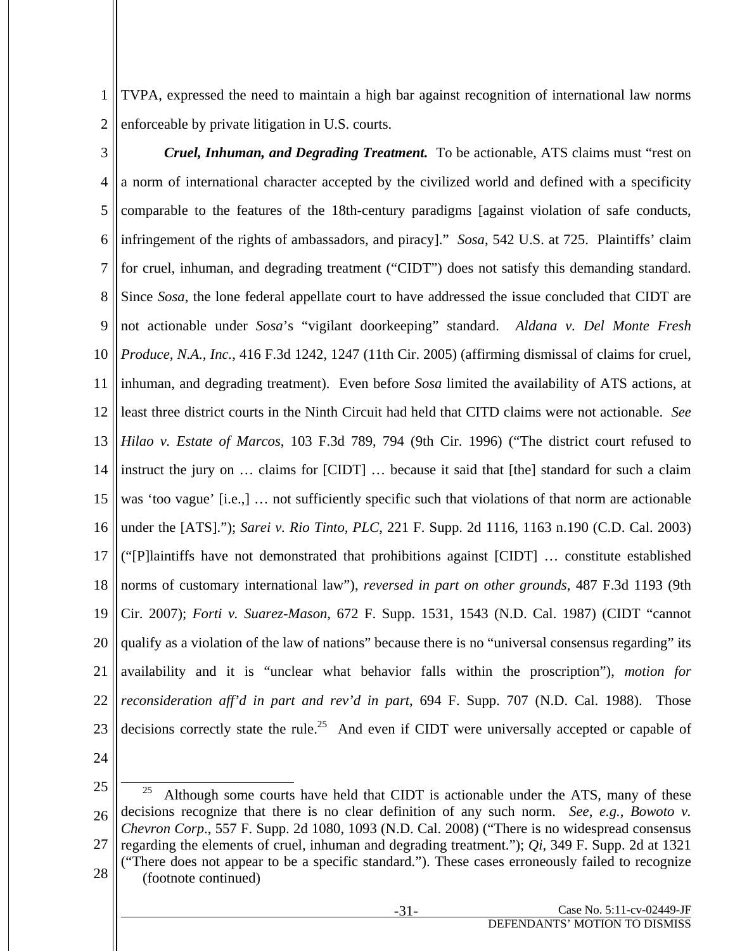1 2 TVPA, expressed the need to maintain a high bar against recognition of international law norms enforceable by private litigation in U.S. courts.

3 4 5 6 7 8 9 10 11 12 13 14 15 16 17 18 19 20 21 22 23 *Cruel, Inhuman, and Degrading Treatment.* To be actionable, ATS claims must "rest on a norm of international character accepted by the civilized world and defined with a specificity comparable to the features of the 18th-century paradigms [against violation of safe conducts, infringement of the rights of ambassadors, and piracy]." *Sosa*, 542 U.S. at 725. Plaintiffs' claim for cruel, inhuman, and degrading treatment ("CIDT") does not satisfy this demanding standard. Since *Sosa*, the lone federal appellate court to have addressed the issue concluded that CIDT are not actionable under *Sosa*'s "vigilant doorkeeping" standard. *Aldana v. Del Monte Fresh Produce, N.A., Inc.*, 416 F.3d 1242, 1247 (11th Cir. 2005) (affirming dismissal of claims for cruel, inhuman, and degrading treatment). Even before *Sosa* limited the availability of ATS actions, at least three district courts in the Ninth Circuit had held that CITD claims were not actionable. *See Hilao v. Estate of Marcos*, 103 F.3d 789, 794 (9th Cir. 1996) ("The district court refused to instruct the jury on … claims for [CIDT] … because it said that [the] standard for such a claim was 'too vague' [i.e.,] … not sufficiently specific such that violations of that norm are actionable under the [ATS]."); *Sarei v. Rio Tinto, PLC*, 221 F. Supp. 2d 1116, 1163 n.190 (C.D. Cal. 2003) ("[P]laintiffs have not demonstrated that prohibitions against [CIDT] … constitute established norms of customary international law"), *reversed in part on other grounds*, 487 F.3d 1193 (9th Cir. 2007); *Forti v. Suarez-Mason*, 672 F. Supp. 1531, 1543 (N.D. Cal. 1987) (CIDT "cannot qualify as a violation of the law of nations" because there is no "universal consensus regarding" its availability and it is "unclear what behavior falls within the proscription"), *motion for reconsideration aff'd in part and rev'd in part*, 694 F. Supp. 707 (N.D. Cal. 1988). Those decisions correctly state the rule.<sup>25</sup> And even if CIDT were universally accepted or capable of

<sup>25</sup> 26 27 28 <sup>25</sup> Although some courts have held that CIDT is actionable under the ATS, many of these decisions recognize that there is no clear definition of any such norm. *See*, *e.g.*, *Bowoto v. Chevron Corp*., 557 F. Supp. 2d 1080, 1093 (N.D. Cal. 2008) ("There is no widespread consensus regarding the elements of cruel, inhuman and degrading treatment."); *Qi*, 349 F. Supp. 2d at 1321 ("There does not appear to be a specific standard."). These cases erroneously failed to recognize (footnote continued)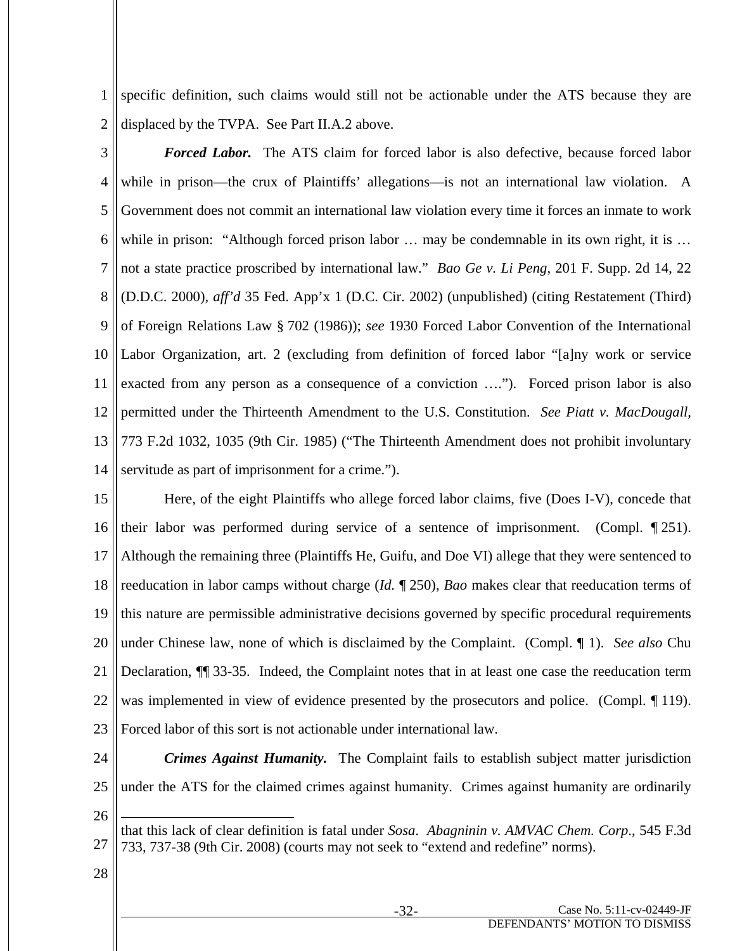1 2 specific definition, such claims would still not be actionable under the ATS because they are displaced by the TVPA. See Part II.A.2 above.

3 4 5 6 7 8 9 10 11 12 13 14 *Forced Labor.* The ATS claim for forced labor is also defective, because forced labor while in prison—the crux of Plaintiffs' allegations—is not an international law violation. A Government does not commit an international law violation every time it forces an inmate to work while in prison: "Although forced prison labor ... may be condemnable in its own right, it is ... not a state practice proscribed by international law." *Bao Ge v. Li Peng*, 201 F. Supp. 2d 14, 22 (D.D.C. 2000), *aff'd* 35 Fed. App'x 1 (D.C. Cir. 2002) (unpublished) (citing Restatement (Third) of Foreign Relations Law § 702 (1986)); *see* 1930 Forced Labor Convention of the International Labor Organization, art. 2 (excluding from definition of forced labor "[a]ny work or service exacted from any person as a consequence of a conviction …."). Forced prison labor is also permitted under the Thirteenth Amendment to the U.S. Constitution. *See Piatt v. MacDougall,* 773 F.2d 1032, 1035 (9th Cir. 1985) ("The Thirteenth Amendment does not prohibit involuntary servitude as part of imprisonment for a crime.").

15 16 17 18 19 20 21 22 23 Here, of the eight Plaintiffs who allege forced labor claims, five (Does I-V), concede that their labor was performed during service of a sentence of imprisonment. (Compl. ¶ 251). Although the remaining three (Plaintiffs He, Guifu, and Doe VI) allege that they were sentenced to reeducation in labor camps without charge (*Id.* ¶ 250), *Bao* makes clear that reeducation terms of this nature are permissible administrative decisions governed by specific procedural requirements under Chinese law, none of which is disclaimed by the Complaint. (Compl. ¶ 1). *See also* Chu Declaration, ¶¶ 33-35. Indeed, the Complaint notes that in at least one case the reeducation term was implemented in view of evidence presented by the prosecutors and police. (Compl. ¶ 119). Forced labor of this sort is not actionable under international law.

24 25 26 *Crimes Against Humanity.* The Complaint fails to establish subject matter jurisdiction under the ATS for the claimed crimes against humanity. Crimes against humanity are ordinarily  $\overline{a}$ 

<sup>27</sup> that this lack of clear definition is fatal under *Sosa*. *Abagninin v. AMVAC Chem. Corp*., 545 F.3d 733, 737-38 (9th Cir. 2008) (courts may not seek to "extend and redefine" norms).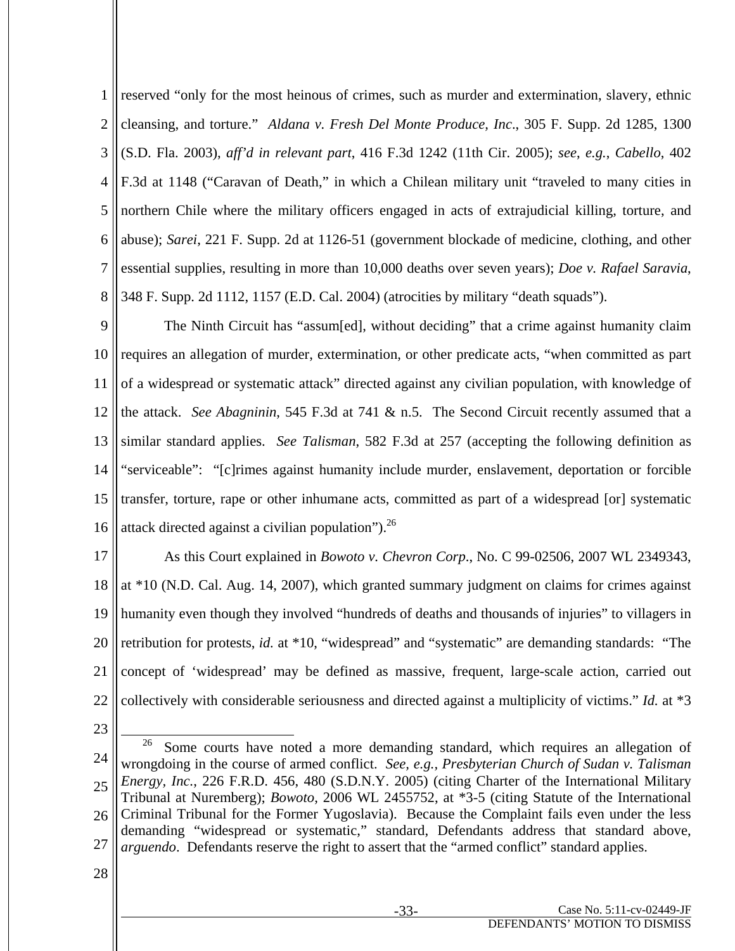1 2 3 4 5 6 7 8 reserved "only for the most heinous of crimes, such as murder and extermination, slavery, ethnic cleansing, and torture." *Aldana v. Fresh Del Monte Produce, Inc*., 305 F. Supp. 2d 1285, 1300 (S.D. Fla. 2003), *aff'd in relevant part*, 416 F.3d 1242 (11th Cir. 2005); *see*, *e.g.*, *Cabello*, 402 F.3d at 1148 ("Caravan of Death," in which a Chilean military unit "traveled to many cities in northern Chile where the military officers engaged in acts of extrajudicial killing, torture, and abuse); *Sarei*, 221 F. Supp. 2d at 1126-51 (government blockade of medicine, clothing, and other essential supplies, resulting in more than 10,000 deaths over seven years); *Doe v. Rafael Saravia*, 348 F. Supp. 2d 1112, 1157 (E.D. Cal. 2004) (atrocities by military "death squads").

9 10 11 12 13 14 15 16 The Ninth Circuit has "assum[ed], without deciding" that a crime against humanity claim requires an allegation of murder, extermination, or other predicate acts, "when committed as part of a widespread or systematic attack" directed against any civilian population, with knowledge of the attack. *See Abagninin*, 545 F.3d at 741 & n.5. The Second Circuit recently assumed that a similar standard applies. *See Talisman*, 582 F.3d at 257 (accepting the following definition as "serviceable": "[c]rimes against humanity include murder, enslavement, deportation or forcible transfer, torture, rape or other inhumane acts, committed as part of a widespread [or] systematic attack directed against a civilian population"). $^{26}$ 

17 18 19 20 21 22 As this Court explained in *Bowoto v. Chevron Corp*., No. C 99-02506, 2007 WL 2349343, at \*10 (N.D. Cal. Aug. 14, 2007), which granted summary judgment on claims for crimes against humanity even though they involved "hundreds of deaths and thousands of injuries" to villagers in retribution for protests, *id.* at \*10, "widespread" and "systematic" are demanding standards: "The concept of 'widespread' may be defined as massive, frequent, large-scale action, carried out collectively with considerable seriousness and directed against a multiplicity of victims." *Id.* at \*3

23

<sup>24</sup> 25 26 27  $26$  Some courts have noted a more demanding standard, which requires an allegation of wrongdoing in the course of armed conflict. *See, e.g., Presbyterian Church of Sudan v. Talisman Energy, Inc.*, 226 F.R.D. 456, 480 (S.D.N.Y. 2005) (citing Charter of the International Military Tribunal at Nuremberg); *Bowoto*, 2006 WL 2455752, at \*3-5 (citing Statute of the International Criminal Tribunal for the Former Yugoslavia). Because the Complaint fails even under the less demanding "widespread or systematic," standard, Defendants address that standard above, *arguendo*. Defendants reserve the right to assert that the "armed conflict" standard applies.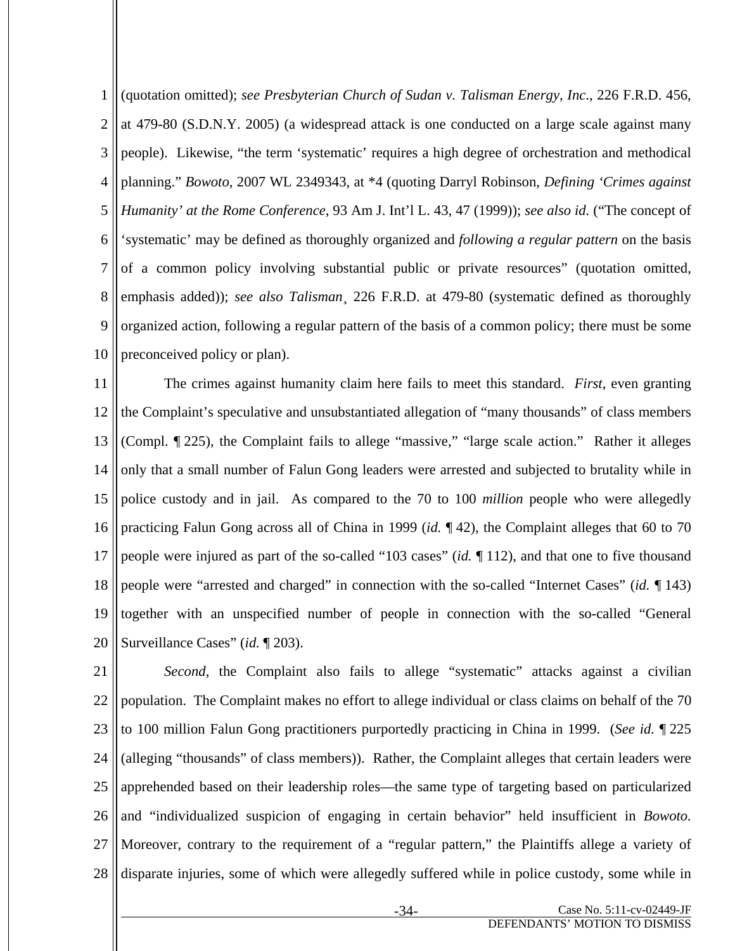1 2 3 4 5 6 7 8 9 10 (quotation omitted); *see Presbyterian Church of Sudan v. Talisman Energy, Inc*., 226 F.R.D. 456, at 479-80 (S.D.N.Y. 2005) (a widespread attack is one conducted on a large scale against many people). Likewise, "the term 'systematic' requires a high degree of orchestration and methodical planning." *Bowoto*, 2007 WL 2349343, at \*4 (quoting Darryl Robinson, *Defining 'Crimes against Humanity' at the Rome Conference*, 93 Am J. Int'l L. 43, 47 (1999)); *see also id.* ("The concept of 'systematic' may be defined as thoroughly organized and *following a regular pattern* on the basis of a common policy involving substantial public or private resources" (quotation omitted, emphasis added)); *see also Talisman*¸ 226 F.R.D. at 479-80 (systematic defined as thoroughly organized action, following a regular pattern of the basis of a common policy; there must be some preconceived policy or plan).

11 12 13 14 15 16 17 18 19 20 The crimes against humanity claim here fails to meet this standard. *First*, even granting the Complaint's speculative and unsubstantiated allegation of "many thousands" of class members (Compl. ¶ 225), the Complaint fails to allege "massive," "large scale action." Rather it alleges only that a small number of Falun Gong leaders were arrested and subjected to brutality while in police custody and in jail. As compared to the 70 to 100 *million* people who were allegedly practicing Falun Gong across all of China in 1999 (*id.* ¶ 42), the Complaint alleges that 60 to 70 people were injured as part of the so-called "103 cases" (*id.* ¶ 112), and that one to five thousand people were "arrested and charged" in connection with the so-called "Internet Cases" (*id.* ¶ 143) together with an unspecified number of people in connection with the so-called "General Surveillance Cases" (*id.* ¶ 203).

21 22 23 24 25 26 27 28 *Second*, the Complaint also fails to allege "systematic" attacks against a civilian population. The Complaint makes no effort to allege individual or class claims on behalf of the 70 to 100 million Falun Gong practitioners purportedly practicing in China in 1999. (*See id.* ¶ 225 (alleging "thousands" of class members)). Rather, the Complaint alleges that certain leaders were apprehended based on their leadership roles—the same type of targeting based on particularized and "individualized suspicion of engaging in certain behavior" held insufficient in *Bowoto.* Moreover, contrary to the requirement of a "regular pattern," the Plaintiffs allege a variety of disparate injuries, some of which were allegedly suffered while in police custody, some while in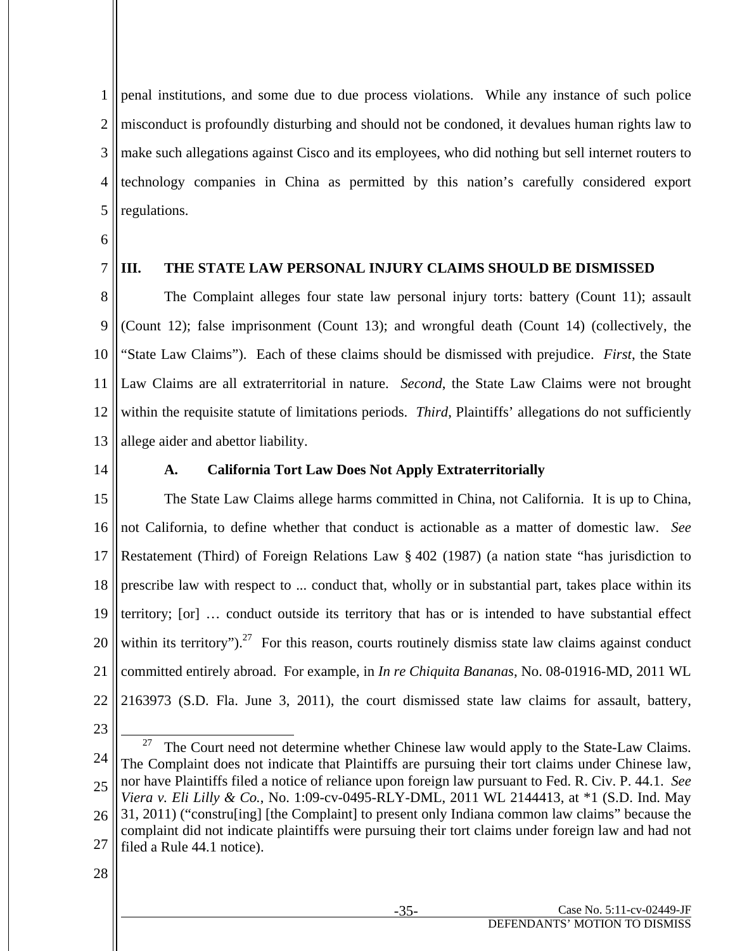1 2 3 4 5 penal institutions, and some due to due process violations. While any instance of such police misconduct is profoundly disturbing and should not be condoned, it devalues human rights law to make such allegations against Cisco and its employees, who did nothing but sell internet routers to technology companies in China as permitted by this nation's carefully considered export regulations.

- 6
- 7

## **III. THE STATE LAW PERSONAL INJURY CLAIMS SHOULD BE DISMISSED**

8 9 10 11 12 13 The Complaint alleges four state law personal injury torts: battery (Count 11); assault (Count 12); false imprisonment (Count 13); and wrongful death (Count 14) (collectively, the "State Law Claims"). Each of these claims should be dismissed with prejudice. *First*, the State Law Claims are all extraterritorial in nature. *Second*, the State Law Claims were not brought within the requisite statute of limitations periods. *Third*, Plaintiffs' allegations do not sufficiently allege aider and abettor liability.

14

## **A. California Tort Law Does Not Apply Extraterritorially**

15 16 17 18 19 20 21 22 The State Law Claims allege harms committed in China, not California. It is up to China, not California, to define whether that conduct is actionable as a matter of domestic law. *See* Restatement (Third) of Foreign Relations Law § 402 (1987) (a nation state "has jurisdiction to prescribe law with respect to ... conduct that, wholly or in substantial part, takes place within its territory; [or] … conduct outside its territory that has or is intended to have substantial effect within its territory").<sup>27</sup> For this reason, courts routinely dismiss state law claims against conduct committed entirely abroad. For example, in *In re Chiquita Bananas*, No. 08-01916-MD, 2011 WL 2163973 (S.D. Fla. June 3, 2011), the court dismissed state law claims for assault, battery,

23

<sup>24</sup> 25 26 <sup>27</sup> The Court need not determine whether Chinese law would apply to the State-Law Claims. The Complaint does not indicate that Plaintiffs are pursuing their tort claims under Chinese law, nor have Plaintiffs filed a notice of reliance upon foreign law pursuant to Fed. R. Civ. P. 44.1. *See Viera v. Eli Lilly & Co.*, No. 1:09-cv-0495-RLY-DML, 2011 WL 2144413, at \*1 (S.D. Ind. May 31, 2011) ("constru[ing] [the Complaint] to present only Indiana common law claims" because the complaint did not indicate plaintiffs were pursuing their tort claims under foreign law and had not

<sup>27</sup> filed a Rule 44.1 notice).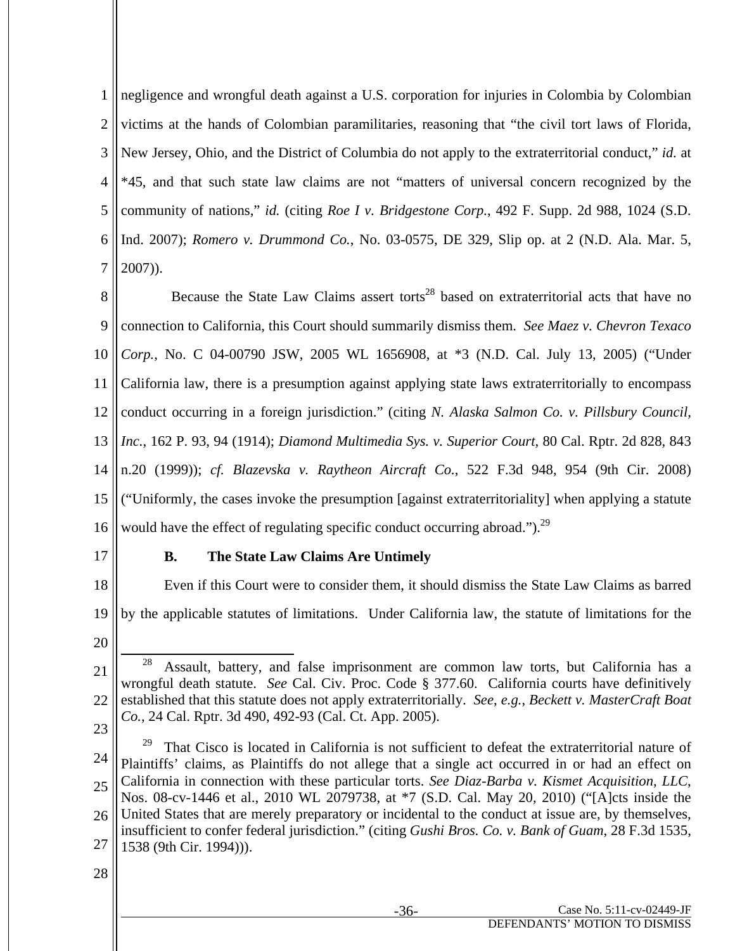1 2 3 4 5 6 7 negligence and wrongful death against a U.S. corporation for injuries in Colombia by Colombian victims at the hands of Colombian paramilitaries, reasoning that "the civil tort laws of Florida, New Jersey, Ohio, and the District of Columbia do not apply to the extraterritorial conduct," *id.* at \*45, and that such state law claims are not "matters of universal concern recognized by the community of nations," *id.* (citing *Roe I v. Bridgestone Corp.*, 492 F. Supp. 2d 988, 1024 (S.D. Ind. 2007); *Romero v. Drummond Co.*, No. 03-0575, DE 329, Slip op. at 2 (N.D. Ala. Mar. 5, 2007)).

8 9 10 11 12 13 14 15 16 Because the State Law Claims assert torts<sup>28</sup> based on extraterritorial acts that have no connection to California, this Court should summarily dismiss them. *See Maez v. Chevron Texaco Corp.*, No. C 04-00790 JSW, 2005 WL 1656908, at \*3 (N.D. Cal. July 13, 2005) ("Under California law, there is a presumption against applying state laws extraterritorially to encompass conduct occurring in a foreign jurisdiction." (citing *N. Alaska Salmon Co. v. Pillsbury Council, Inc.*, 162 P. 93, 94 (1914); *Diamond Multimedia Sys. v. Superior Court*, 80 Cal. Rptr. 2d 828, 843 n.20 (1999)); *cf. Blazevska v. Raytheon Aircraft Co.*, 522 F.3d 948, 954 (9th Cir. 2008) ("Uniformly, the cases invoke the presumption [against extraterritoriality] when applying a statute would have the effect of regulating specific conduct occurring abroad.").<sup>29</sup>

17

## **B. The State Law Claims Are Untimely**

18 19 Even if this Court were to consider them, it should dismiss the State Law Claims as barred by the applicable statutes of limitations. Under California law, the statute of limitations for the

20

23

24 25 26 27  $29$  That Cisco is located in California is not sufficient to defeat the extraterritorial nature of Plaintiffs' claims, as Plaintiffs do not allege that a single act occurred in or had an effect on California in connection with these particular torts. *See Diaz-Barba v. Kismet Acquisition, LLC*, Nos. 08-cv-1446 et al., 2010 WL 2079738, at \*7 (S.D. Cal. May 20, 2010) ("[A]cts inside the United States that are merely preparatory or incidental to the conduct at issue are, by themselves, insufficient to confer federal jurisdiction." (citing *Gushi Bros. Co. v. Bank of Guam*, 28 F.3d 1535, 1538 (9th Cir. 1994))).

<sup>21</sup> 22  $28$  Assault, battery, and false imprisonment are common law torts, but California has a wrongful death statute. *See* Cal. Civ. Proc. Code § 377.60. California courts have definitively established that this statute does not apply extraterritorially. *See*, *e.g.*, *Beckett v. MasterCraft Boat Co.*, 24 Cal. Rptr. 3d 490, 492-93 (Cal. Ct. App. 2005).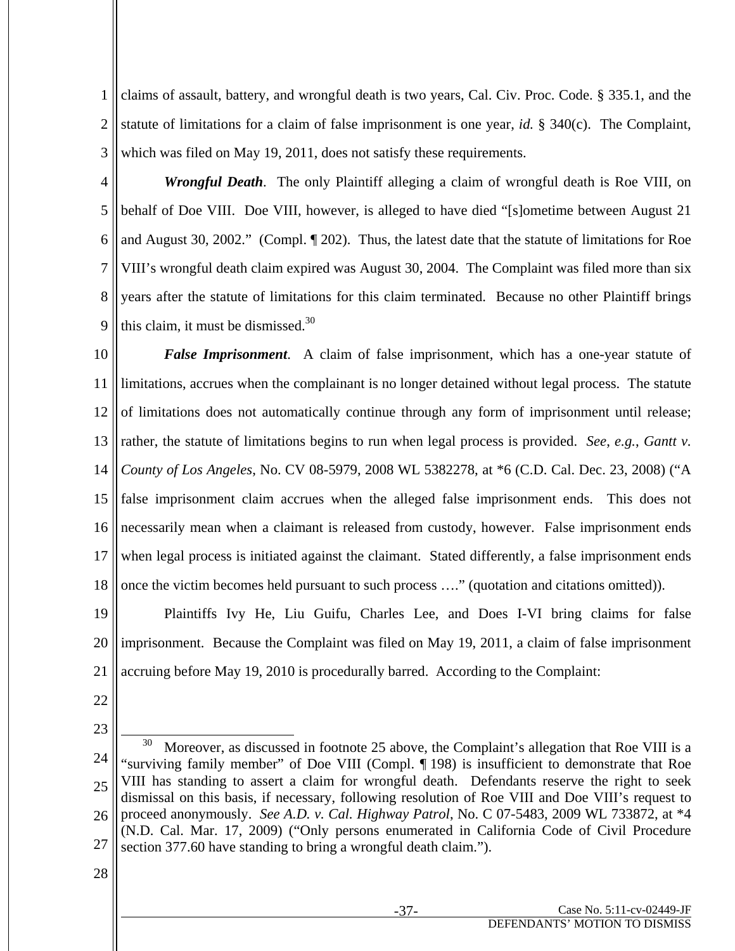1 2 3 claims of assault, battery, and wrongful death is two years, Cal. Civ. Proc. Code. § 335.1, and the statute of limitations for a claim of false imprisonment is one year, *id.* § 340(c). The Complaint, which was filed on May 19, 2011, does not satisfy these requirements.

4 5 6 7 8 9 *Wrongful Death*. The only Plaintiff alleging a claim of wrongful death is Roe VIII, on behalf of Doe VIII. Doe VIII, however, is alleged to have died "[s]ometime between August 21 and August 30, 2002." (Compl. ¶ 202). Thus, the latest date that the statute of limitations for Roe VIII's wrongful death claim expired was August 30, 2004. The Complaint was filed more than six years after the statute of limitations for this claim terminated. Because no other Plaintiff brings this claim, it must be dismissed. $30$ 

10 11 12 13 14 15 16 17 18 *False Imprisonment*. A claim of false imprisonment, which has a one-year statute of limitations, accrues when the complainant is no longer detained without legal process. The statute of limitations does not automatically continue through any form of imprisonment until release; rather, the statute of limitations begins to run when legal process is provided. *See*, *e.g.*, *Gantt v. County of Los Angeles*, No. CV 08-5979, 2008 WL 5382278, at \*6 (C.D. Cal. Dec. 23, 2008) ("A false imprisonment claim accrues when the alleged false imprisonment ends. This does not necessarily mean when a claimant is released from custody, however. False imprisonment ends when legal process is initiated against the claimant. Stated differently, a false imprisonment ends once the victim becomes held pursuant to such process …." (quotation and citations omitted)).

19 20 21 Plaintiffs Ivy He, Liu Guifu, Charles Lee, and Does I-VI bring claims for false imprisonment. Because the Complaint was filed on May 19, 2011, a claim of false imprisonment accruing before May 19, 2010 is procedurally barred. According to the Complaint:

- 22
- 23

<sup>24</sup> 25 26 27  $30$  Moreover, as discussed in footnote 25 above, the Complaint's allegation that Roe VIII is a "surviving family member" of Doe VIII (Compl. ¶ 198) is insufficient to demonstrate that Roe VIII has standing to assert a claim for wrongful death. Defendants reserve the right to seek dismissal on this basis, if necessary, following resolution of Roe VIII and Doe VIII's request to proceed anonymously. *See A.D. v. Cal. Highway Patrol*, No. C 07-5483, 2009 WL 733872, at \*4 (N.D. Cal. Mar. 17, 2009) ("Only persons enumerated in California Code of Civil Procedure section 377.60 have standing to bring a wrongful death claim.").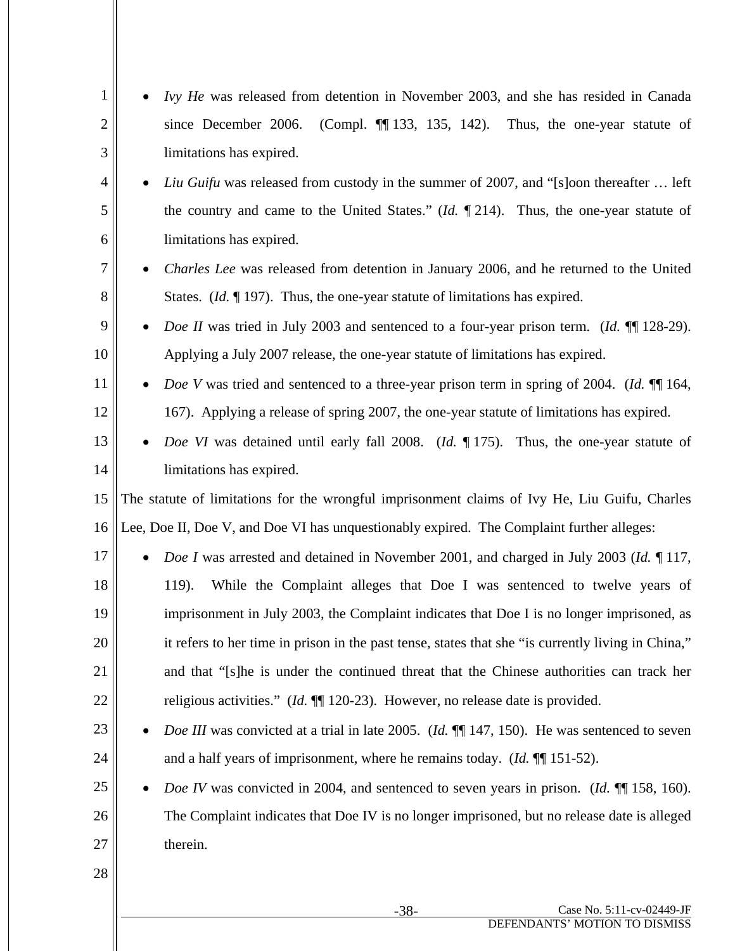| 1              | Ivy He was released from detention in November 2003, and she has resided in Canada                                   |
|----------------|----------------------------------------------------------------------------------------------------------------------|
| $\overline{c}$ | (Compl. $\P$ 133, 135, 142). Thus, the one-year statute of<br>since December 2006.                                   |
| 3              | limitations has expired.                                                                                             |
| $\overline{4}$ | <i>Liu Guifu</i> was released from custody in the summer of 2007, and "[s]oon thereafter  left                       |
| 5              | the country and came to the United States." ( <i>Id.</i> $\P$ 214). Thus, the one-year statute of                    |
| 6              | limitations has expired.                                                                                             |
| 7              | Charles Lee was released from detention in January 2006, and he returned to the United                               |
| 8              | States. ( <i>Id.</i> $\llbracket$ 197). Thus, the one-year statute of limitations has expired.                       |
| 9              | Doe II was tried in July 2003 and sentenced to a four-year prison term. (Id. ¶ 128-29).<br>$\bullet$                 |
| 10             | Applying a July 2007 release, the one-year statute of limitations has expired.                                       |
| 11             | <i>Doe V</i> was tried and sentenced to a three-year prison term in spring of 2004. ( <i>Id.</i> ¶ 164,<br>$\bullet$ |
| 12             | 167). Applying a release of spring 2007, the one-year statute of limitations has expired.                            |
| 13             | Doe VI was detained until early fall 2008. (Id. 175). Thus, the one-year statute of                                  |
| 14             | limitations has expired.                                                                                             |
| 15             | The statute of limitations for the wrongful imprisonment claims of Ivy He, Liu Guifu, Charles                        |
| 16             | Lee, Doe II, Doe V, and Doe VI has unquestionably expired. The Complaint further alleges:                            |
| 17             | <i>Doe I</i> was arrested and detained in November 2001, and charged in July 2003 (Id. 117,                          |
| 18             | 119).<br>While the Complaint alleges that Doe I was sentenced to twelve years of                                     |
| 19             | imprisonment in July 2003, the Complaint indicates that Doe I is no longer imprisoned, as                            |
| 20             | it refers to her time in prison in the past tense, states that she "is currently living in China,"                   |
| 21             | and that "[s]he is under the continued threat that the Chinese authorities can track her                             |
| 22             | religious activities." $(Id. \P\P 120-23)$ . However, no release date is provided.                                   |
| 23             | Doe III was convicted at a trial in late 2005. (Id. $\P$ 147, 150). He was sentenced to seven                        |
| 24             | and a half years of imprisonment, where he remains today. ( <i>Id.</i> $\P$ 151-52).                                 |
| 25             | <i>Doe IV</i> was convicted in 2004, and sentenced to seven years in prison. ( <i>Id.</i> ¶ 158, 160).               |
| 26             | The Complaint indicates that Doe IV is no longer imprisoned, but no release date is alleged                          |
| 27             | therein.                                                                                                             |
| 28             |                                                                                                                      |
|                |                                                                                                                      |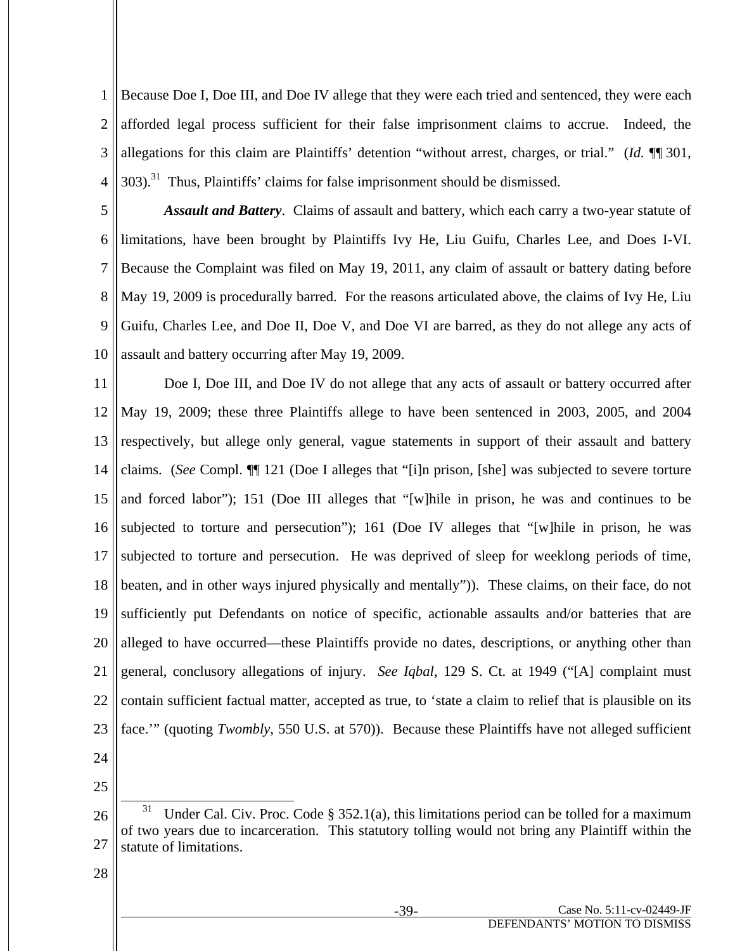1 2 3 4 Because Doe I, Doe III, and Doe IV allege that they were each tried and sentenced, they were each afforded legal process sufficient for their false imprisonment claims to accrue. Indeed, the allegations for this claim are Plaintiffs' detention "without arrest, charges, or trial." (*Id.* ¶¶ 301,  $303$ ).<sup>31</sup> Thus, Plaintiffs' claims for false imprisonment should be dismissed.

5 6 7 8 9 10 *Assault and Battery*. Claims of assault and battery, which each carry a two-year statute of limitations, have been brought by Plaintiffs Ivy He, Liu Guifu, Charles Lee, and Does I-VI. Because the Complaint was filed on May 19, 2011, any claim of assault or battery dating before May 19, 2009 is procedurally barred. For the reasons articulated above, the claims of Ivy He, Liu Guifu, Charles Lee, and Doe II, Doe V, and Doe VI are barred, as they do not allege any acts of assault and battery occurring after May 19, 2009.

11 12 13 14 15 16 17 18 19 20 21 22 23 24 Doe I, Doe III, and Doe IV do not allege that any acts of assault or battery occurred after May 19, 2009; these three Plaintiffs allege to have been sentenced in 2003, 2005, and 2004 respectively, but allege only general, vague statements in support of their assault and battery claims. (*See* Compl. ¶¶ 121 (Doe I alleges that "[i]n prison, [she] was subjected to severe torture and forced labor"); 151 (Doe III alleges that "[w]hile in prison, he was and continues to be subjected to torture and persecution"); 161 (Doe IV alleges that "[w]hile in prison, he was subjected to torture and persecution. He was deprived of sleep for weeklong periods of time, beaten, and in other ways injured physically and mentally")). These claims, on their face, do not sufficiently put Defendants on notice of specific, actionable assaults and/or batteries that are alleged to have occurred—these Plaintiffs provide no dates, descriptions, or anything other than general, conclusory allegations of injury. *See Iqbal*, 129 S. Ct. at 1949 ("[A] complaint must contain sufficient factual matter, accepted as true, to 'state a claim to relief that is plausible on its face.'" (quoting *Twombly*, 550 U.S. at 570)). Because these Plaintiffs have not alleged sufficient

25

<sup>26</sup> 27 Under Cal. Civ. Proc. Code  $\S$  352.1(a), this limitations period can be tolled for a maximum of two years due to incarceration. This statutory tolling would not bring any Plaintiff within the statute of limitations.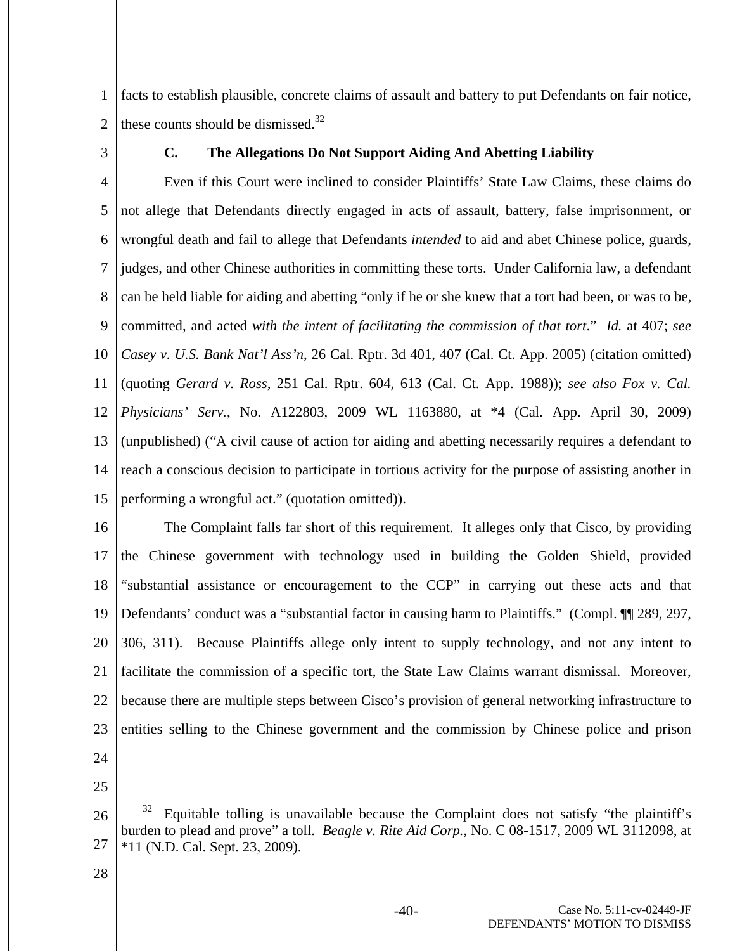1 2 facts to establish plausible, concrete claims of assault and battery to put Defendants on fair notice, these counts should be dismissed. $32$ 

3

## **C. The Allegations Do Not Support Aiding And Abetting Liability**

4 5 6 7 8 9 10 11 12 13 14 15 Even if this Court were inclined to consider Plaintiffs' State Law Claims, these claims do not allege that Defendants directly engaged in acts of assault, battery, false imprisonment, or wrongful death and fail to allege that Defendants *intended* to aid and abet Chinese police, guards, judges, and other Chinese authorities in committing these torts. Under California law, a defendant can be held liable for aiding and abetting "only if he or she knew that a tort had been, or was to be, committed, and acted *with the intent of facilitating the commission of that tort*." *Id.* at 407; *see Casey v. U.S. Bank Nat'l Ass'n*, 26 Cal. Rptr. 3d 401, 407 (Cal. Ct. App. 2005) (citation omitted) (quoting *Gerard v. Ross*, 251 Cal. Rptr. 604, 613 (Cal. Ct. App. 1988)); *see also Fox v. Cal. Physicians' Serv.*, No. A122803, 2009 WL 1163880, at \*4 (Cal. App. April 30, 2009) (unpublished) ("A civil cause of action for aiding and abetting necessarily requires a defendant to reach a conscious decision to participate in tortious activity for the purpose of assisting another in performing a wrongful act." (quotation omitted)).

16 17 18 19 20 21 22 23 24 The Complaint falls far short of this requirement. It alleges only that Cisco, by providing the Chinese government with technology used in building the Golden Shield, provided "substantial assistance or encouragement to the CCP" in carrying out these acts and that Defendants' conduct was a "substantial factor in causing harm to Plaintiffs." (Compl. ¶ 289, 297, 306, 311). Because Plaintiffs allege only intent to supply technology, and not any intent to facilitate the commission of a specific tort, the State Law Claims warrant dismissal. Moreover, because there are multiple steps between Cisco's provision of general networking infrastructure to entities selling to the Chinese government and the commission by Chinese police and prison

25

<sup>26</sup> 27 Equitable tolling is unavailable because the Complaint does not satisfy "the plaintiff's burden to plead and prove" a toll. *Beagle v. Rite Aid Corp.*, No. C 08-1517, 2009 WL 3112098, at \*11 (N.D. Cal. Sept. 23, 2009).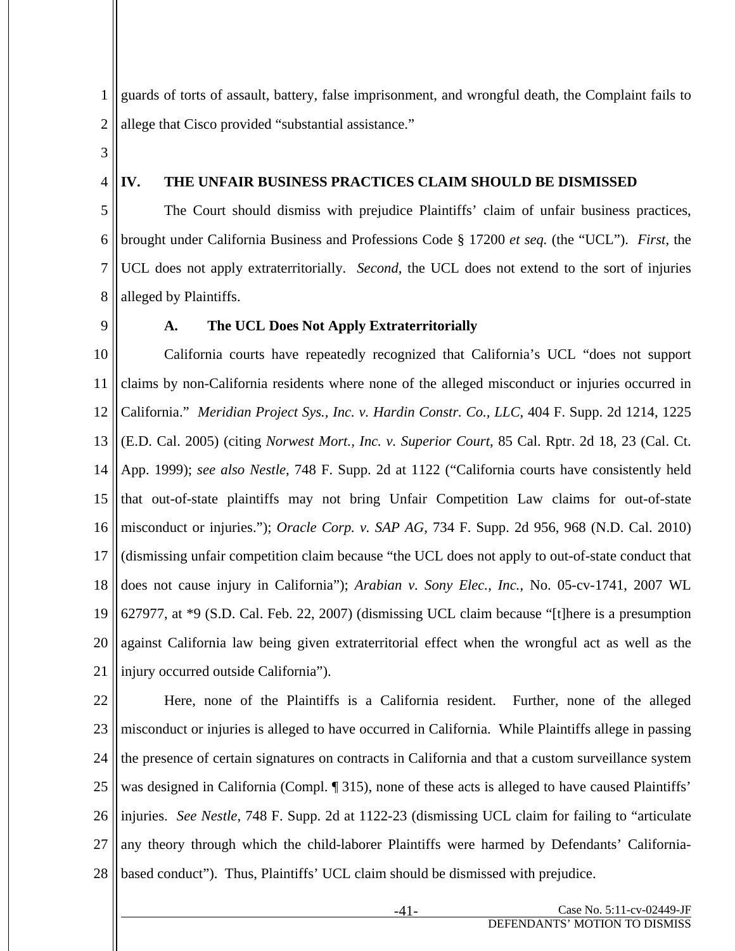1 2 guards of torts of assault, battery, false imprisonment, and wrongful death, the Complaint fails to allege that Cisco provided "substantial assistance."

3

4

## **IV. THE UNFAIR BUSINESS PRACTICES CLAIM SHOULD BE DISMISSED**

5 6 7 8 The Court should dismiss with prejudice Plaintiffs' claim of unfair business practices, brought under California Business and Professions Code § 17200 *et seq.* (the "UCL"). *First*, the UCL does not apply extraterritorially. *Second*, the UCL does not extend to the sort of injuries alleged by Plaintiffs.

9

## **A. The UCL Does Not Apply Extraterritorially**

10 11 12 13 14 15 16 17 18 19 20 21 California courts have repeatedly recognized that California's UCL "does not support claims by non-California residents where none of the alleged misconduct or injuries occurred in California." *Meridian Project Sys., Inc. v. Hardin Constr. Co., LLC*, 404 F. Supp. 2d 1214, 1225 (E.D. Cal. 2005) (citing *Norwest Mort., Inc. v. Superior Court*, 85 Cal. Rptr. 2d 18, 23 (Cal. Ct. App. 1999); *see also Nestle*, 748 F. Supp. 2d at 1122 ("California courts have consistently held that out-of-state plaintiffs may not bring Unfair Competition Law claims for out-of-state misconduct or injuries."); *Oracle Corp. v. SAP AG*, 734 F. Supp. 2d 956, 968 (N.D. Cal. 2010) (dismissing unfair competition claim because "the UCL does not apply to out-of-state conduct that does not cause injury in California"); *Arabian v. Sony Elec., Inc.*, No. 05-cv-1741, 2007 WL 627977, at \*9 (S.D. Cal. Feb. 22, 2007) (dismissing UCL claim because "[t]here is a presumption against California law being given extraterritorial effect when the wrongful act as well as the injury occurred outside California").

22 23 24 25 26 27 28 Here, none of the Plaintiffs is a California resident. Further, none of the alleged misconduct or injuries is alleged to have occurred in California. While Plaintiffs allege in passing the presence of certain signatures on contracts in California and that a custom surveillance system was designed in California (Compl. ¶ 315), none of these acts is alleged to have caused Plaintiffs' injuries. *See Nestle*, 748 F. Supp. 2d at 1122-23 (dismissing UCL claim for failing to "articulate any theory through which the child-laborer Plaintiffs were harmed by Defendants' Californiabased conduct"). Thus, Plaintiffs' UCL claim should be dismissed with prejudice.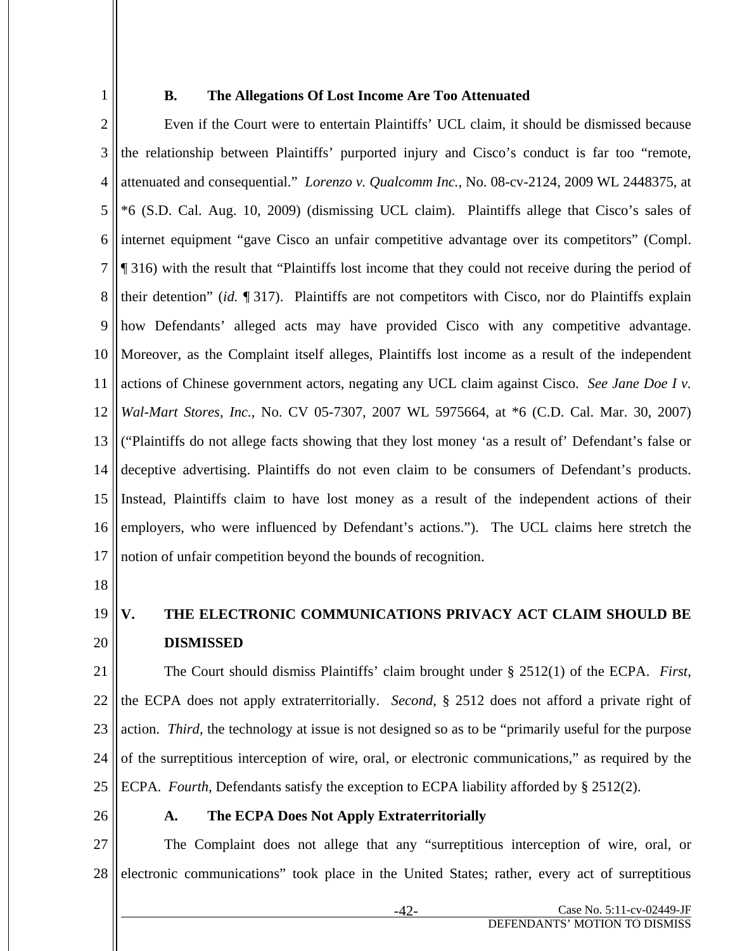1

#### **B. The Allegations Of Lost Income Are Too Attenuated**

2 3 4 5 6 7 8 9 10 11 12 13 14 15 16 17 Even if the Court were to entertain Plaintiffs' UCL claim, it should be dismissed because the relationship between Plaintiffs' purported injury and Cisco's conduct is far too "remote, attenuated and consequential." *Lorenzo v. Qualcomm Inc.*, No. 08-cv-2124, 2009 WL 2448375, at \*6 (S.D. Cal. Aug. 10, 2009) (dismissing UCL claim). Plaintiffs allege that Cisco's sales of internet equipment "gave Cisco an unfair competitive advantage over its competitors" (Compl. ¶ 316) with the result that "Plaintiffs lost income that they could not receive during the period of their detention" (*id.* ¶ 317). Plaintiffs are not competitors with Cisco, nor do Plaintiffs explain how Defendants' alleged acts may have provided Cisco with any competitive advantage. Moreover, as the Complaint itself alleges, Plaintiffs lost income as a result of the independent actions of Chinese government actors, negating any UCL claim against Cisco. *See Jane Doe I v. Wal-Mart Stores, Inc.*, No. CV 05-7307, 2007 WL 5975664, at \*6 (C.D. Cal. Mar. 30, 2007) ("Plaintiffs do not allege facts showing that they lost money 'as a result of' Defendant's false or deceptive advertising. Plaintiffs do not even claim to be consumers of Defendant's products. Instead, Plaintiffs claim to have lost money as a result of the independent actions of their employers, who were influenced by Defendant's actions."). The UCL claims here stretch the notion of unfair competition beyond the bounds of recognition.

18

#### 19 20 **V. THE ELECTRONIC COMMUNICATIONS PRIVACY ACT CLAIM SHOULD BE DISMISSED**

21 22 23 24 25 The Court should dismiss Plaintiffs' claim brought under § 2512(1) of the ECPA. *First*, the ECPA does not apply extraterritorially. *Second*, § 2512 does not afford a private right of action. *Third*, the technology at issue is not designed so as to be "primarily useful for the purpose of the surreptitious interception of wire, oral, or electronic communications," as required by the ECPA. *Fourth*, Defendants satisfy the exception to ECPA liability afforded by § 2512(2).

26

## **A. The ECPA Does Not Apply Extraterritorially**

27 28 The Complaint does not allege that any "surreptitious interception of wire, oral, or electronic communications" took place in the United States; rather, every act of surreptitious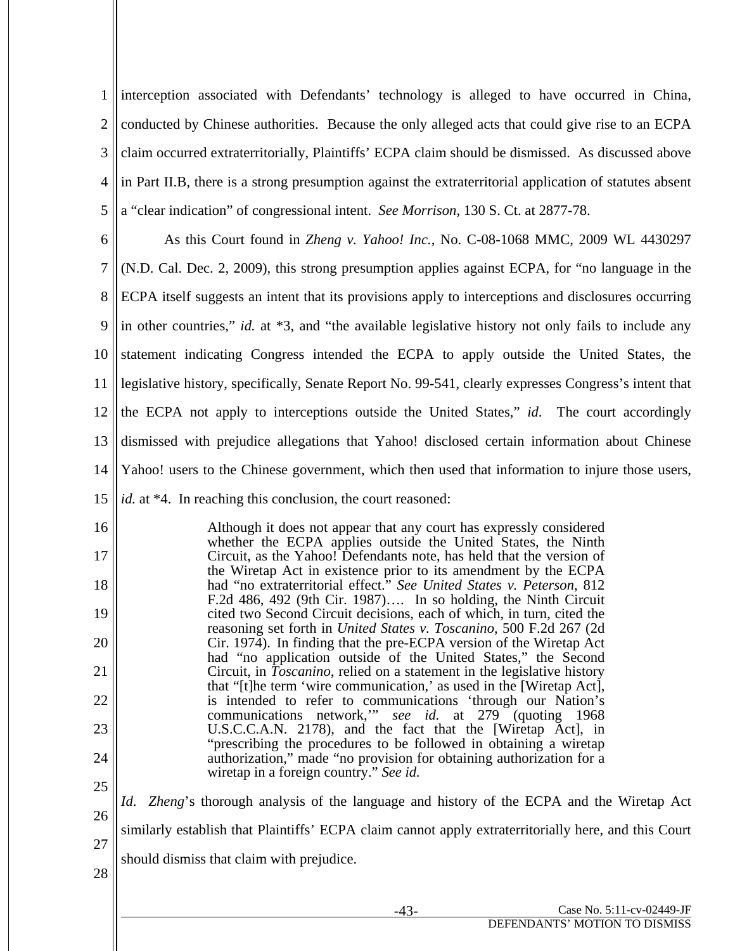1 2 3 4 5 interception associated with Defendants' technology is alleged to have occurred in China, conducted by Chinese authorities. Because the only alleged acts that could give rise to an ECPA claim occurred extraterritorially, Plaintiffs' ECPA claim should be dismissed. As discussed above in Part II.B, there is a strong presumption against the extraterritorial application of statutes absent a "clear indication" of congressional intent. *See Morrison*, 130 S. Ct. at 2877-78.

6 7 8 9 10 11 12 13 14 As this Court found in *Zheng v. Yahoo! Inc.*, No. C-08-1068 MMC, 2009 WL 4430297 (N.D. Cal. Dec. 2, 2009), this strong presumption applies against ECPA, for "no language in the ECPA itself suggests an intent that its provisions apply to interceptions and disclosures occurring in other countries," *id.* at \*3, and "the available legislative history not only fails to include any statement indicating Congress intended the ECPA to apply outside the United States, the legislative history, specifically, Senate Report No. 99-541, clearly expresses Congress's intent that the ECPA not apply to interceptions outside the United States," *id*. The court accordingly dismissed with prejudice allegations that Yahoo! disclosed certain information about Chinese Yahoo! users to the Chinese government, which then used that information to injure those users,

16 17 18 19 20 21 22 23 24 25 Although it does not appear that any court has expressly considered whether the ECPA applies outside the United States, the Ninth Circuit, as the Yahoo! Defendants note, has held that the version of the Wiretap Act in existence prior to its amendment by the ECPA had "no extraterritorial effect." *See United States v. Peterson*, 812 F.2d 486, 492 (9th Cir. 1987)…. In so holding, the Ninth Circuit cited two Second Circuit decisions, each of which, in turn, cited the reasoning set forth in *United States v. Toscanino*, 500 F.2d 267 (2d Cir. 1974). In finding that the pre-ECPA version of the Wiretap Act had "no application outside of the United States," the Second Circuit, in *Toscanino*, relied on a statement in the legislative history that "[t]he term 'wire communication,' as used in the [Wiretap Act], is intended to refer to communications 'through our Nation's communications network,'" *see id.* at 279 (quoting 1968 U.S.C.C.A.N. 2178), and the fact that the [Wiretap Act], in "prescribing the procedures to be followed in obtaining a wiretap authorization," made "no provision for obtaining authorization for a wiretap in a foreign country." *See id.* 

26 27 *Id*. *Zheng*'s thorough analysis of the language and history of the ECPA and the Wiretap Act similarly establish that Plaintiffs' ECPA claim cannot apply extraterritorially here, and this Court should dismiss that claim with prejudice.

<sup>15</sup> *id.* at \*4. In reaching this conclusion, the court reasoned: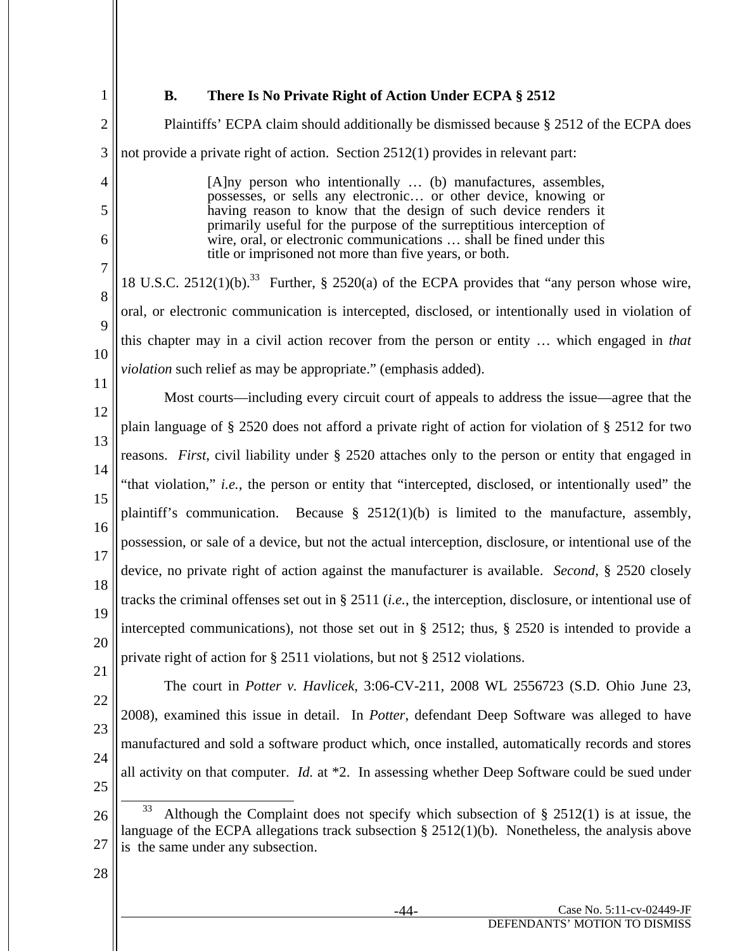1

## **B. There Is No Private Right of Action Under ECPA § 2512**

2 3 4 5 6 7 8 9 10 11 12 13 14 15 16 17 18 19 20 21 22 23 24 25 26 27 28 Plaintiffs' ECPA claim should additionally be dismissed because § 2512 of the ECPA does not provide a private right of action. Section 2512(1) provides in relevant part: [A]ny person who intentionally … (b) manufactures, assembles, possesses, or sells any electronic… or other device, knowing or having reason to know that the design of such device renders it primarily useful for the purpose of the surreptitious interception of wire, oral, or electronic communications … shall be fined under this title or imprisoned not more than five years, or both. 18 U.S.C. 2512(1)(b).<sup>33</sup> Further, § 2520(a) of the ECPA provides that "any person whose wire, oral, or electronic communication is intercepted, disclosed, or intentionally used in violation of this chapter may in a civil action recover from the person or entity … which engaged in *that violation* such relief as may be appropriate." (emphasis added). Most courts—including every circuit court of appeals to address the issue—agree that the plain language of § 2520 does not afford a private right of action for violation of § 2512 for two reasons. *First*, civil liability under § 2520 attaches only to the person or entity that engaged in "that violation," *i.e.*, the person or entity that "intercepted, disclosed, or intentionally used" the plaintiff's communication. Because  $\S$  2512(1)(b) is limited to the manufacture, assembly, possession, or sale of a device, but not the actual interception, disclosure, or intentional use of the device, no private right of action against the manufacturer is available. *Second*, § 2520 closely tracks the criminal offenses set out in § 2511 (*i.e.*, the interception, disclosure, or intentional use of intercepted communications), not those set out in § 2512; thus, § 2520 is intended to provide a private right of action for § 2511 violations, but not § 2512 violations. The court in *Potter v. Havlicek*, 3:06-CV-211, 2008 WL 2556723 (S.D. Ohio June 23, 2008), examined this issue in detail. In *Potter*, defendant Deep Software was alleged to have manufactured and sold a software product which, once installed, automatically records and stores all activity on that computer. *Id.* at \*2. In assessing whether Deep Software could be sued under Although the Complaint does not specify which subsection of  $\S$  2512(1) is at issue, the language of the ECPA allegations track subsection § 2512(1)(b). Nonetheless, the analysis above is the same under any subsection.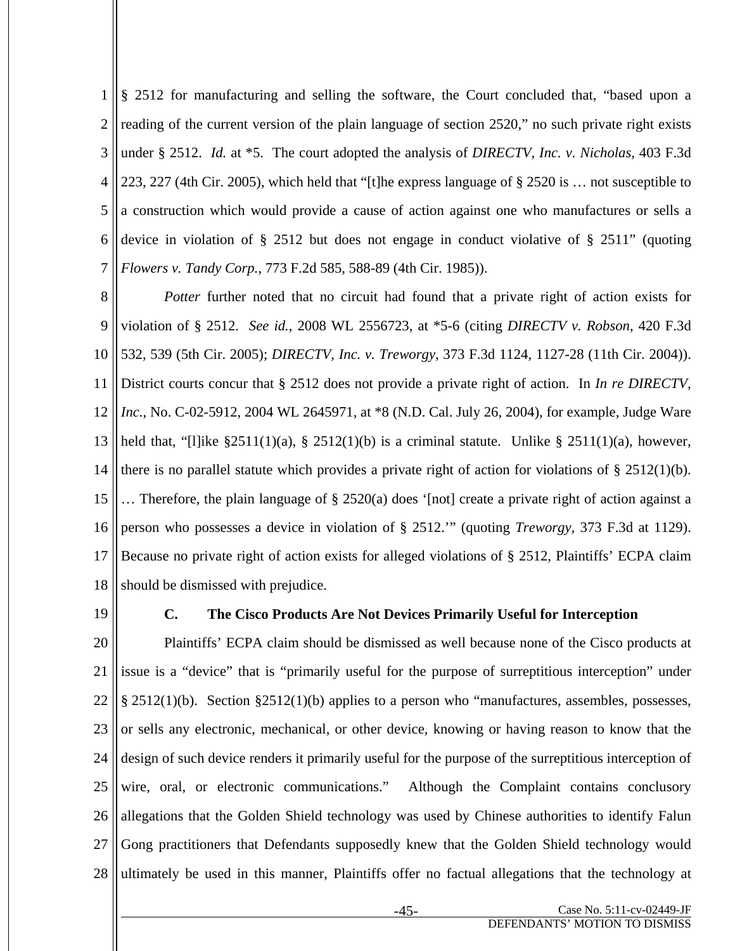1 2 3 4 5 6 7 § 2512 for manufacturing and selling the software, the Court concluded that, "based upon a reading of the current version of the plain language of section 2520," no such private right exists under § 2512. *Id.* at \*5. The court adopted the analysis of *DIRECTV, Inc. v. Nicholas*, 403 F.3d 223, 227 (4th Cir. 2005), which held that "[t]he express language of § 2520 is … not susceptible to a construction which would provide a cause of action against one who manufactures or sells a device in violation of § 2512 but does not engage in conduct violative of § 2511" (quoting *Flowers v. Tandy Corp.*, 773 F.2d 585, 588-89 (4th Cir. 1985)).

8 9 10 11 12 13 14 15 16 17 18 *Potter* further noted that no circuit had found that a private right of action exists for violation of § 2512. *See id.*, 2008 WL 2556723, at \*5-6 (citing *DIRECTV v. Robson*, 420 F.3d 532, 539 (5th Cir. 2005); *DIRECTV, Inc. v. Treworgy*, 373 F.3d 1124, 1127-28 (11th Cir. 2004)). District courts concur that § 2512 does not provide a private right of action. In *In re DIRECTV, Inc.*, No. C-02-5912, 2004 WL 2645971, at \*8 (N.D. Cal. July 26, 2004), for example, Judge Ware held that, "[l]ike  $\S 2511(1)(a)$ ,  $\S 2512(1)(b)$  is a criminal statute. Unlike  $\S 2511(1)(a)$ , however, there is no parallel statute which provides a private right of action for violations of § 2512(1)(b). … Therefore, the plain language of § 2520(a) does '[not] create a private right of action against a person who possesses a device in violation of § 2512.'" (quoting *Treworgy*, 373 F.3d at 1129). Because no private right of action exists for alleged violations of § 2512, Plaintiffs' ECPA claim should be dismissed with prejudice.

19

## **C. The Cisco Products Are Not Devices Primarily Useful for Interception**

20 21 22 23 24 25 26 27 28 Plaintiffs' ECPA claim should be dismissed as well because none of the Cisco products at issue is a "device" that is "primarily useful for the purpose of surreptitious interception" under § 2512(1)(b). Section §2512(1)(b) applies to a person who "manufactures, assembles, possesses, or sells any electronic, mechanical, or other device, knowing or having reason to know that the design of such device renders it primarily useful for the purpose of the surreptitious interception of wire, oral, or electronic communications." Although the Complaint contains conclusory allegations that the Golden Shield technology was used by Chinese authorities to identify Falun Gong practitioners that Defendants supposedly knew that the Golden Shield technology would ultimately be used in this manner, Plaintiffs offer no factual allegations that the technology at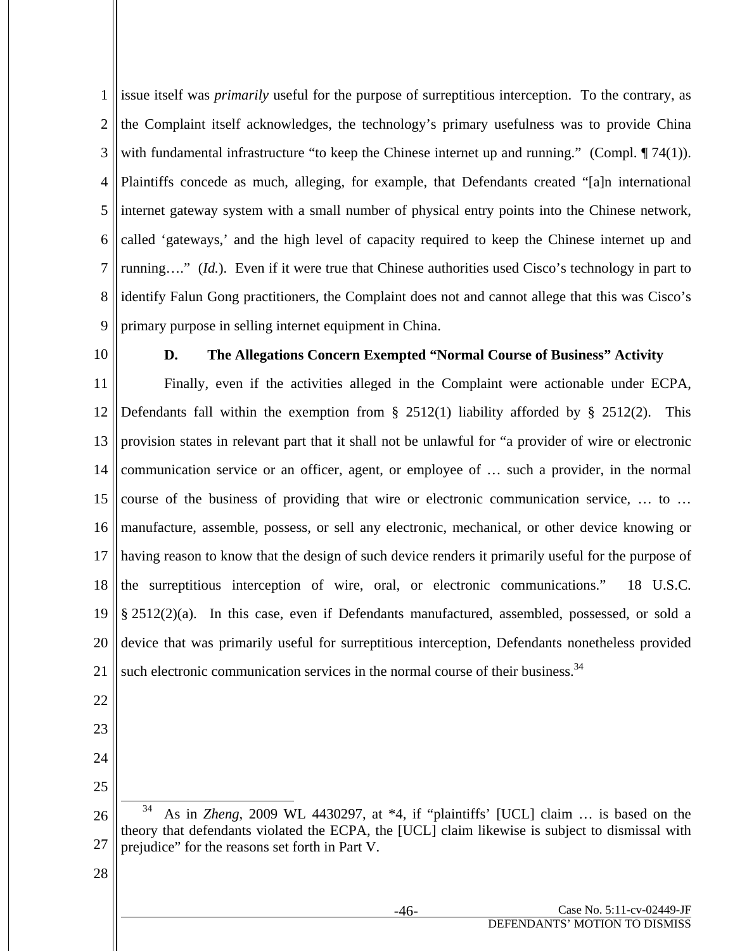1 2 3 4 5 6 7 8 9 issue itself was *primarily* useful for the purpose of surreptitious interception. To the contrary, as the Complaint itself acknowledges, the technology's primary usefulness was to provide China with fundamental infrastructure "to keep the Chinese internet up and running." (Compl. ¶ 74(1)). Plaintiffs concede as much, alleging, for example, that Defendants created "[a]n international internet gateway system with a small number of physical entry points into the Chinese network, called 'gateways,' and the high level of capacity required to keep the Chinese internet up and running…." (*Id.*). Even if it were true that Chinese authorities used Cisco's technology in part to identify Falun Gong practitioners, the Complaint does not and cannot allege that this was Cisco's primary purpose in selling internet equipment in China.

10

#### **D. The Allegations Concern Exempted "Normal Course of Business" Activity**

11 12 13 14 15 16 17 18 19 20 21 Finally, even if the activities alleged in the Complaint were actionable under ECPA, Defendants fall within the exemption from  $\S$  2512(1) liability afforded by  $\S$  2512(2). This provision states in relevant part that it shall not be unlawful for "a provider of wire or electronic communication service or an officer, agent, or employee of … such a provider, in the normal course of the business of providing that wire or electronic communication service, … to … manufacture, assemble, possess, or sell any electronic, mechanical, or other device knowing or having reason to know that the design of such device renders it primarily useful for the purpose of the surreptitious interception of wire, oral, or electronic communications." 18 U.S.C. § 2512(2)(a). In this case, even if Defendants manufactured, assembled, possessed, or sold a device that was primarily useful for surreptitious interception, Defendants nonetheless provided such electronic communication services in the normal course of their business.<sup>34</sup>

- 22
- 23
- 24 25

<sup>26</sup> 27 34 As in *Zheng*, 2009 WL 4430297, at \*4, if "plaintiffs' [UCL] claim … is based on the theory that defendants violated the ECPA, the [UCL] claim likewise is subject to dismissal with prejudice" for the reasons set forth in Part V.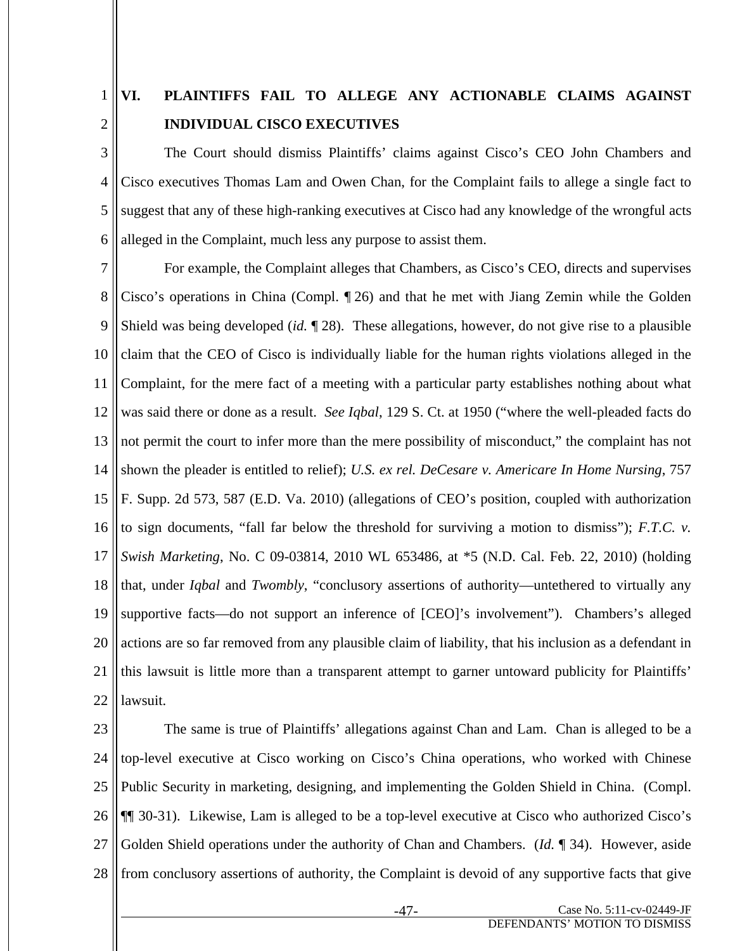#### 1 2 **VI. PLAINTIFFS FAIL TO ALLEGE ANY ACTIONABLE CLAIMS AGAINST INDIVIDUAL CISCO EXECUTIVES**

3 4 5 6 The Court should dismiss Plaintiffs' claims against Cisco's CEO John Chambers and Cisco executives Thomas Lam and Owen Chan, for the Complaint fails to allege a single fact to suggest that any of these high-ranking executives at Cisco had any knowledge of the wrongful acts alleged in the Complaint, much less any purpose to assist them.

7 8 9 10 11 12 13 14 15 16 17 18 19 20 21 22 For example, the Complaint alleges that Chambers, as Cisco's CEO, directs and supervises Cisco's operations in China (Compl. ¶ 26) and that he met with Jiang Zemin while the Golden Shield was being developed (*id.* ¶ 28). These allegations, however, do not give rise to a plausible claim that the CEO of Cisco is individually liable for the human rights violations alleged in the Complaint, for the mere fact of a meeting with a particular party establishes nothing about what was said there or done as a result. *See Iqbal*, 129 S. Ct. at 1950 ("where the well-pleaded facts do not permit the court to infer more than the mere possibility of misconduct," the complaint has not shown the pleader is entitled to relief); *U.S. ex rel. DeCesare v. Americare In Home Nursing*, 757 F. Supp. 2d 573, 587 (E.D. Va. 2010) (allegations of CEO's position, coupled with authorization to sign documents, "fall far below the threshold for surviving a motion to dismiss"); *F.T.C. v. Swish Marketing*, No. C 09-03814, 2010 WL 653486, at \*5 (N.D. Cal. Feb. 22, 2010) (holding that, under *Iqbal* and *Twombly*, "conclusory assertions of authority—untethered to virtually any supportive facts—do not support an inference of [CEO]'s involvement"). Chambers's alleged actions are so far removed from any plausible claim of liability, that his inclusion as a defendant in this lawsuit is little more than a transparent attempt to garner untoward publicity for Plaintiffs' lawsuit.

23 24 25 26 27 28 The same is true of Plaintiffs' allegations against Chan and Lam. Chan is alleged to be a top-level executive at Cisco working on Cisco's China operations, who worked with Chinese Public Security in marketing, designing, and implementing the Golden Shield in China. (Compl. ¶¶ 30-31). Likewise, Lam is alleged to be a top-level executive at Cisco who authorized Cisco's Golden Shield operations under the authority of Chan and Chambers. (*Id.* ¶ 34). However, aside from conclusory assertions of authority, the Complaint is devoid of any supportive facts that give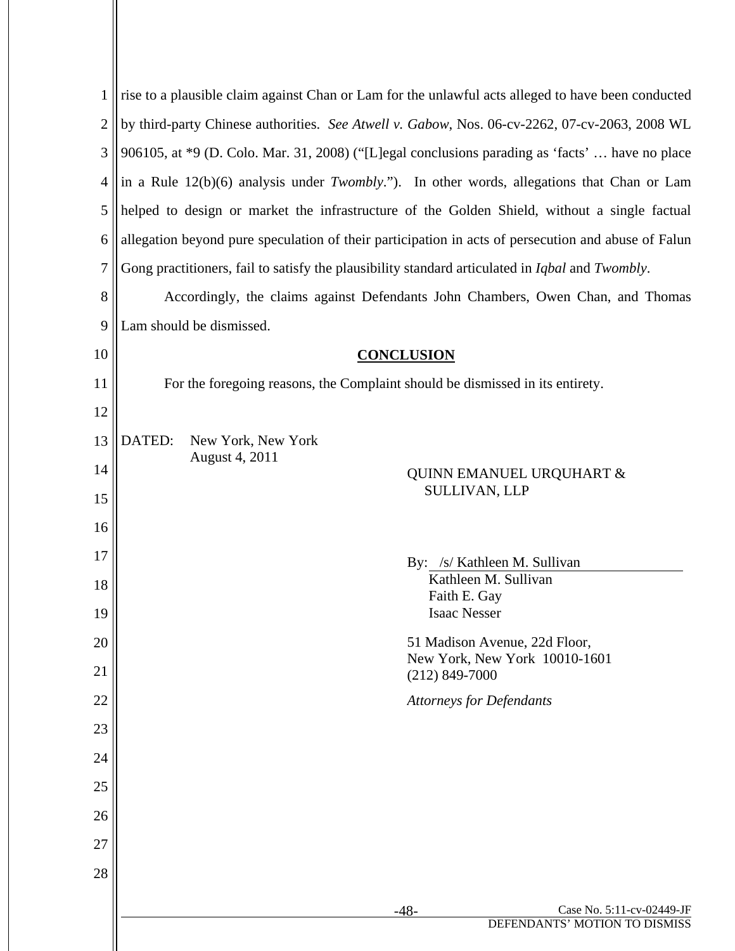| 1  | rise to a plausible claim against Chan or Lam for the unlawful acts alleged to have been conducted             |
|----|----------------------------------------------------------------------------------------------------------------|
| 2  | by third-party Chinese authorities. See Atwell v. Gabow, Nos. 06-cv-2262, 07-cv-2063, 2008 WL                  |
| 3  | 906105, at *9 (D. Colo. Mar. 31, 2008) ("[L]egal conclusions parading as 'facts'  have no place                |
| 4  | in a Rule $12(b)(6)$ analysis under <i>Twombly.</i> "). In other words, allegations that Chan or Lam           |
| 5  | helped to design or market the infrastructure of the Golden Shield, without a single factual                   |
| 6  | allegation beyond pure speculation of their participation in acts of persecution and abuse of Falun            |
| 7  | Gong practitioners, fail to satisfy the plausibility standard articulated in <i>Iqbal</i> and <i>Twombly</i> . |
| 8  | Accordingly, the claims against Defendants John Chambers, Owen Chan, and Thomas                                |
| 9  | Lam should be dismissed.                                                                                       |
| 10 | <b>CONCLUSION</b>                                                                                              |
| 11 | For the foregoing reasons, the Complaint should be dismissed in its entirety.                                  |
| 12 |                                                                                                                |
| 13 | DATED:<br>New York, New York                                                                                   |
| 14 | August 4, 2011<br><b>QUINN EMANUEL URQUHART &amp;</b>                                                          |
| 15 | SULLIVAN, LLP                                                                                                  |
| 16 |                                                                                                                |
| 17 | By: /s/ Kathleen M. Sullivan                                                                                   |
| 18 | Kathleen M. Sullivan<br>Faith E. Gay                                                                           |
| 19 | <b>Isaac Nesser</b>                                                                                            |
| 20 | 51 Madison Avenue, 22d Floor,<br>New York, New York 10010-1601                                                 |
| 21 | $(212)$ 849-7000                                                                                               |
| 22 | <b>Attorneys for Defendants</b>                                                                                |
| 23 |                                                                                                                |
| 24 |                                                                                                                |
| 25 |                                                                                                                |
| 26 |                                                                                                                |
| 27 |                                                                                                                |
| 28 |                                                                                                                |
|    | Case No. 5:11-cv-02449-JF<br>$-48-$                                                                            |
|    | DEFENDANTS' MOTION TO DISMISS                                                                                  |

Ш